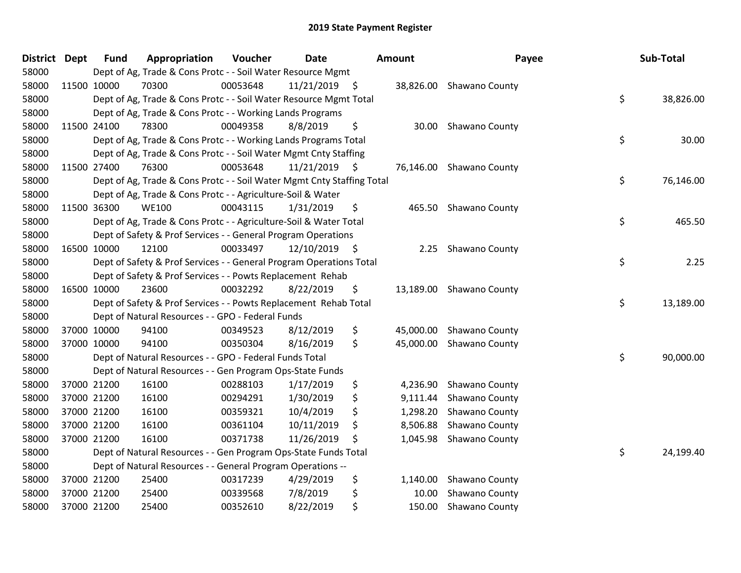| <b>District</b> | <b>Dept</b> | <b>Fund</b> | Appropriation                                                          | Voucher  | <b>Date</b>     | Amount          | Payee                    | Sub-Total       |
|-----------------|-------------|-------------|------------------------------------------------------------------------|----------|-----------------|-----------------|--------------------------|-----------------|
| 58000           |             |             | Dept of Ag, Trade & Cons Protc - - Soil Water Resource Mgmt            |          |                 |                 |                          |                 |
| 58000           | 11500 10000 |             | 70300                                                                  | 00053648 | 11/21/2019 \$   |                 | 38,826.00 Shawano County |                 |
| 58000           |             |             | Dept of Ag, Trade & Cons Protc - - Soil Water Resource Mgmt Total      |          |                 |                 |                          | \$<br>38,826.00 |
| 58000           |             |             | Dept of Ag, Trade & Cons Protc - - Working Lands Programs              |          |                 |                 |                          |                 |
| 58000           | 11500 24100 |             | 78300                                                                  | 00049358 | 8/8/2019        | \$<br>30.00     | Shawano County           |                 |
| 58000           |             |             | Dept of Ag, Trade & Cons Protc - - Working Lands Programs Total        |          |                 |                 |                          | \$<br>30.00     |
| 58000           |             |             | Dept of Ag, Trade & Cons Protc - - Soil Water Mgmt Cnty Staffing       |          |                 |                 |                          |                 |
| 58000           | 11500 27400 |             | 76300                                                                  | 00053648 | $11/21/2019$ \$ |                 | 76,146.00 Shawano County |                 |
| 58000           |             |             | Dept of Ag, Trade & Cons Protc - - Soil Water Mgmt Cnty Staffing Total |          |                 |                 |                          | \$<br>76,146.00 |
| 58000           |             |             | Dept of Ag, Trade & Cons Protc - - Agriculture-Soil & Water            |          |                 |                 |                          |                 |
| 58000           | 11500 36300 |             | <b>WE100</b>                                                           | 00043115 | 1/31/2019       | \$<br>465.50    | Shawano County           |                 |
| 58000           |             |             | Dept of Ag, Trade & Cons Protc - - Agriculture-Soil & Water Total      |          |                 |                 |                          | \$<br>465.50    |
| 58000           |             |             | Dept of Safety & Prof Services - - General Program Operations          |          |                 |                 |                          |                 |
| 58000           | 16500 10000 |             | 12100                                                                  | 00033497 | $12/10/2019$ \$ | 2.25            | Shawano County           |                 |
| 58000           |             |             | Dept of Safety & Prof Services - - General Program Operations Total    |          |                 |                 |                          | \$<br>2.25      |
| 58000           |             |             | Dept of Safety & Prof Services - - Powts Replacement Rehab             |          |                 |                 |                          |                 |
| 58000           |             | 16500 10000 | 23600                                                                  | 00032292 | 8/22/2019       | \$<br>13,189.00 | Shawano County           |                 |
| 58000           |             |             | Dept of Safety & Prof Services - - Powts Replacement Rehab Total       |          |                 |                 |                          | \$<br>13,189.00 |
| 58000           |             |             | Dept of Natural Resources - - GPO - Federal Funds                      |          |                 |                 |                          |                 |
| 58000           |             | 37000 10000 | 94100                                                                  | 00349523 | 8/12/2019       | \$<br>45,000.00 | Shawano County           |                 |
| 58000           |             | 37000 10000 | 94100                                                                  | 00350304 | 8/16/2019       | \$<br>45,000.00 | Shawano County           |                 |
| 58000           |             |             | Dept of Natural Resources - - GPO - Federal Funds Total                |          |                 |                 |                          | \$<br>90,000.00 |
| 58000           |             |             | Dept of Natural Resources - - Gen Program Ops-State Funds              |          |                 |                 |                          |                 |
| 58000           |             | 37000 21200 | 16100                                                                  | 00288103 | 1/17/2019       | \$              | 4,236.90 Shawano County  |                 |
| 58000           |             | 37000 21200 | 16100                                                                  | 00294291 | 1/30/2019       | \$<br>9,111.44  | Shawano County           |                 |
| 58000           |             | 37000 21200 | 16100                                                                  | 00359321 | 10/4/2019       | \$<br>1,298.20  | Shawano County           |                 |
| 58000           |             | 37000 21200 | 16100                                                                  | 00361104 | 10/11/2019      | \$<br>8,506.88  | Shawano County           |                 |
| 58000           |             | 37000 21200 | 16100                                                                  | 00371738 | 11/26/2019      | \$<br>1,045.98  | Shawano County           |                 |
| 58000           |             |             | Dept of Natural Resources - - Gen Program Ops-State Funds Total        |          |                 |                 |                          | \$<br>24,199.40 |
| 58000           |             |             | Dept of Natural Resources - - General Program Operations --            |          |                 |                 |                          |                 |
| 58000           |             | 37000 21200 | 25400                                                                  | 00317239 | 4/29/2019       | \$<br>1,140.00  | Shawano County           |                 |
| 58000           |             | 37000 21200 | 25400                                                                  | 00339568 | 7/8/2019        | \$<br>10.00     | Shawano County           |                 |
| 58000           | 37000 21200 |             | 25400                                                                  | 00352610 | 8/22/2019       | \$<br>150.00    | Shawano County           |                 |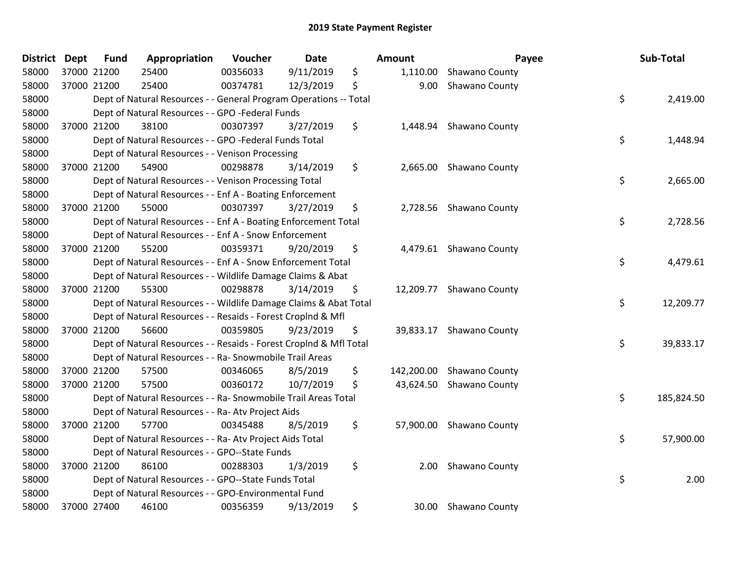| District Dept |             | <b>Fund</b> | Appropriation                                                      | Voucher  | <b>Date</b> | Amount           | Payee                    | Sub-Total        |
|---------------|-------------|-------------|--------------------------------------------------------------------|----------|-------------|------------------|--------------------------|------------------|
| 58000         | 37000 21200 |             | 25400                                                              | 00356033 | 9/11/2019   | \$<br>1,110.00   | Shawano County           |                  |
| 58000         | 37000 21200 |             | 25400                                                              | 00374781 | 12/3/2019   | \$<br>9.00       | Shawano County           |                  |
| 58000         |             |             | Dept of Natural Resources - - General Program Operations -- Total  |          |             |                  |                          | \$<br>2,419.00   |
| 58000         |             |             | Dept of Natural Resources - - GPO -Federal Funds                   |          |             |                  |                          |                  |
| 58000         | 37000 21200 |             | 38100                                                              | 00307397 | 3/27/2019   | \$<br>1,448.94   | Shawano County           |                  |
| 58000         |             |             | Dept of Natural Resources - - GPO -Federal Funds Total             |          |             |                  |                          | \$<br>1,448.94   |
| 58000         |             |             | Dept of Natural Resources - - Venison Processing                   |          |             |                  |                          |                  |
| 58000         | 37000 21200 |             | 54900                                                              | 00298878 | 3/14/2019   | \$               | 2,665.00 Shawano County  |                  |
| 58000         |             |             | Dept of Natural Resources - - Venison Processing Total             |          |             |                  |                          | \$<br>2,665.00   |
| 58000         |             |             | Dept of Natural Resources - - Enf A - Boating Enforcement          |          |             |                  |                          |                  |
| 58000         | 37000 21200 |             | 55000                                                              | 00307397 | 3/27/2019   | \$               | 2,728.56 Shawano County  |                  |
| 58000         |             |             | Dept of Natural Resources - - Enf A - Boating Enforcement Total    |          |             |                  |                          | \$<br>2,728.56   |
| 58000         |             |             | Dept of Natural Resources - - Enf A - Snow Enforcement             |          |             |                  |                          |                  |
| 58000         | 37000 21200 |             | 55200                                                              | 00359371 | 9/20/2019   | \$               | 4,479.61 Shawano County  |                  |
| 58000         |             |             | Dept of Natural Resources - - Enf A - Snow Enforcement Total       |          |             |                  |                          | \$<br>4,479.61   |
| 58000         |             |             | Dept of Natural Resources - - Wildlife Damage Claims & Abat        |          |             |                  |                          |                  |
| 58000         |             | 37000 21200 | 55300                                                              | 00298878 | 3/14/2019   | \$               | 12,209.77 Shawano County |                  |
| 58000         |             |             | Dept of Natural Resources - - Wildlife Damage Claims & Abat Total  |          |             |                  |                          | \$<br>12,209.77  |
| 58000         |             |             | Dept of Natural Resources - - Resaids - Forest Croplnd & Mfl       |          |             |                  |                          |                  |
| 58000         | 37000 21200 |             | 56600                                                              | 00359805 | 9/23/2019   | \$               | 39,833.17 Shawano County |                  |
| 58000         |             |             | Dept of Natural Resources - - Resaids - Forest CropInd & Mfl Total |          |             |                  |                          | \$<br>39,833.17  |
| 58000         |             |             | Dept of Natural Resources - - Ra- Snowmobile Trail Areas           |          |             |                  |                          |                  |
| 58000         |             | 37000 21200 | 57500                                                              | 00346065 | 8/5/2019    | \$<br>142,200.00 | Shawano County           |                  |
| 58000         | 37000 21200 |             | 57500                                                              | 00360172 | 10/7/2019   | \$<br>43,624.50  | Shawano County           |                  |
| 58000         |             |             | Dept of Natural Resources - - Ra- Snowmobile Trail Areas Total     |          |             |                  |                          | \$<br>185,824.50 |
| 58000         |             |             | Dept of Natural Resources - - Ra- Atv Project Aids                 |          |             |                  |                          |                  |
| 58000         | 37000 21200 |             | 57700                                                              | 00345488 | 8/5/2019    | \$               | 57,900.00 Shawano County |                  |
| 58000         |             |             | Dept of Natural Resources - - Ra- Atv Project Aids Total           |          |             |                  |                          | \$<br>57,900.00  |
| 58000         |             |             | Dept of Natural Resources - - GPO--State Funds                     |          |             |                  |                          |                  |
| 58000         | 37000 21200 |             | 86100                                                              | 00288303 | 1/3/2019    | \$<br>2.00       | Shawano County           |                  |
| 58000         |             |             | Dept of Natural Resources - - GPO--State Funds Total               |          |             |                  |                          | \$<br>2.00       |
| 58000         |             |             | Dept of Natural Resources - - GPO-Environmental Fund               |          |             |                  |                          |                  |
| 58000         | 37000 27400 |             | 46100                                                              | 00356359 | 9/13/2019   | \$<br>30.00      | <b>Shawano County</b>    |                  |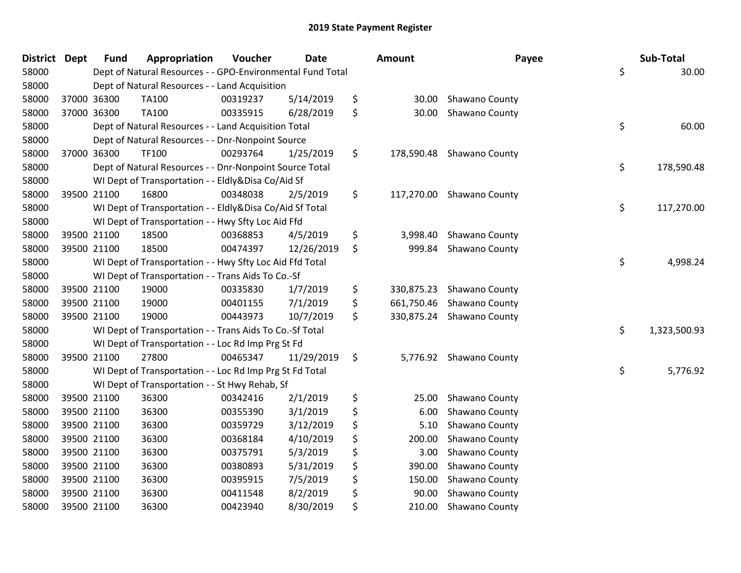| District Dept |             | <b>Fund</b> | Appropriation                                              | Voucher  | <b>Date</b> | <b>Amount</b>    | Payee                     | Sub-Total          |
|---------------|-------------|-------------|------------------------------------------------------------|----------|-------------|------------------|---------------------------|--------------------|
| 58000         |             |             | Dept of Natural Resources - - GPO-Environmental Fund Total |          |             |                  |                           | \$<br>30.00        |
| 58000         |             |             | Dept of Natural Resources - - Land Acquisition             |          |             |                  |                           |                    |
| 58000         | 37000 36300 |             | TA100                                                      | 00319237 | 5/14/2019   | \$<br>30.00      | <b>Shawano County</b>     |                    |
| 58000         | 37000 36300 |             | TA100                                                      | 00335915 | 6/28/2019   | \$<br>30.00      | Shawano County            |                    |
| 58000         |             |             | Dept of Natural Resources - - Land Acquisition Total       |          |             |                  |                           | \$<br>60.00        |
| 58000         |             |             | Dept of Natural Resources - - Dnr-Nonpoint Source          |          |             |                  |                           |                    |
| 58000         | 37000 36300 |             | <b>TF100</b>                                               | 00293764 | 1/25/2019   | \$<br>178,590.48 | Shawano County            |                    |
| 58000         |             |             | Dept of Natural Resources - - Dnr-Nonpoint Source Total    |          |             |                  |                           | \$<br>178,590.48   |
| 58000         |             |             | WI Dept of Transportation - - Eldly&Disa Co/Aid Sf         |          |             |                  |                           |                    |
| 58000         | 39500 21100 |             | 16800                                                      | 00348038 | 2/5/2019    | \$               | 117,270.00 Shawano County |                    |
| 58000         |             |             | WI Dept of Transportation - - Eldly&Disa Co/Aid Sf Total   |          |             |                  |                           | \$<br>117,270.00   |
| 58000         |             |             | WI Dept of Transportation - - Hwy Sfty Loc Aid Ffd         |          |             |                  |                           |                    |
| 58000         | 39500 21100 |             | 18500                                                      | 00368853 | 4/5/2019    | \$<br>3,998.40   | Shawano County            |                    |
| 58000         | 39500 21100 |             | 18500                                                      | 00474397 | 12/26/2019  | \$<br>999.84     | Shawano County            |                    |
| 58000         |             |             | WI Dept of Transportation - - Hwy Sfty Loc Aid Ffd Total   |          |             |                  |                           | \$<br>4,998.24     |
| 58000         |             |             | WI Dept of Transportation - - Trans Aids To Co.-Sf         |          |             |                  |                           |                    |
| 58000         | 39500 21100 |             | 19000                                                      | 00335830 | 1/7/2019    | \$<br>330,875.23 | Shawano County            |                    |
| 58000         | 39500 21100 |             | 19000                                                      | 00401155 | 7/1/2019    | \$<br>661,750.46 | Shawano County            |                    |
| 58000         | 39500 21100 |             | 19000                                                      | 00443973 | 10/7/2019   | \$               | 330,875.24 Shawano County |                    |
| 58000         |             |             | WI Dept of Transportation - - Trans Aids To Co.-Sf Total   |          |             |                  |                           | \$<br>1,323,500.93 |
| 58000         |             |             | WI Dept of Transportation - - Loc Rd Imp Prg St Fd         |          |             |                  |                           |                    |
| 58000         | 39500 21100 |             | 27800                                                      | 00465347 | 11/29/2019  | \$               | 5,776.92 Shawano County   |                    |
| 58000         |             |             | WI Dept of Transportation - - Loc Rd Imp Prg St Fd Total   |          |             |                  |                           | \$<br>5,776.92     |
| 58000         |             |             | WI Dept of Transportation - - St Hwy Rehab, Sf             |          |             |                  |                           |                    |
| 58000         | 39500 21100 |             | 36300                                                      | 00342416 | 2/1/2019    | \$<br>25.00      | Shawano County            |                    |
| 58000         | 39500 21100 |             | 36300                                                      | 00355390 | 3/1/2019    | \$<br>6.00       | Shawano County            |                    |
| 58000         | 39500 21100 |             | 36300                                                      | 00359729 | 3/12/2019   | \$<br>5.10       | Shawano County            |                    |
| 58000         | 39500 21100 |             | 36300                                                      | 00368184 | 4/10/2019   | \$<br>200.00     | Shawano County            |                    |
| 58000         | 39500 21100 |             | 36300                                                      | 00375791 | 5/3/2019    | \$<br>3.00       | Shawano County            |                    |
| 58000         | 39500 21100 |             | 36300                                                      | 00380893 | 5/31/2019   | \$<br>390.00     | Shawano County            |                    |
| 58000         | 39500 21100 |             | 36300                                                      | 00395915 | 7/5/2019    | \$<br>150.00     | Shawano County            |                    |
| 58000         | 39500 21100 |             | 36300                                                      | 00411548 | 8/2/2019    | \$<br>90.00      | Shawano County            |                    |
| 58000         | 39500 21100 |             | 36300                                                      | 00423940 | 8/30/2019   | \$<br>210.00     | Shawano County            |                    |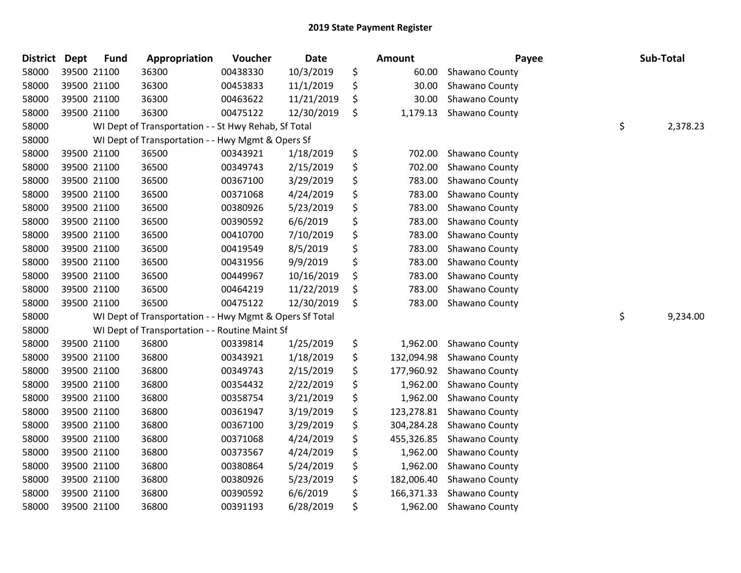| <b>District</b> | <b>Dept</b> | <b>Fund</b> | Appropriation                                           | Voucher  | <b>Date</b> | Amount           | Payee          | Sub-Total      |
|-----------------|-------------|-------------|---------------------------------------------------------|----------|-------------|------------------|----------------|----------------|
| 58000           |             | 39500 21100 | 36300                                                   | 00438330 | 10/3/2019   | \$<br>60.00      | Shawano County |                |
| 58000           |             | 39500 21100 | 36300                                                   | 00453833 | 11/1/2019   | \$<br>30.00      | Shawano County |                |
| 58000           |             | 39500 21100 | 36300                                                   | 00463622 | 11/21/2019  | \$<br>30.00      | Shawano County |                |
| 58000           |             | 39500 21100 | 36300                                                   | 00475122 | 12/30/2019  | \$<br>1,179.13   | Shawano County |                |
| 58000           |             |             | WI Dept of Transportation - - St Hwy Rehab, Sf Total    |          |             |                  |                | \$<br>2,378.23 |
| 58000           |             |             | WI Dept of Transportation - - Hwy Mgmt & Opers Sf       |          |             |                  |                |                |
| 58000           |             | 39500 21100 | 36500                                                   | 00343921 | 1/18/2019   | \$<br>702.00     | Shawano County |                |
| 58000           |             | 39500 21100 | 36500                                                   | 00349743 | 2/15/2019   | \$<br>702.00     | Shawano County |                |
| 58000           |             | 39500 21100 | 36500                                                   | 00367100 | 3/29/2019   | \$<br>783.00     | Shawano County |                |
| 58000           |             | 39500 21100 | 36500                                                   | 00371068 | 4/24/2019   | \$<br>783.00     | Shawano County |                |
| 58000           |             | 39500 21100 | 36500                                                   | 00380926 | 5/23/2019   | \$<br>783.00     | Shawano County |                |
| 58000           |             | 39500 21100 | 36500                                                   | 00390592 | 6/6/2019    | \$<br>783.00     | Shawano County |                |
| 58000           |             | 39500 21100 | 36500                                                   | 00410700 | 7/10/2019   | \$<br>783.00     | Shawano County |                |
| 58000           |             | 39500 21100 | 36500                                                   | 00419549 | 8/5/2019    | \$<br>783.00     | Shawano County |                |
| 58000           |             | 39500 21100 | 36500                                                   | 00431956 | 9/9/2019    | \$<br>783.00     | Shawano County |                |
| 58000           |             | 39500 21100 | 36500                                                   | 00449967 | 10/16/2019  | \$<br>783.00     | Shawano County |                |
| 58000           |             | 39500 21100 | 36500                                                   | 00464219 | 11/22/2019  | \$<br>783.00     | Shawano County |                |
| 58000           |             | 39500 21100 | 36500                                                   | 00475122 | 12/30/2019  | \$<br>783.00     | Shawano County |                |
| 58000           |             |             | WI Dept of Transportation - - Hwy Mgmt & Opers Sf Total |          |             |                  |                | \$<br>9,234.00 |
| 58000           |             |             | WI Dept of Transportation - - Routine Maint Sf          |          |             |                  |                |                |
| 58000           |             | 39500 21100 | 36800                                                   | 00339814 | 1/25/2019   | \$<br>1,962.00   | Shawano County |                |
| 58000           |             | 39500 21100 | 36800                                                   | 00343921 | 1/18/2019   | \$<br>132,094.98 | Shawano County |                |
| 58000           |             | 39500 21100 | 36800                                                   | 00349743 | 2/15/2019   | \$<br>177,960.92 | Shawano County |                |
| 58000           |             | 39500 21100 | 36800                                                   | 00354432 | 2/22/2019   | \$<br>1,962.00   | Shawano County |                |
| 58000           |             | 39500 21100 | 36800                                                   | 00358754 | 3/21/2019   | \$<br>1,962.00   | Shawano County |                |
| 58000           |             | 39500 21100 | 36800                                                   | 00361947 | 3/19/2019   | \$<br>123,278.81 | Shawano County |                |
| 58000           |             | 39500 21100 | 36800                                                   | 00367100 | 3/29/2019   | \$<br>304,284.28 | Shawano County |                |
| 58000           |             | 39500 21100 | 36800                                                   | 00371068 | 4/24/2019   | \$<br>455,326.85 | Shawano County |                |
| 58000           |             | 39500 21100 | 36800                                                   | 00373567 | 4/24/2019   | \$<br>1,962.00   | Shawano County |                |
| 58000           |             | 39500 21100 | 36800                                                   | 00380864 | 5/24/2019   | \$<br>1,962.00   | Shawano County |                |
| 58000           |             | 39500 21100 | 36800                                                   | 00380926 | 5/23/2019   | \$<br>182,006.40 | Shawano County |                |
| 58000           |             | 39500 21100 | 36800                                                   | 00390592 | 6/6/2019    | \$<br>166,371.33 | Shawano County |                |
| 58000           |             | 39500 21100 | 36800                                                   | 00391193 | 6/28/2019   | \$<br>1,962.00   | Shawano County |                |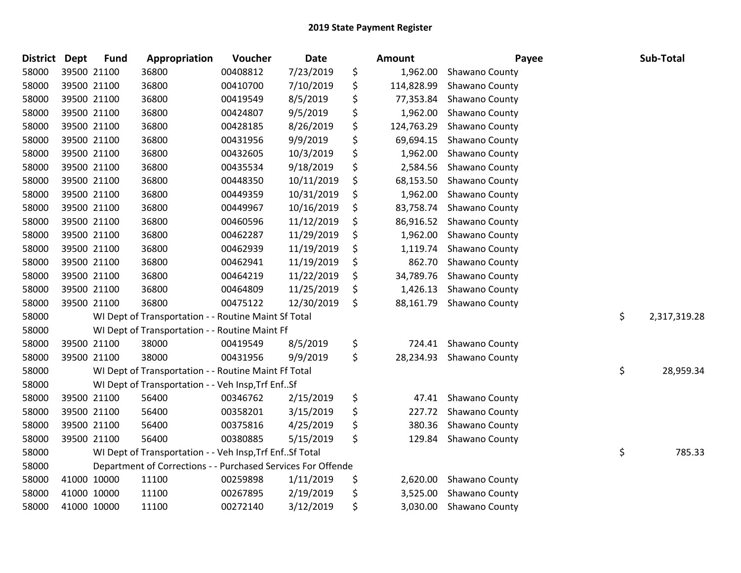| <b>District</b> | <b>Dept</b> | <b>Fund</b> | Appropriation                                                | Voucher  | <b>Date</b> | Amount           | Payee          | Sub-Total          |
|-----------------|-------------|-------------|--------------------------------------------------------------|----------|-------------|------------------|----------------|--------------------|
| 58000           |             | 39500 21100 | 36800                                                        | 00408812 | 7/23/2019   | \$<br>1,962.00   | Shawano County |                    |
| 58000           |             | 39500 21100 | 36800                                                        | 00410700 | 7/10/2019   | \$<br>114,828.99 | Shawano County |                    |
| 58000           | 39500 21100 |             | 36800                                                        | 00419549 | 8/5/2019    | \$<br>77,353.84  | Shawano County |                    |
| 58000           | 39500 21100 |             | 36800                                                        | 00424807 | 9/5/2019    | \$<br>1,962.00   | Shawano County |                    |
| 58000           |             | 39500 21100 | 36800                                                        | 00428185 | 8/26/2019   | \$<br>124,763.29 | Shawano County |                    |
| 58000           |             | 39500 21100 | 36800                                                        | 00431956 | 9/9/2019    | \$<br>69,694.15  | Shawano County |                    |
| 58000           |             | 39500 21100 | 36800                                                        | 00432605 | 10/3/2019   | \$<br>1,962.00   | Shawano County |                    |
| 58000           |             | 39500 21100 | 36800                                                        | 00435534 | 9/18/2019   | \$<br>2,584.56   | Shawano County |                    |
| 58000           |             | 39500 21100 | 36800                                                        | 00448350 | 10/11/2019  | \$<br>68,153.50  | Shawano County |                    |
| 58000           |             | 39500 21100 | 36800                                                        | 00449359 | 10/31/2019  | \$<br>1,962.00   | Shawano County |                    |
| 58000           |             | 39500 21100 | 36800                                                        | 00449967 | 10/16/2019  | \$<br>83,758.74  | Shawano County |                    |
| 58000           |             | 39500 21100 | 36800                                                        | 00460596 | 11/12/2019  | \$<br>86,916.52  | Shawano County |                    |
| 58000           |             | 39500 21100 | 36800                                                        | 00462287 | 11/29/2019  | \$<br>1,962.00   | Shawano County |                    |
| 58000           |             | 39500 21100 | 36800                                                        | 00462939 | 11/19/2019  | \$<br>1,119.74   | Shawano County |                    |
| 58000           |             | 39500 21100 | 36800                                                        | 00462941 | 11/19/2019  | \$<br>862.70     | Shawano County |                    |
| 58000           |             | 39500 21100 | 36800                                                        | 00464219 | 11/22/2019  | \$<br>34,789.76  | Shawano County |                    |
| 58000           |             | 39500 21100 | 36800                                                        | 00464809 | 11/25/2019  | \$<br>1,426.13   | Shawano County |                    |
| 58000           | 39500 21100 |             | 36800                                                        | 00475122 | 12/30/2019  | \$<br>88,161.79  | Shawano County |                    |
| 58000           |             |             | WI Dept of Transportation - - Routine Maint Sf Total         |          |             |                  |                | \$<br>2,317,319.28 |
| 58000           |             |             | WI Dept of Transportation - - Routine Maint Ff               |          |             |                  |                |                    |
| 58000           |             | 39500 21100 | 38000                                                        | 00419549 | 8/5/2019    | \$<br>724.41     | Shawano County |                    |
| 58000           |             | 39500 21100 | 38000                                                        | 00431956 | 9/9/2019    | \$<br>28,234.93  | Shawano County |                    |
| 58000           |             |             | WI Dept of Transportation - - Routine Maint Ff Total         |          |             |                  |                | \$<br>28,959.34    |
| 58000           |             |             | WI Dept of Transportation - - Veh Insp, Trf EnfSf            |          |             |                  |                |                    |
| 58000           |             | 39500 21100 | 56400                                                        | 00346762 | 2/15/2019   | \$<br>47.41      | Shawano County |                    |
| 58000           |             | 39500 21100 | 56400                                                        | 00358201 | 3/15/2019   | \$<br>227.72     | Shawano County |                    |
| 58000           |             | 39500 21100 | 56400                                                        | 00375816 | 4/25/2019   | \$<br>380.36     | Shawano County |                    |
| 58000           |             | 39500 21100 | 56400                                                        | 00380885 | 5/15/2019   | \$<br>129.84     | Shawano County |                    |
| 58000           |             |             | WI Dept of Transportation - - Veh Insp, Trf EnfSf Total      |          |             |                  |                | \$<br>785.33       |
| 58000           |             |             | Department of Corrections - - Purchased Services For Offende |          |             |                  |                |                    |
| 58000           | 41000 10000 |             | 11100                                                        | 00259898 | 1/11/2019   | \$<br>2,620.00   | Shawano County |                    |
| 58000           | 41000 10000 |             | 11100                                                        | 00267895 | 2/19/2019   | \$<br>3,525.00   | Shawano County |                    |
| 58000           | 41000 10000 |             | 11100                                                        | 00272140 | 3/12/2019   | \$<br>3,030.00   | Shawano County |                    |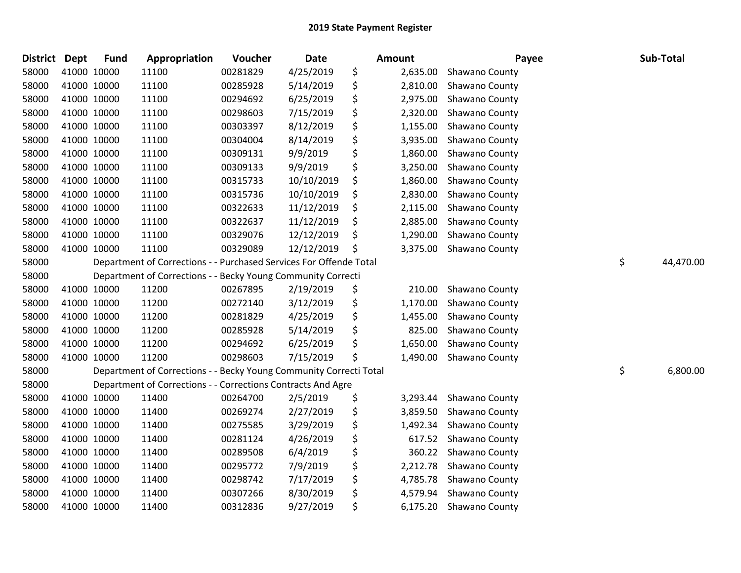| <b>District</b> | <b>Dept</b> | <b>Fund</b> | Appropriation                                                      | Voucher  | <b>Date</b> | Amount         | Payee          | Sub-Total       |
|-----------------|-------------|-------------|--------------------------------------------------------------------|----------|-------------|----------------|----------------|-----------------|
| 58000           |             | 41000 10000 | 11100                                                              | 00281829 | 4/25/2019   | \$<br>2,635.00 | Shawano County |                 |
| 58000           |             | 41000 10000 | 11100                                                              | 00285928 | 5/14/2019   | \$<br>2,810.00 | Shawano County |                 |
| 58000           |             | 41000 10000 | 11100                                                              | 00294692 | 6/25/2019   | \$<br>2,975.00 | Shawano County |                 |
| 58000           |             | 41000 10000 | 11100                                                              | 00298603 | 7/15/2019   | \$<br>2,320.00 | Shawano County |                 |
| 58000           |             | 41000 10000 | 11100                                                              | 00303397 | 8/12/2019   | \$<br>1,155.00 | Shawano County |                 |
| 58000           |             | 41000 10000 | 11100                                                              | 00304004 | 8/14/2019   | \$<br>3,935.00 | Shawano County |                 |
| 58000           |             | 41000 10000 | 11100                                                              | 00309131 | 9/9/2019    | \$<br>1,860.00 | Shawano County |                 |
| 58000           |             | 41000 10000 | 11100                                                              | 00309133 | 9/9/2019    | \$<br>3,250.00 | Shawano County |                 |
| 58000           |             | 41000 10000 | 11100                                                              | 00315733 | 10/10/2019  | \$<br>1,860.00 | Shawano County |                 |
| 58000           |             | 41000 10000 | 11100                                                              | 00315736 | 10/10/2019  | \$<br>2,830.00 | Shawano County |                 |
| 58000           |             | 41000 10000 | 11100                                                              | 00322633 | 11/12/2019  | \$<br>2,115.00 | Shawano County |                 |
| 58000           |             | 41000 10000 | 11100                                                              | 00322637 | 11/12/2019  | \$<br>2,885.00 | Shawano County |                 |
| 58000           |             | 41000 10000 | 11100                                                              | 00329076 | 12/12/2019  | \$<br>1,290.00 | Shawano County |                 |
| 58000           |             | 41000 10000 | 11100                                                              | 00329089 | 12/12/2019  | \$<br>3,375.00 | Shawano County |                 |
| 58000           |             |             | Department of Corrections - - Purchased Services For Offende Total |          |             |                |                | \$<br>44,470.00 |
| 58000           |             |             | Department of Corrections - - Becky Young Community Correcti       |          |             |                |                |                 |
| 58000           |             | 41000 10000 | 11200                                                              | 00267895 | 2/19/2019   | \$<br>210.00   | Shawano County |                 |
| 58000           |             | 41000 10000 | 11200                                                              | 00272140 | 3/12/2019   | \$<br>1,170.00 | Shawano County |                 |
| 58000           |             | 41000 10000 | 11200                                                              | 00281829 | 4/25/2019   | \$<br>1,455.00 | Shawano County |                 |
| 58000           |             | 41000 10000 | 11200                                                              | 00285928 | 5/14/2019   | \$<br>825.00   | Shawano County |                 |
| 58000           |             | 41000 10000 | 11200                                                              | 00294692 | 6/25/2019   | \$<br>1,650.00 | Shawano County |                 |
| 58000           |             | 41000 10000 | 11200                                                              | 00298603 | 7/15/2019   | \$<br>1,490.00 | Shawano County |                 |
| 58000           |             |             | Department of Corrections - - Becky Young Community Correcti Total |          |             |                |                | \$<br>6,800.00  |
| 58000           |             |             | Department of Corrections - - Corrections Contracts And Agre       |          |             |                |                |                 |
| 58000           |             | 41000 10000 | 11400                                                              | 00264700 | 2/5/2019    | \$<br>3,293.44 | Shawano County |                 |
| 58000           |             | 41000 10000 | 11400                                                              | 00269274 | 2/27/2019   | \$<br>3,859.50 | Shawano County |                 |
| 58000           |             | 41000 10000 | 11400                                                              | 00275585 | 3/29/2019   | \$<br>1,492.34 | Shawano County |                 |
| 58000           |             | 41000 10000 | 11400                                                              | 00281124 | 4/26/2019   | \$<br>617.52   | Shawano County |                 |
| 58000           |             | 41000 10000 | 11400                                                              | 00289508 | 6/4/2019    | \$<br>360.22   | Shawano County |                 |
| 58000           |             | 41000 10000 | 11400                                                              | 00295772 | 7/9/2019    | \$<br>2,212.78 | Shawano County |                 |
| 58000           |             | 41000 10000 | 11400                                                              | 00298742 | 7/17/2019   | \$<br>4,785.78 | Shawano County |                 |
| 58000           |             | 41000 10000 | 11400                                                              | 00307266 | 8/30/2019   | \$<br>4,579.94 | Shawano County |                 |
| 58000           |             | 41000 10000 | 11400                                                              | 00312836 | 9/27/2019   | \$<br>6,175.20 | Shawano County |                 |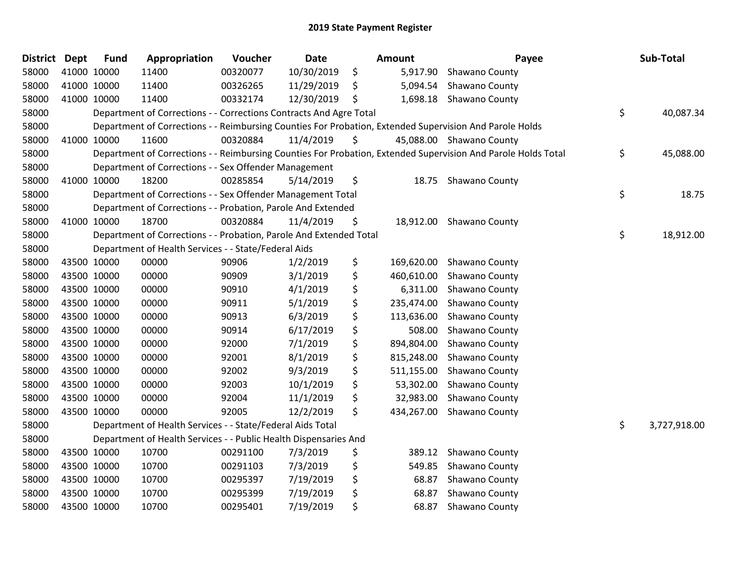| <b>District Dept</b> |             | <b>Fund</b> | Appropriation                                                      | Voucher  | <b>Date</b> | Amount           | Payee                                                                                                         | Sub-Total          |
|----------------------|-------------|-------------|--------------------------------------------------------------------|----------|-------------|------------------|---------------------------------------------------------------------------------------------------------------|--------------------|
| 58000                |             | 41000 10000 | 11400                                                              | 00320077 | 10/30/2019  | \$<br>5,917.90   | Shawano County                                                                                                |                    |
| 58000                |             | 41000 10000 | 11400                                                              | 00326265 | 11/29/2019  | \$<br>5,094.54   | Shawano County                                                                                                |                    |
| 58000                | 41000 10000 |             | 11400                                                              | 00332174 | 12/30/2019  | \$               | 1,698.18 Shawano County                                                                                       |                    |
| 58000                |             |             | Department of Corrections - - Corrections Contracts And Agre Total |          |             |                  |                                                                                                               | \$<br>40,087.34    |
| 58000                |             |             |                                                                    |          |             |                  | Department of Corrections - - Reimbursing Counties For Probation, Extended Supervision And Parole Holds       |                    |
| 58000                |             | 41000 10000 | 11600                                                              | 00320884 | 11/4/2019   | \$               | 45,088.00 Shawano County                                                                                      |                    |
| 58000                |             |             |                                                                    |          |             |                  | Department of Corrections - - Reimbursing Counties For Probation, Extended Supervision And Parole Holds Total | \$<br>45,088.00    |
| 58000                |             |             | Department of Corrections - - Sex Offender Management              |          |             |                  |                                                                                                               |                    |
| 58000                |             | 41000 10000 | 18200                                                              | 00285854 | 5/14/2019   | \$<br>18.75      | Shawano County                                                                                                |                    |
| 58000                |             |             | Department of Corrections - - Sex Offender Management Total        |          |             |                  |                                                                                                               | \$<br>18.75        |
| 58000                |             |             | Department of Corrections - - Probation, Parole And Extended       |          |             |                  |                                                                                                               |                    |
| 58000                |             | 41000 10000 | 18700                                                              | 00320884 | 11/4/2019   | \$<br>18,912.00  | Shawano County                                                                                                |                    |
| 58000                |             |             | Department of Corrections - - Probation, Parole And Extended Total |          |             |                  |                                                                                                               | \$<br>18,912.00    |
| 58000                |             |             | Department of Health Services - - State/Federal Aids               |          |             |                  |                                                                                                               |                    |
| 58000                |             | 43500 10000 | 00000                                                              | 90906    | 1/2/2019    | \$<br>169,620.00 | Shawano County                                                                                                |                    |
| 58000                |             | 43500 10000 | 00000                                                              | 90909    | 3/1/2019    | \$<br>460,610.00 | Shawano County                                                                                                |                    |
| 58000                |             | 43500 10000 | 00000                                                              | 90910    | 4/1/2019    | \$<br>6,311.00   | Shawano County                                                                                                |                    |
| 58000                |             | 43500 10000 | 00000                                                              | 90911    | 5/1/2019    | \$<br>235,474.00 | Shawano County                                                                                                |                    |
| 58000                | 43500 10000 |             | 00000                                                              | 90913    | 6/3/2019    | \$<br>113,636.00 | Shawano County                                                                                                |                    |
| 58000                | 43500 10000 |             | 00000                                                              | 90914    | 6/17/2019   | \$<br>508.00     | Shawano County                                                                                                |                    |
| 58000                |             | 43500 10000 | 00000                                                              | 92000    | 7/1/2019    | \$<br>894,804.00 | Shawano County                                                                                                |                    |
| 58000                |             | 43500 10000 | 00000                                                              | 92001    | 8/1/2019    | \$<br>815,248.00 | Shawano County                                                                                                |                    |
| 58000                |             | 43500 10000 | 00000                                                              | 92002    | 9/3/2019    | \$<br>511,155.00 | Shawano County                                                                                                |                    |
| 58000                | 43500 10000 |             | 00000                                                              | 92003    | 10/1/2019   | \$<br>53,302.00  | Shawano County                                                                                                |                    |
| 58000                |             | 43500 10000 | 00000                                                              | 92004    | 11/1/2019   | \$<br>32,983.00  | Shawano County                                                                                                |                    |
| 58000                |             | 43500 10000 | 00000                                                              | 92005    | 12/2/2019   | \$<br>434,267.00 | Shawano County                                                                                                |                    |
| 58000                |             |             | Department of Health Services - - State/Federal Aids Total         |          |             |                  |                                                                                                               | \$<br>3,727,918.00 |
| 58000                |             |             | Department of Health Services - - Public Health Dispensaries And   |          |             |                  |                                                                                                               |                    |
| 58000                |             | 43500 10000 | 10700                                                              | 00291100 | 7/3/2019    | \$<br>389.12     | Shawano County                                                                                                |                    |
| 58000                | 43500 10000 |             | 10700                                                              | 00291103 | 7/3/2019    | \$<br>549.85     | Shawano County                                                                                                |                    |
| 58000                |             | 43500 10000 | 10700                                                              | 00295397 | 7/19/2019   | \$<br>68.87      | Shawano County                                                                                                |                    |
| 58000                |             | 43500 10000 | 10700                                                              | 00295399 | 7/19/2019   | \$<br>68.87      | Shawano County                                                                                                |                    |
| 58000                |             | 43500 10000 | 10700                                                              | 00295401 | 7/19/2019   | \$<br>68.87      | Shawano County                                                                                                |                    |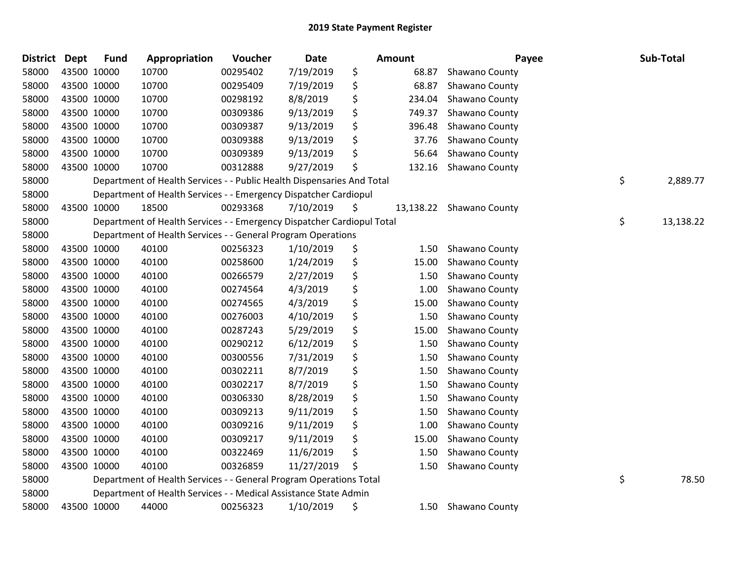| <b>District</b> | <b>Dept</b> | <b>Fund</b> | Appropriation                                                          | Voucher  | <b>Date</b> | Amount       | Payee                    | Sub-Total       |
|-----------------|-------------|-------------|------------------------------------------------------------------------|----------|-------------|--------------|--------------------------|-----------------|
| 58000           |             | 43500 10000 | 10700                                                                  | 00295402 | 7/19/2019   | \$<br>68.87  | Shawano County           |                 |
| 58000           |             | 43500 10000 | 10700                                                                  | 00295409 | 7/19/2019   | \$<br>68.87  | Shawano County           |                 |
| 58000           |             | 43500 10000 | 10700                                                                  | 00298192 | 8/8/2019    | \$<br>234.04 | Shawano County           |                 |
| 58000           |             | 43500 10000 | 10700                                                                  | 00309386 | 9/13/2019   | \$<br>749.37 | Shawano County           |                 |
| 58000           |             | 43500 10000 | 10700                                                                  | 00309387 | 9/13/2019   | \$<br>396.48 | Shawano County           |                 |
| 58000           |             | 43500 10000 | 10700                                                                  | 00309388 | 9/13/2019   | \$<br>37.76  | Shawano County           |                 |
| 58000           |             | 43500 10000 | 10700                                                                  | 00309389 | 9/13/2019   | \$<br>56.64  | Shawano County           |                 |
| 58000           |             | 43500 10000 | 10700                                                                  | 00312888 | 9/27/2019   | \$<br>132.16 | Shawano County           |                 |
| 58000           |             |             | Department of Health Services - - Public Health Dispensaries And Total |          |             |              |                          | \$<br>2,889.77  |
| 58000           |             |             | Department of Health Services - - Emergency Dispatcher Cardiopul       |          |             |              |                          |                 |
| 58000           |             | 43500 10000 | 18500                                                                  | 00293368 | 7/10/2019   | \$           | 13,138.22 Shawano County |                 |
| 58000           |             |             | Department of Health Services - - Emergency Dispatcher Cardiopul Total |          |             |              |                          | \$<br>13,138.22 |
| 58000           |             |             | Department of Health Services - - General Program Operations           |          |             |              |                          |                 |
| 58000           |             | 43500 10000 | 40100                                                                  | 00256323 | 1/10/2019   | \$<br>1.50   | Shawano County           |                 |
| 58000           |             | 43500 10000 | 40100                                                                  | 00258600 | 1/24/2019   | \$<br>15.00  | Shawano County           |                 |
| 58000           |             | 43500 10000 | 40100                                                                  | 00266579 | 2/27/2019   | \$<br>1.50   | Shawano County           |                 |
| 58000           |             | 43500 10000 | 40100                                                                  | 00274564 | 4/3/2019    | \$<br>1.00   | Shawano County           |                 |
| 58000           |             | 43500 10000 | 40100                                                                  | 00274565 | 4/3/2019    | \$<br>15.00  | Shawano County           |                 |
| 58000           |             | 43500 10000 | 40100                                                                  | 00276003 | 4/10/2019   | \$<br>1.50   | Shawano County           |                 |
| 58000           |             | 43500 10000 | 40100                                                                  | 00287243 | 5/29/2019   | \$<br>15.00  | Shawano County           |                 |
| 58000           |             | 43500 10000 | 40100                                                                  | 00290212 | 6/12/2019   | \$<br>1.50   | Shawano County           |                 |
| 58000           |             | 43500 10000 | 40100                                                                  | 00300556 | 7/31/2019   | \$<br>1.50   | Shawano County           |                 |
| 58000           |             | 43500 10000 | 40100                                                                  | 00302211 | 8/7/2019    | \$<br>1.50   | Shawano County           |                 |
| 58000           |             | 43500 10000 | 40100                                                                  | 00302217 | 8/7/2019    | \$<br>1.50   | Shawano County           |                 |
| 58000           |             | 43500 10000 | 40100                                                                  | 00306330 | 8/28/2019   | \$<br>1.50   | Shawano County           |                 |
| 58000           |             | 43500 10000 | 40100                                                                  | 00309213 | 9/11/2019   | \$<br>1.50   | Shawano County           |                 |
| 58000           |             | 43500 10000 | 40100                                                                  | 00309216 | 9/11/2019   | \$<br>1.00   | Shawano County           |                 |
| 58000           |             | 43500 10000 | 40100                                                                  | 00309217 | 9/11/2019   | \$<br>15.00  | Shawano County           |                 |
| 58000           |             | 43500 10000 | 40100                                                                  | 00322469 | 11/6/2019   | \$<br>1.50   | Shawano County           |                 |
| 58000           |             | 43500 10000 | 40100                                                                  | 00326859 | 11/27/2019  | \$<br>1.50   | Shawano County           |                 |
| 58000           |             |             | Department of Health Services - - General Program Operations Total     |          |             |              |                          | \$<br>78.50     |
| 58000           |             |             | Department of Health Services - - Medical Assistance State Admin       |          |             |              |                          |                 |
| 58000           |             | 43500 10000 | 44000                                                                  | 00256323 | 1/10/2019   | \$<br>1.50   | Shawano County           |                 |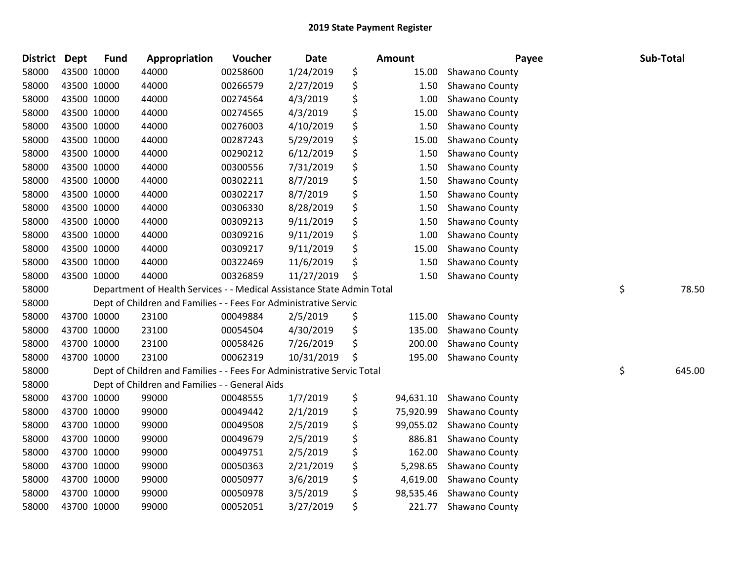| <b>District</b> | <b>Dept</b> | <b>Fund</b> | Appropriation                                                          | Voucher  | <b>Date</b> | Amount          | Payee          | Sub-Total    |
|-----------------|-------------|-------------|------------------------------------------------------------------------|----------|-------------|-----------------|----------------|--------------|
| 58000           |             | 43500 10000 | 44000                                                                  | 00258600 | 1/24/2019   | \$<br>15.00     | Shawano County |              |
| 58000           |             | 43500 10000 | 44000                                                                  | 00266579 | 2/27/2019   | \$<br>1.50      | Shawano County |              |
| 58000           |             | 43500 10000 | 44000                                                                  | 00274564 | 4/3/2019    | \$<br>1.00      | Shawano County |              |
| 58000           | 43500 10000 |             | 44000                                                                  | 00274565 | 4/3/2019    | \$<br>15.00     | Shawano County |              |
| 58000           | 43500 10000 |             | 44000                                                                  | 00276003 | 4/10/2019   | \$<br>1.50      | Shawano County |              |
| 58000           |             | 43500 10000 | 44000                                                                  | 00287243 | 5/29/2019   | \$<br>15.00     | Shawano County |              |
| 58000           |             | 43500 10000 | 44000                                                                  | 00290212 | 6/12/2019   | \$<br>1.50      | Shawano County |              |
| 58000           |             | 43500 10000 | 44000                                                                  | 00300556 | 7/31/2019   | \$<br>1.50      | Shawano County |              |
| 58000           |             | 43500 10000 | 44000                                                                  | 00302211 | 8/7/2019    | \$<br>1.50      | Shawano County |              |
| 58000           |             | 43500 10000 | 44000                                                                  | 00302217 | 8/7/2019    | \$<br>1.50      | Shawano County |              |
| 58000           |             | 43500 10000 | 44000                                                                  | 00306330 | 8/28/2019   | \$<br>1.50      | Shawano County |              |
| 58000           |             | 43500 10000 | 44000                                                                  | 00309213 | 9/11/2019   | \$<br>1.50      | Shawano County |              |
| 58000           |             | 43500 10000 | 44000                                                                  | 00309216 | 9/11/2019   | \$<br>1.00      | Shawano County |              |
| 58000           |             | 43500 10000 | 44000                                                                  | 00309217 | 9/11/2019   | \$<br>15.00     | Shawano County |              |
| 58000           |             | 43500 10000 | 44000                                                                  | 00322469 | 11/6/2019   | \$<br>1.50      | Shawano County |              |
| 58000           |             | 43500 10000 | 44000                                                                  | 00326859 | 11/27/2019  | \$<br>1.50      | Shawano County |              |
| 58000           |             |             | Department of Health Services - - Medical Assistance State Admin Total |          |             |                 |                | \$<br>78.50  |
| 58000           |             |             | Dept of Children and Families - - Fees For Administrative Servic       |          |             |                 |                |              |
| 58000           |             | 43700 10000 | 23100                                                                  | 00049884 | 2/5/2019    | \$<br>115.00    | Shawano County |              |
| 58000           |             | 43700 10000 | 23100                                                                  | 00054504 | 4/30/2019   | \$<br>135.00    | Shawano County |              |
| 58000           |             | 43700 10000 | 23100                                                                  | 00058426 | 7/26/2019   | \$<br>200.00    | Shawano County |              |
| 58000           |             | 43700 10000 | 23100                                                                  | 00062319 | 10/31/2019  | \$<br>195.00    | Shawano County |              |
| 58000           |             |             | Dept of Children and Families - - Fees For Administrative Servic Total |          |             |                 |                | \$<br>645.00 |
| 58000           |             |             | Dept of Children and Families - - General Aids                         |          |             |                 |                |              |
| 58000           |             | 43700 10000 | 99000                                                                  | 00048555 | 1/7/2019    | \$<br>94,631.10 | Shawano County |              |
| 58000           |             | 43700 10000 | 99000                                                                  | 00049442 | 2/1/2019    | \$<br>75,920.99 | Shawano County |              |
| 58000           |             | 43700 10000 | 99000                                                                  | 00049508 | 2/5/2019    | \$<br>99,055.02 | Shawano County |              |
| 58000           |             | 43700 10000 | 99000                                                                  | 00049679 | 2/5/2019    | \$<br>886.81    | Shawano County |              |
| 58000           |             | 43700 10000 | 99000                                                                  | 00049751 | 2/5/2019    | \$<br>162.00    | Shawano County |              |
| 58000           |             | 43700 10000 | 99000                                                                  | 00050363 | 2/21/2019   | \$<br>5,298.65  | Shawano County |              |
| 58000           |             | 43700 10000 | 99000                                                                  | 00050977 | 3/6/2019    | \$<br>4,619.00  | Shawano County |              |
| 58000           |             | 43700 10000 | 99000                                                                  | 00050978 | 3/5/2019    | \$<br>98,535.46 | Shawano County |              |
| 58000           | 43700 10000 |             | 99000                                                                  | 00052051 | 3/27/2019   | \$<br>221.77    | Shawano County |              |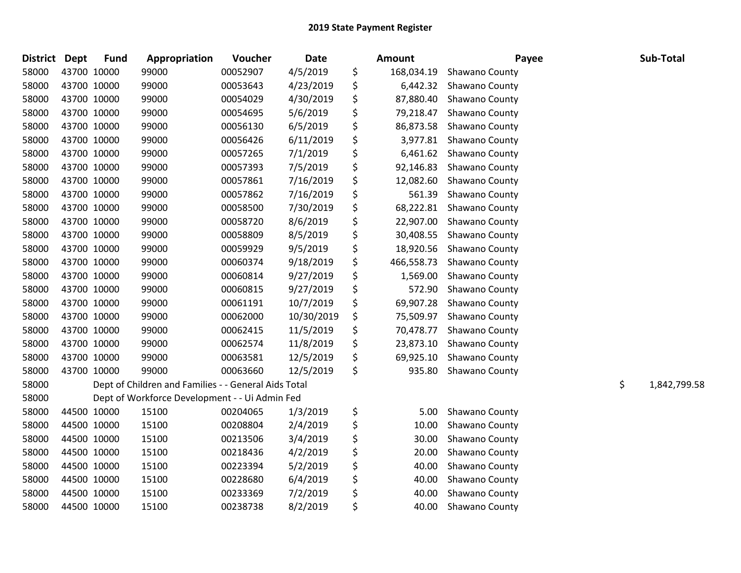| <b>District</b> | <b>Dept</b> | <b>Fund</b> | Appropriation                                        | Voucher  | <b>Date</b> | Amount           | Payee          | Sub-Total          |
|-----------------|-------------|-------------|------------------------------------------------------|----------|-------------|------------------|----------------|--------------------|
| 58000           | 43700 10000 |             | 99000                                                | 00052907 | 4/5/2019    | \$<br>168,034.19 | Shawano County |                    |
| 58000           | 43700 10000 |             | 99000                                                | 00053643 | 4/23/2019   | \$<br>6,442.32   | Shawano County |                    |
| 58000           | 43700 10000 |             | 99000                                                | 00054029 | 4/30/2019   | \$<br>87,880.40  | Shawano County |                    |
| 58000           | 43700 10000 |             | 99000                                                | 00054695 | 5/6/2019    | \$<br>79,218.47  | Shawano County |                    |
| 58000           | 43700 10000 |             | 99000                                                | 00056130 | 6/5/2019    | \$<br>86,873.58  | Shawano County |                    |
| 58000           | 43700 10000 |             | 99000                                                | 00056426 | 6/11/2019   | \$<br>3,977.81   | Shawano County |                    |
| 58000           | 43700 10000 |             | 99000                                                | 00057265 | 7/1/2019    | \$<br>6,461.62   | Shawano County |                    |
| 58000           | 43700 10000 |             | 99000                                                | 00057393 | 7/5/2019    | \$<br>92,146.83  | Shawano County |                    |
| 58000           | 43700 10000 |             | 99000                                                | 00057861 | 7/16/2019   | \$<br>12,082.60  | Shawano County |                    |
| 58000           | 43700 10000 |             | 99000                                                | 00057862 | 7/16/2019   | \$<br>561.39     | Shawano County |                    |
| 58000           | 43700 10000 |             | 99000                                                | 00058500 | 7/30/2019   | \$<br>68,222.81  | Shawano County |                    |
| 58000           | 43700 10000 |             | 99000                                                | 00058720 | 8/6/2019    | \$<br>22,907.00  | Shawano County |                    |
| 58000           | 43700 10000 |             | 99000                                                | 00058809 | 8/5/2019    | \$<br>30,408.55  | Shawano County |                    |
| 58000           | 43700 10000 |             | 99000                                                | 00059929 | 9/5/2019    | \$<br>18,920.56  | Shawano County |                    |
| 58000           | 43700 10000 |             | 99000                                                | 00060374 | 9/18/2019   | \$<br>466,558.73 | Shawano County |                    |
| 58000           | 43700 10000 |             | 99000                                                | 00060814 | 9/27/2019   | \$<br>1,569.00   | Shawano County |                    |
| 58000           | 43700 10000 |             | 99000                                                | 00060815 | 9/27/2019   | \$<br>572.90     | Shawano County |                    |
| 58000           | 43700 10000 |             | 99000                                                | 00061191 | 10/7/2019   | \$<br>69,907.28  | Shawano County |                    |
| 58000           | 43700 10000 |             | 99000                                                | 00062000 | 10/30/2019  | \$<br>75,509.97  | Shawano County |                    |
| 58000           | 43700 10000 |             | 99000                                                | 00062415 | 11/5/2019   | \$<br>70,478.77  | Shawano County |                    |
| 58000           | 43700 10000 |             | 99000                                                | 00062574 | 11/8/2019   | \$<br>23,873.10  | Shawano County |                    |
| 58000           | 43700 10000 |             | 99000                                                | 00063581 | 12/5/2019   | \$<br>69,925.10  | Shawano County |                    |
| 58000           | 43700 10000 |             | 99000                                                | 00063660 | 12/5/2019   | \$<br>935.80     | Shawano County |                    |
| 58000           |             |             | Dept of Children and Families - - General Aids Total |          |             |                  |                | \$<br>1,842,799.58 |
| 58000           |             |             | Dept of Workforce Development - - Ui Admin Fed       |          |             |                  |                |                    |
| 58000           | 44500 10000 |             | 15100                                                | 00204065 | 1/3/2019    | \$<br>5.00       | Shawano County |                    |
| 58000           | 44500 10000 |             | 15100                                                | 00208804 | 2/4/2019    | \$<br>10.00      | Shawano County |                    |
| 58000           | 44500 10000 |             | 15100                                                | 00213506 | 3/4/2019    | \$<br>30.00      | Shawano County |                    |
| 58000           | 44500 10000 |             | 15100                                                | 00218436 | 4/2/2019    | \$<br>20.00      | Shawano County |                    |
| 58000           | 44500 10000 |             | 15100                                                | 00223394 | 5/2/2019    | \$<br>40.00      | Shawano County |                    |
| 58000           | 44500 10000 |             | 15100                                                | 00228680 | 6/4/2019    | \$<br>40.00      | Shawano County |                    |
| 58000           | 44500 10000 |             | 15100                                                | 00233369 | 7/2/2019    | \$<br>40.00      | Shawano County |                    |
| 58000           | 44500 10000 |             | 15100                                                | 00238738 | 8/2/2019    | \$<br>40.00      | Shawano County |                    |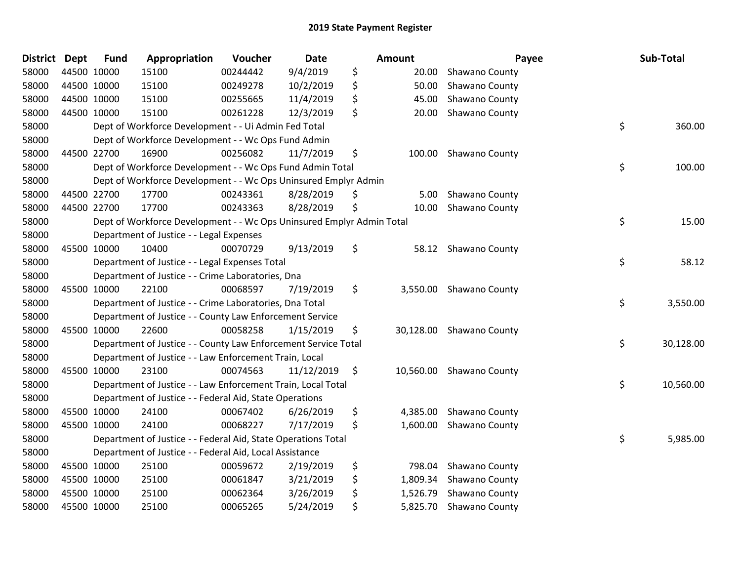| <b>District</b> | <b>Dept</b> | <b>Fund</b> | Appropriation                                                         | Voucher  | <b>Date</b> |     | <b>Amount</b> | Payee          | Sub-Total       |
|-----------------|-------------|-------------|-----------------------------------------------------------------------|----------|-------------|-----|---------------|----------------|-----------------|
| 58000           | 44500 10000 |             | 15100                                                                 | 00244442 | 9/4/2019    | \$  | 20.00         | Shawano County |                 |
| 58000           | 44500 10000 |             | 15100                                                                 | 00249278 | 10/2/2019   | \$  | 50.00         | Shawano County |                 |
| 58000           | 44500 10000 |             | 15100                                                                 | 00255665 | 11/4/2019   | \$  | 45.00         | Shawano County |                 |
| 58000           | 44500 10000 |             | 15100                                                                 | 00261228 | 12/3/2019   | \$  | 20.00         | Shawano County |                 |
| 58000           |             |             | Dept of Workforce Development - - Ui Admin Fed Total                  |          |             |     |               |                | \$<br>360.00    |
| 58000           |             |             | Dept of Workforce Development - - Wc Ops Fund Admin                   |          |             |     |               |                |                 |
| 58000           | 44500 22700 |             | 16900                                                                 | 00256082 | 11/7/2019   | \$  | 100.00        | Shawano County |                 |
| 58000           |             |             | Dept of Workforce Development - - Wc Ops Fund Admin Total             |          |             |     |               |                | \$<br>100.00    |
| 58000           |             |             | Dept of Workforce Development - - Wc Ops Uninsured Emplyr Admin       |          |             |     |               |                |                 |
| 58000           | 44500 22700 |             | 17700                                                                 | 00243361 | 8/28/2019   | \$  | 5.00          | Shawano County |                 |
| 58000           | 44500 22700 |             | 17700                                                                 | 00243363 | 8/28/2019   | \$  | 10.00         | Shawano County |                 |
| 58000           |             |             | Dept of Workforce Development - - Wc Ops Uninsured Emplyr Admin Total |          |             |     |               |                | \$<br>15.00     |
| 58000           |             |             | Department of Justice - - Legal Expenses                              |          |             |     |               |                |                 |
| 58000           | 45500 10000 |             | 10400                                                                 | 00070729 | 9/13/2019   | \$  | 58.12         | Shawano County |                 |
| 58000           |             |             | Department of Justice - - Legal Expenses Total                        |          |             |     |               |                | \$<br>58.12     |
| 58000           |             |             | Department of Justice - - Crime Laboratories, Dna                     |          |             |     |               |                |                 |
| 58000           | 45500 10000 |             | 22100                                                                 | 00068597 | 7/19/2019   | \$  | 3,550.00      | Shawano County |                 |
| 58000           |             |             | Department of Justice - - Crime Laboratories, Dna Total               |          |             |     |               |                | \$<br>3,550.00  |
| 58000           |             |             | Department of Justice - - County Law Enforcement Service              |          |             |     |               |                |                 |
| 58000           | 45500 10000 |             | 22600                                                                 | 00058258 | 1/15/2019   | \$  | 30,128.00     | Shawano County |                 |
| 58000           |             |             | Department of Justice - - County Law Enforcement Service Total        |          |             |     |               |                | \$<br>30,128.00 |
| 58000           |             |             | Department of Justice - - Law Enforcement Train, Local                |          |             |     |               |                |                 |
| 58000           | 45500 10000 |             | 23100                                                                 | 00074563 | 11/12/2019  | -\$ | 10,560.00     | Shawano County |                 |
| 58000           |             |             | Department of Justice - - Law Enforcement Train, Local Total          |          |             |     |               |                | \$<br>10,560.00 |
| 58000           |             |             | Department of Justice - - Federal Aid, State Operations               |          |             |     |               |                |                 |
| 58000           | 45500 10000 |             | 24100                                                                 | 00067402 | 6/26/2019   | \$  | 4,385.00      | Shawano County |                 |
| 58000           | 45500 10000 |             | 24100                                                                 | 00068227 | 7/17/2019   | \$  | 1,600.00      | Shawano County |                 |
| 58000           |             |             | Department of Justice - - Federal Aid, State Operations Total         |          |             |     |               |                | \$<br>5,985.00  |
| 58000           |             |             | Department of Justice - - Federal Aid, Local Assistance               |          |             |     |               |                |                 |
| 58000           | 45500 10000 |             | 25100                                                                 | 00059672 | 2/19/2019   | \$  | 798.04        | Shawano County |                 |
| 58000           | 45500 10000 |             | 25100                                                                 | 00061847 | 3/21/2019   | \$  | 1,809.34      | Shawano County |                 |
| 58000           | 45500 10000 |             | 25100                                                                 | 00062364 | 3/26/2019   | \$  | 1,526.79      | Shawano County |                 |
| 58000           | 45500 10000 |             | 25100                                                                 | 00065265 | 5/24/2019   | \$  | 5,825.70      | Shawano County |                 |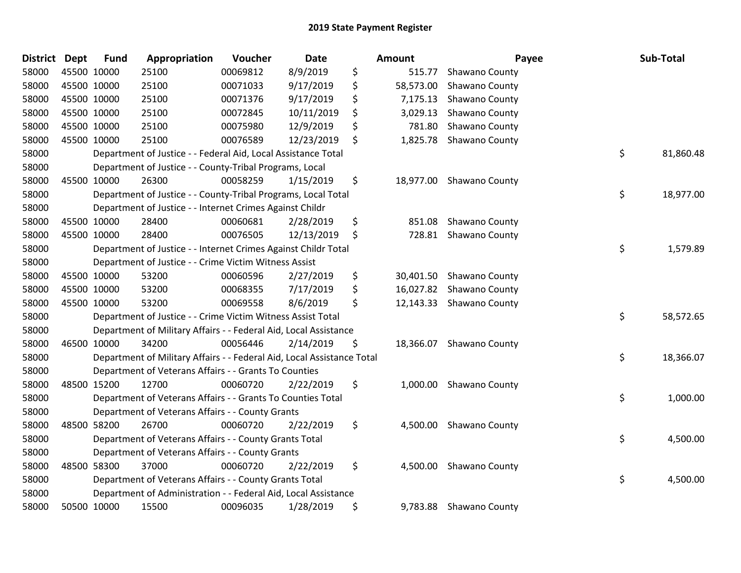| <b>District</b> | <b>Dept</b> | <b>Fund</b> | Appropriation                                                          | Voucher  | <b>Date</b> | <b>Amount</b>   | Payee                    | Sub-Total       |
|-----------------|-------------|-------------|------------------------------------------------------------------------|----------|-------------|-----------------|--------------------------|-----------------|
| 58000           |             | 45500 10000 | 25100                                                                  | 00069812 | 8/9/2019    | \$<br>515.77    | Shawano County           |                 |
| 58000           | 45500 10000 |             | 25100                                                                  | 00071033 | 9/17/2019   | \$<br>58,573.00 | Shawano County           |                 |
| 58000           | 45500 10000 |             | 25100                                                                  | 00071376 | 9/17/2019   | \$<br>7,175.13  | Shawano County           |                 |
| 58000           | 45500 10000 |             | 25100                                                                  | 00072845 | 10/11/2019  | \$<br>3,029.13  | Shawano County           |                 |
| 58000           |             | 45500 10000 | 25100                                                                  | 00075980 | 12/9/2019   | \$<br>781.80    | Shawano County           |                 |
| 58000           |             | 45500 10000 | 25100                                                                  | 00076589 | 12/23/2019  | \$<br>1,825.78  | Shawano County           |                 |
| 58000           |             |             | Department of Justice - - Federal Aid, Local Assistance Total          |          |             |                 |                          | \$<br>81,860.48 |
| 58000           |             |             | Department of Justice - - County-Tribal Programs, Local                |          |             |                 |                          |                 |
| 58000           |             | 45500 10000 | 26300                                                                  | 00058259 | 1/15/2019   | \$<br>18,977.00 | Shawano County           |                 |
| 58000           |             |             | Department of Justice - - County-Tribal Programs, Local Total          |          |             |                 |                          | \$<br>18,977.00 |
| 58000           |             |             | Department of Justice - - Internet Crimes Against Childr               |          |             |                 |                          |                 |
| 58000           |             | 45500 10000 | 28400                                                                  | 00060681 | 2/28/2019   | \$<br>851.08    | Shawano County           |                 |
| 58000           |             | 45500 10000 | 28400                                                                  | 00076505 | 12/13/2019  | \$<br>728.81    | Shawano County           |                 |
| 58000           |             |             | Department of Justice - - Internet Crimes Against Childr Total         |          |             |                 |                          | \$<br>1,579.89  |
| 58000           |             |             | Department of Justice - - Crime Victim Witness Assist                  |          |             |                 |                          |                 |
| 58000           |             | 45500 10000 | 53200                                                                  | 00060596 | 2/27/2019   | \$<br>30,401.50 | Shawano County           |                 |
| 58000           | 45500 10000 |             | 53200                                                                  | 00068355 | 7/17/2019   | \$              | 16,027.82 Shawano County |                 |
| 58000           | 45500 10000 |             | 53200                                                                  | 00069558 | 8/6/2019    | \$              | 12,143.33 Shawano County |                 |
| 58000           |             |             | Department of Justice - - Crime Victim Witness Assist Total            |          |             |                 |                          | \$<br>58,572.65 |
| 58000           |             |             | Department of Military Affairs - - Federal Aid, Local Assistance       |          |             |                 |                          |                 |
| 58000           |             | 46500 10000 | 34200                                                                  | 00056446 | 2/14/2019   | \$<br>18,366.07 | Shawano County           |                 |
| 58000           |             |             | Department of Military Affairs - - Federal Aid, Local Assistance Total |          |             |                 |                          | \$<br>18,366.07 |
| 58000           |             |             | Department of Veterans Affairs - - Grants To Counties                  |          |             |                 |                          |                 |
| 58000           |             | 48500 15200 | 12700                                                                  | 00060720 | 2/22/2019   | \$<br>1,000.00  | Shawano County           |                 |
| 58000           |             |             | Department of Veterans Affairs - - Grants To Counties Total            |          |             |                 |                          | \$<br>1,000.00  |
| 58000           |             |             | Department of Veterans Affairs - - County Grants                       |          |             |                 |                          |                 |
| 58000           |             | 48500 58200 | 26700                                                                  | 00060720 | 2/22/2019   | \$<br>4,500.00  | Shawano County           |                 |
| 58000           |             |             | Department of Veterans Affairs - - County Grants Total                 |          |             |                 |                          | \$<br>4,500.00  |
| 58000           |             |             | Department of Veterans Affairs - - County Grants                       |          |             |                 |                          |                 |
| 58000           |             | 48500 58300 | 37000                                                                  | 00060720 | 2/22/2019   | \$<br>4,500.00  | Shawano County           |                 |
| 58000           |             |             | Department of Veterans Affairs - - County Grants Total                 |          |             |                 |                          | \$<br>4,500.00  |
| 58000           |             |             | Department of Administration - - Federal Aid, Local Assistance         |          |             |                 |                          |                 |
| 58000           |             | 50500 10000 | 15500                                                                  | 00096035 | 1/28/2019   | \$<br>9,783.88  | Shawano County           |                 |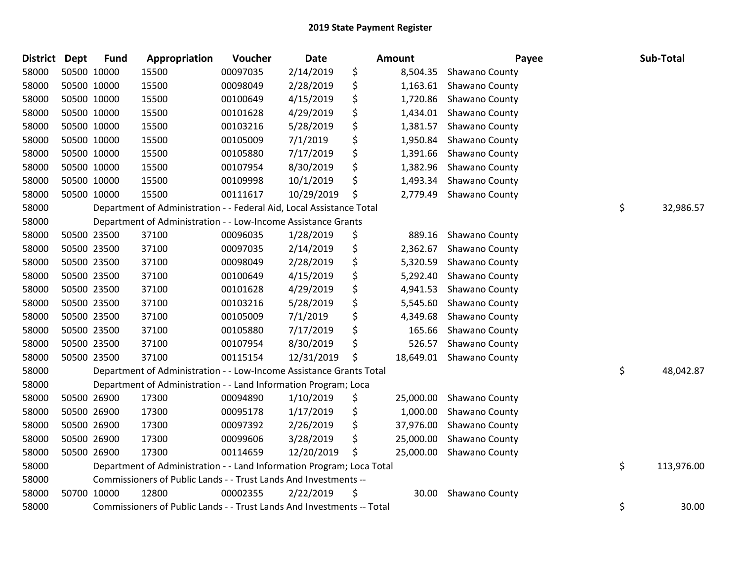| <b>District</b> | Dept | <b>Fund</b> | Appropriation                                                          | Voucher  | <b>Date</b> | <b>Amount</b>   | Payee                    | Sub-Total        |
|-----------------|------|-------------|------------------------------------------------------------------------|----------|-------------|-----------------|--------------------------|------------------|
| 58000           |      | 50500 10000 | 15500                                                                  | 00097035 | 2/14/2019   | \$<br>8,504.35  | Shawano County           |                  |
| 58000           |      | 50500 10000 | 15500                                                                  | 00098049 | 2/28/2019   | \$<br>1,163.61  | Shawano County           |                  |
| 58000           |      | 50500 10000 | 15500                                                                  | 00100649 | 4/15/2019   | \$<br>1,720.86  | Shawano County           |                  |
| 58000           |      | 50500 10000 | 15500                                                                  | 00101628 | 4/29/2019   | \$<br>1,434.01  | Shawano County           |                  |
| 58000           |      | 50500 10000 | 15500                                                                  | 00103216 | 5/28/2019   | \$<br>1,381.57  | Shawano County           |                  |
| 58000           |      | 50500 10000 | 15500                                                                  | 00105009 | 7/1/2019    | \$<br>1,950.84  | Shawano County           |                  |
| 58000           |      | 50500 10000 | 15500                                                                  | 00105880 | 7/17/2019   | \$<br>1,391.66  | Shawano County           |                  |
| 58000           |      | 50500 10000 | 15500                                                                  | 00107954 | 8/30/2019   | \$<br>1,382.96  | Shawano County           |                  |
| 58000           |      | 50500 10000 | 15500                                                                  | 00109998 | 10/1/2019   | \$<br>1,493.34  | Shawano County           |                  |
| 58000           |      | 50500 10000 | 15500                                                                  | 00111617 | 10/29/2019  | \$<br>2,779.49  | Shawano County           |                  |
| 58000           |      |             | Department of Administration - - Federal Aid, Local Assistance Total   |          |             |                 |                          | \$<br>32,986.57  |
| 58000           |      |             | Department of Administration - - Low-Income Assistance Grants          |          |             |                 |                          |                  |
| 58000           |      | 50500 23500 | 37100                                                                  | 00096035 | 1/28/2019   | \$<br>889.16    | Shawano County           |                  |
| 58000           |      | 50500 23500 | 37100                                                                  | 00097035 | 2/14/2019   | \$<br>2,362.67  | Shawano County           |                  |
| 58000           |      | 50500 23500 | 37100                                                                  | 00098049 | 2/28/2019   | \$<br>5,320.59  | Shawano County           |                  |
| 58000           |      | 50500 23500 | 37100                                                                  | 00100649 | 4/15/2019   | \$<br>5,292.40  | Shawano County           |                  |
| 58000           |      | 50500 23500 | 37100                                                                  | 00101628 | 4/29/2019   | \$<br>4,941.53  | Shawano County           |                  |
| 58000           |      | 50500 23500 | 37100                                                                  | 00103216 | 5/28/2019   | \$<br>5,545.60  | Shawano County           |                  |
| 58000           |      | 50500 23500 | 37100                                                                  | 00105009 | 7/1/2019    | \$<br>4,349.68  | Shawano County           |                  |
| 58000           |      | 50500 23500 | 37100                                                                  | 00105880 | 7/17/2019   | \$<br>165.66    | Shawano County           |                  |
| 58000           |      | 50500 23500 | 37100                                                                  | 00107954 | 8/30/2019   | \$<br>526.57    | Shawano County           |                  |
| 58000           |      | 50500 23500 | 37100                                                                  | 00115154 | 12/31/2019  | \$              | 18,649.01 Shawano County |                  |
| 58000           |      |             | Department of Administration - - Low-Income Assistance Grants Total    |          |             |                 |                          | \$<br>48,042.87  |
| 58000           |      |             | Department of Administration - - Land Information Program; Loca        |          |             |                 |                          |                  |
| 58000           |      | 50500 26900 | 17300                                                                  | 00094890 | 1/10/2019   | \$<br>25,000.00 | Shawano County           |                  |
| 58000           |      | 50500 26900 | 17300                                                                  | 00095178 | 1/17/2019   | \$<br>1,000.00  | Shawano County           |                  |
| 58000           |      | 50500 26900 | 17300                                                                  | 00097392 | 2/26/2019   | \$<br>37,976.00 | Shawano County           |                  |
| 58000           |      | 50500 26900 | 17300                                                                  | 00099606 | 3/28/2019   | \$<br>25,000.00 | Shawano County           |                  |
| 58000           |      | 50500 26900 | 17300                                                                  | 00114659 | 12/20/2019  | \$<br>25,000.00 | Shawano County           |                  |
| 58000           |      |             | Department of Administration - - Land Information Program; Loca Total  |          |             |                 |                          | \$<br>113,976.00 |
| 58000           |      |             | Commissioners of Public Lands - - Trust Lands And Investments --       |          |             |                 |                          |                  |
| 58000           |      | 50700 10000 | 12800                                                                  | 00002355 | 2/22/2019   | \$<br>30.00     | Shawano County           |                  |
| 58000           |      |             | Commissioners of Public Lands - - Trust Lands And Investments -- Total |          |             |                 |                          | \$<br>30.00      |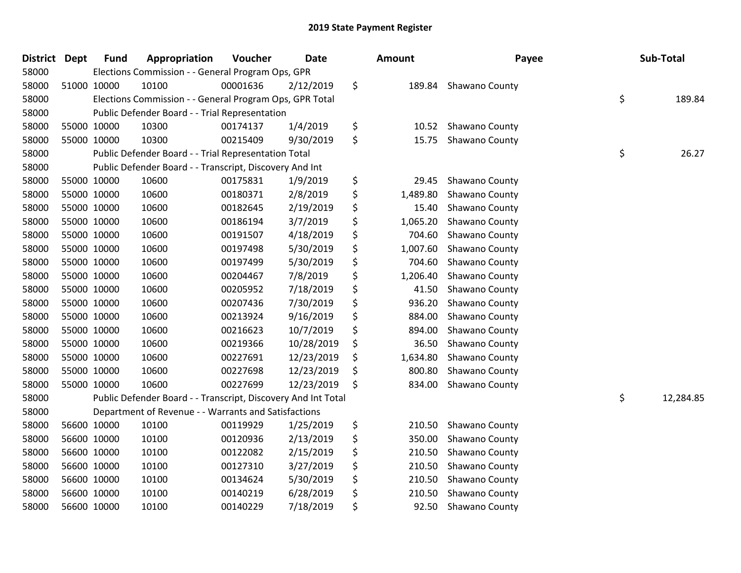| District Dept |             | <b>Fund</b> | Appropriation                                                 | Voucher  | <b>Date</b> | <b>Amount</b>  | Payee          | Sub-Total       |
|---------------|-------------|-------------|---------------------------------------------------------------|----------|-------------|----------------|----------------|-----------------|
| 58000         |             |             | Elections Commission - - General Program Ops, GPR             |          |             |                |                |                 |
| 58000         |             | 51000 10000 | 10100                                                         | 00001636 | 2/12/2019   | \$<br>189.84   | Shawano County |                 |
| 58000         |             |             | Elections Commission - - General Program Ops, GPR Total       |          |             |                |                | \$<br>189.84    |
| 58000         |             |             | Public Defender Board - - Trial Representation                |          |             |                |                |                 |
| 58000         | 55000 10000 |             | 10300                                                         | 00174137 | 1/4/2019    | \$<br>10.52    | Shawano County |                 |
| 58000         |             | 55000 10000 | 10300                                                         | 00215409 | 9/30/2019   | \$<br>15.75    | Shawano County |                 |
| 58000         |             |             | Public Defender Board - - Trial Representation Total          |          |             |                |                | \$<br>26.27     |
| 58000         |             |             | Public Defender Board - - Transcript, Discovery And Int       |          |             |                |                |                 |
| 58000         |             | 55000 10000 | 10600                                                         | 00175831 | 1/9/2019    | \$<br>29.45    | Shawano County |                 |
| 58000         | 55000 10000 |             | 10600                                                         | 00180371 | 2/8/2019    | \$<br>1,489.80 | Shawano County |                 |
| 58000         |             | 55000 10000 | 10600                                                         | 00182645 | 2/19/2019   | \$<br>15.40    | Shawano County |                 |
| 58000         |             | 55000 10000 | 10600                                                         | 00186194 | 3/7/2019    | \$<br>1,065.20 | Shawano County |                 |
| 58000         |             | 55000 10000 | 10600                                                         | 00191507 | 4/18/2019   | \$<br>704.60   | Shawano County |                 |
| 58000         |             | 55000 10000 | 10600                                                         | 00197498 | 5/30/2019   | \$<br>1,007.60 | Shawano County |                 |
| 58000         | 55000 10000 |             | 10600                                                         | 00197499 | 5/30/2019   | \$<br>704.60   | Shawano County |                 |
| 58000         | 55000 10000 |             | 10600                                                         | 00204467 | 7/8/2019    | \$<br>1,206.40 | Shawano County |                 |
| 58000         |             | 55000 10000 | 10600                                                         | 00205952 | 7/18/2019   | \$<br>41.50    | Shawano County |                 |
| 58000         |             | 55000 10000 | 10600                                                         | 00207436 | 7/30/2019   | \$<br>936.20   | Shawano County |                 |
| 58000         |             | 55000 10000 | 10600                                                         | 00213924 | 9/16/2019   | \$<br>884.00   | Shawano County |                 |
| 58000         | 55000 10000 |             | 10600                                                         | 00216623 | 10/7/2019   | \$<br>894.00   | Shawano County |                 |
| 58000         | 55000 10000 |             | 10600                                                         | 00219366 | 10/28/2019  | \$<br>36.50    | Shawano County |                 |
| 58000         | 55000 10000 |             | 10600                                                         | 00227691 | 12/23/2019  | \$<br>1,634.80 | Shawano County |                 |
| 58000         |             | 55000 10000 | 10600                                                         | 00227698 | 12/23/2019  | \$<br>800.80   | Shawano County |                 |
| 58000         |             | 55000 10000 | 10600                                                         | 00227699 | 12/23/2019  | \$<br>834.00   | Shawano County |                 |
| 58000         |             |             | Public Defender Board - - Transcript, Discovery And Int Total |          |             |                |                | \$<br>12,284.85 |
| 58000         |             |             | Department of Revenue - - Warrants and Satisfactions          |          |             |                |                |                 |
| 58000         |             | 56600 10000 | 10100                                                         | 00119929 | 1/25/2019   | \$<br>210.50   | Shawano County |                 |
| 58000         |             | 56600 10000 | 10100                                                         | 00120936 | 2/13/2019   | \$<br>350.00   | Shawano County |                 |
| 58000         |             | 56600 10000 | 10100                                                         | 00122082 | 2/15/2019   | \$<br>210.50   | Shawano County |                 |
| 58000         |             | 56600 10000 | 10100                                                         | 00127310 | 3/27/2019   | \$<br>210.50   | Shawano County |                 |
| 58000         | 56600 10000 |             | 10100                                                         | 00134624 | 5/30/2019   | \$<br>210.50   | Shawano County |                 |
| 58000         |             | 56600 10000 | 10100                                                         | 00140219 | 6/28/2019   | \$<br>210.50   | Shawano County |                 |
| 58000         |             | 56600 10000 | 10100                                                         | 00140229 | 7/18/2019   | \$<br>92.50    | Shawano County |                 |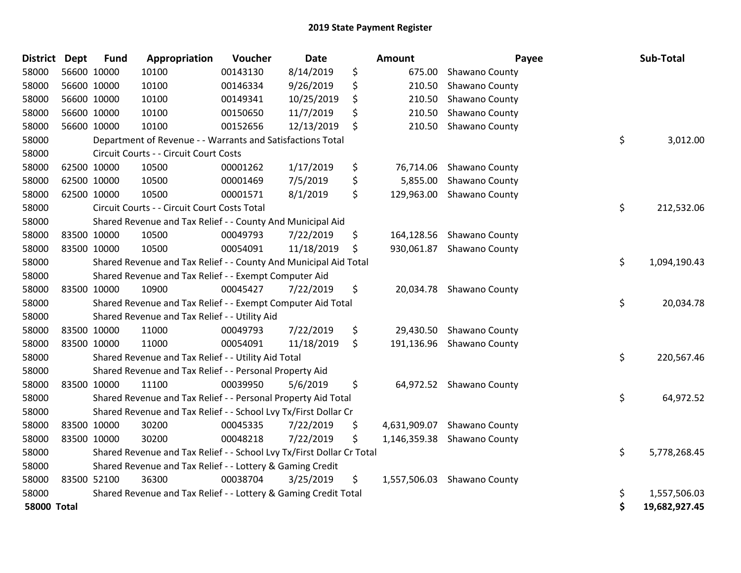| <b>District Dept</b> |             | <b>Fund</b> | Appropriation                                                         | Voucher  | Date       | Amount             | Payee                       | Sub-Total           |
|----------------------|-------------|-------------|-----------------------------------------------------------------------|----------|------------|--------------------|-----------------------------|---------------------|
| 58000                | 56600 10000 |             | 10100                                                                 | 00143130 | 8/14/2019  | \$<br>675.00       | Shawano County              |                     |
| 58000                |             | 56600 10000 | 10100                                                                 | 00146334 | 9/26/2019  | \$<br>210.50       | Shawano County              |                     |
| 58000                |             | 56600 10000 | 10100                                                                 | 00149341 | 10/25/2019 | \$<br>210.50       | Shawano County              |                     |
| 58000                | 56600 10000 |             | 10100                                                                 | 00150650 | 11/7/2019  | \$<br>210.50       | Shawano County              |                     |
| 58000                |             | 56600 10000 | 10100                                                                 | 00152656 | 12/13/2019 | \$<br>210.50       | Shawano County              |                     |
| 58000                |             |             | Department of Revenue - - Warrants and Satisfactions Total            |          |            |                    |                             | \$<br>3,012.00      |
| 58000                |             |             | Circuit Courts - - Circuit Court Costs                                |          |            |                    |                             |                     |
| 58000                |             | 62500 10000 | 10500                                                                 | 00001262 | 1/17/2019  | \$<br>76,714.06    | Shawano County              |                     |
| 58000                |             | 62500 10000 | 10500                                                                 | 00001469 | 7/5/2019   | \$<br>5,855.00     | Shawano County              |                     |
| 58000                |             | 62500 10000 | 10500                                                                 | 00001571 | 8/1/2019   | \$<br>129,963.00   | Shawano County              |                     |
| 58000                |             |             | Circuit Courts - - Circuit Court Costs Total                          |          |            |                    |                             | \$<br>212,532.06    |
| 58000                |             |             | Shared Revenue and Tax Relief - - County And Municipal Aid            |          |            |                    |                             |                     |
| 58000                |             | 83500 10000 | 10500                                                                 | 00049793 | 7/22/2019  | \$<br>164,128.56   | Shawano County              |                     |
| 58000                | 83500 10000 |             | 10500                                                                 | 00054091 | 11/18/2019 | \$<br>930,061.87   | Shawano County              |                     |
| 58000                |             |             | Shared Revenue and Tax Relief - - County And Municipal Aid Total      |          |            |                    |                             | \$<br>1,094,190.43  |
| 58000                |             |             | Shared Revenue and Tax Relief - - Exempt Computer Aid                 |          |            |                    |                             |                     |
| 58000                |             | 83500 10000 | 10900                                                                 | 00045427 | 7/22/2019  | \$                 | 20,034.78 Shawano County    |                     |
| 58000                |             |             | Shared Revenue and Tax Relief - - Exempt Computer Aid Total           |          |            |                    |                             | \$<br>20,034.78     |
| 58000                |             |             | Shared Revenue and Tax Relief - - Utility Aid                         |          |            |                    |                             |                     |
| 58000                |             | 83500 10000 | 11000                                                                 | 00049793 | 7/22/2019  | \$                 | 29,430.50 Shawano County    |                     |
| 58000                | 83500 10000 |             | 11000                                                                 | 00054091 | 11/18/2019 | \$                 | 191,136.96 Shawano County   |                     |
| 58000                |             |             | Shared Revenue and Tax Relief - - Utility Aid Total                   |          |            |                    |                             | \$<br>220,567.46    |
| 58000                |             |             | Shared Revenue and Tax Relief - - Personal Property Aid               |          |            |                    |                             |                     |
| 58000                |             | 83500 10000 | 11100                                                                 | 00039950 | 5/6/2019   | \$<br>64,972.52    | Shawano County              |                     |
| 58000                |             |             | Shared Revenue and Tax Relief - - Personal Property Aid Total         |          |            |                    |                             | \$<br>64,972.52     |
| 58000                |             |             | Shared Revenue and Tax Relief - - School Lvy Tx/First Dollar Cr       |          |            |                    |                             |                     |
| 58000                | 83500 10000 |             | 30200                                                                 | 00045335 | 7/22/2019  | \$<br>4,631,909.07 | Shawano County              |                     |
| 58000                | 83500 10000 |             | 30200                                                                 | 00048218 | 7/22/2019  | \$                 | 1,146,359.38 Shawano County |                     |
| 58000                |             |             | Shared Revenue and Tax Relief - - School Lvy Tx/First Dollar Cr Total |          |            |                    |                             | \$<br>5,778,268.45  |
| 58000                |             |             | Shared Revenue and Tax Relief - - Lottery & Gaming Credit             |          |            |                    |                             |                     |
| 58000                |             | 83500 52100 | 36300                                                                 | 00038704 | 3/25/2019  | \$                 | 1,557,506.03 Shawano County |                     |
| 58000                |             |             | Shared Revenue and Tax Relief - - Lottery & Gaming Credit Total       |          |            |                    |                             | \$<br>1,557,506.03  |
| <b>58000 Total</b>   |             |             |                                                                       |          |            |                    |                             | \$<br>19,682,927.45 |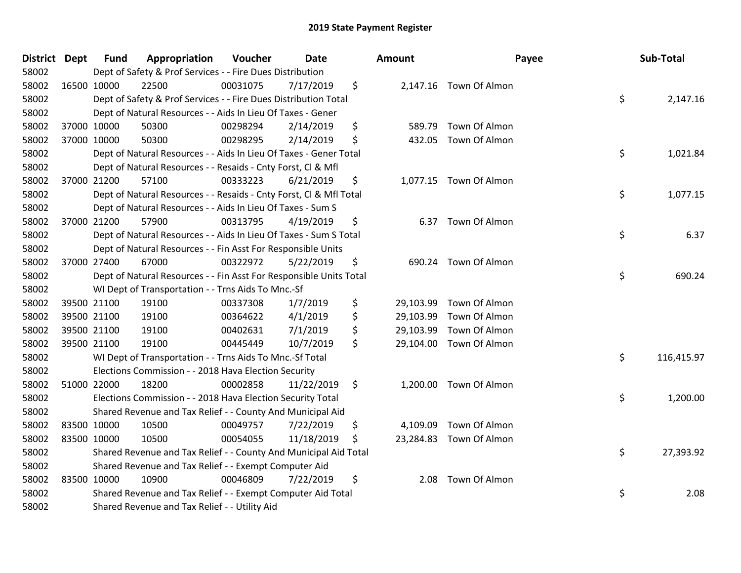| District Dept |             | Fund        | Appropriation                                                      | Voucher  | Date       |     | <b>Amount</b> | Payee                   | Sub-Total        |
|---------------|-------------|-------------|--------------------------------------------------------------------|----------|------------|-----|---------------|-------------------------|------------------|
| 58002         |             |             | Dept of Safety & Prof Services - - Fire Dues Distribution          |          |            |     |               |                         |                  |
| 58002         | 16500 10000 |             | 22500                                                              | 00031075 | 7/17/2019  | \$  |               | 2,147.16 Town Of Almon  |                  |
| 58002         |             |             | Dept of Safety & Prof Services - - Fire Dues Distribution Total    |          |            |     |               |                         | \$<br>2,147.16   |
| 58002         |             |             | Dept of Natural Resources - - Aids In Lieu Of Taxes - Gener        |          |            |     |               |                         |                  |
| 58002         |             | 37000 10000 | 50300                                                              | 00298294 | 2/14/2019  | \$  | 589.79        | Town Of Almon           |                  |
| 58002         | 37000 10000 |             | 50300                                                              | 00298295 | 2/14/2019  | \$  | 432.05        | Town Of Almon           |                  |
| 58002         |             |             | Dept of Natural Resources - - Aids In Lieu Of Taxes - Gener Total  |          |            |     |               |                         | \$<br>1,021.84   |
| 58002         |             |             | Dept of Natural Resources - - Resaids - Cnty Forst, Cl & Mfl       |          |            |     |               |                         |                  |
| 58002         |             | 37000 21200 | 57100                                                              | 00333223 | 6/21/2019  | \$  |               | 1,077.15 Town Of Almon  |                  |
| 58002         |             |             | Dept of Natural Resources - - Resaids - Cnty Forst, Cl & Mfl Total |          |            |     |               |                         | \$<br>1,077.15   |
| 58002         |             |             | Dept of Natural Resources - - Aids In Lieu Of Taxes - Sum S        |          |            |     |               |                         |                  |
| 58002         |             | 37000 21200 | 57900                                                              | 00313795 | 4/19/2019  | \$  |               | 6.37 Town Of Almon      |                  |
| 58002         |             |             | Dept of Natural Resources - - Aids In Lieu Of Taxes - Sum S Total  |          |            |     |               |                         | \$<br>6.37       |
| 58002         |             |             | Dept of Natural Resources - - Fin Asst For Responsible Units       |          |            |     |               |                         |                  |
| 58002         | 37000 27400 |             | 67000                                                              | 00322972 | 5/22/2019  | \$  |               | 690.24 Town Of Almon    |                  |
| 58002         |             |             | Dept of Natural Resources - - Fin Asst For Responsible Units Total |          |            |     |               |                         | \$<br>690.24     |
| 58002         |             |             | WI Dept of Transportation - - Trns Aids To Mnc.-Sf                 |          |            |     |               |                         |                  |
| 58002         |             | 39500 21100 | 19100                                                              | 00337308 | 1/7/2019   | \$  |               | 29,103.99 Town Of Almon |                  |
| 58002         |             | 39500 21100 | 19100                                                              | 00364622 | 4/1/2019   | \$  |               | 29,103.99 Town Of Almon |                  |
| 58002         |             | 39500 21100 | 19100                                                              | 00402631 | 7/1/2019   | \$  |               | 29,103.99 Town Of Almon |                  |
| 58002         |             | 39500 21100 | 19100                                                              | 00445449 | 10/7/2019  | \$  |               | 29,104.00 Town Of Almon |                  |
| 58002         |             |             | WI Dept of Transportation - - Trns Aids To Mnc.-Sf Total           |          |            |     |               |                         | \$<br>116,415.97 |
| 58002         |             |             | Elections Commission - - 2018 Hava Election Security               |          |            |     |               |                         |                  |
| 58002         |             | 51000 22000 | 18200                                                              | 00002858 | 11/22/2019 | \$  |               | 1,200.00 Town Of Almon  |                  |
| 58002         |             |             | Elections Commission - - 2018 Hava Election Security Total         |          |            |     |               |                         | \$<br>1,200.00   |
| 58002         |             |             | Shared Revenue and Tax Relief - - County And Municipal Aid         |          |            |     |               |                         |                  |
| 58002         | 83500 10000 |             | 10500                                                              | 00049757 | 7/22/2019  | \$  |               | 4,109.09 Town Of Almon  |                  |
| 58002         | 83500 10000 |             | 10500                                                              | 00054055 | 11/18/2019 | \$. |               | 23,284.83 Town Of Almon |                  |
| 58002         |             |             | Shared Revenue and Tax Relief - - County And Municipal Aid Total   |          |            |     |               |                         | \$<br>27,393.92  |
| 58002         |             |             | Shared Revenue and Tax Relief - - Exempt Computer Aid              |          |            |     |               |                         |                  |
| 58002         | 83500 10000 |             | 10900                                                              | 00046809 | 7/22/2019  | \$  | 2.08          | Town Of Almon           |                  |
| 58002         |             |             | Shared Revenue and Tax Relief - - Exempt Computer Aid Total        |          |            |     |               |                         | \$<br>2.08       |
| 58002         |             |             | Shared Revenue and Tax Relief - - Utility Aid                      |          |            |     |               |                         |                  |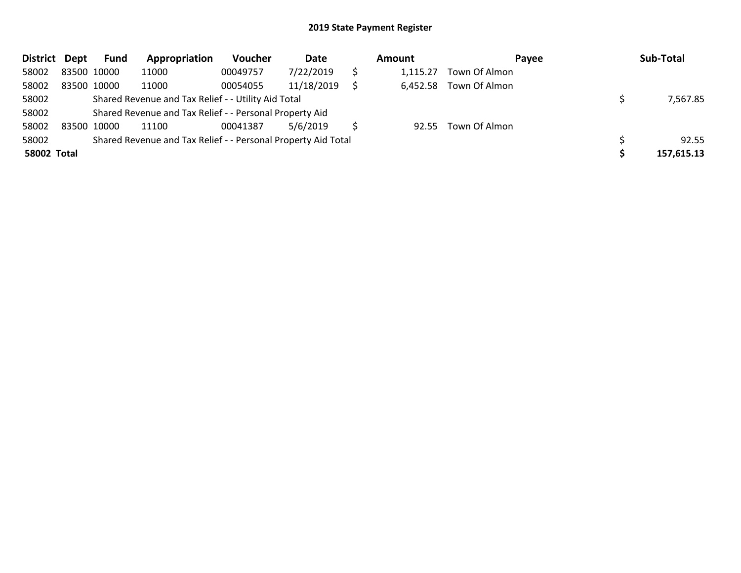| District Dept      |             | <b>Fund</b> | Appropriation                                                 | Voucher  | Date       | <b>Amount</b> | Payee         | Sub-Total  |
|--------------------|-------------|-------------|---------------------------------------------------------------|----------|------------|---------------|---------------|------------|
| 58002              | 83500 10000 |             | 11000                                                         | 00049757 | 7/22/2019  | 1.115.27      | Town Of Almon |            |
| 58002              | 83500 10000 |             | 11000                                                         | 00054055 | 11/18/2019 | 6,452.58      | Town Of Almon |            |
| 58002              |             |             | Shared Revenue and Tax Relief - - Utility Aid Total           |          |            |               |               | 7,567.85   |
| 58002              |             |             | Shared Revenue and Tax Relief - - Personal Property Aid       |          |            |               |               |            |
| 58002              | 83500 10000 |             | 11100                                                         | 00041387 | 5/6/2019   | 92.55         | Town Of Almon |            |
| 58002              |             |             | Shared Revenue and Tax Relief - - Personal Property Aid Total |          | 92.55      |               |               |            |
| <b>58002 Total</b> |             |             |                                                               |          |            |               |               | 157,615.13 |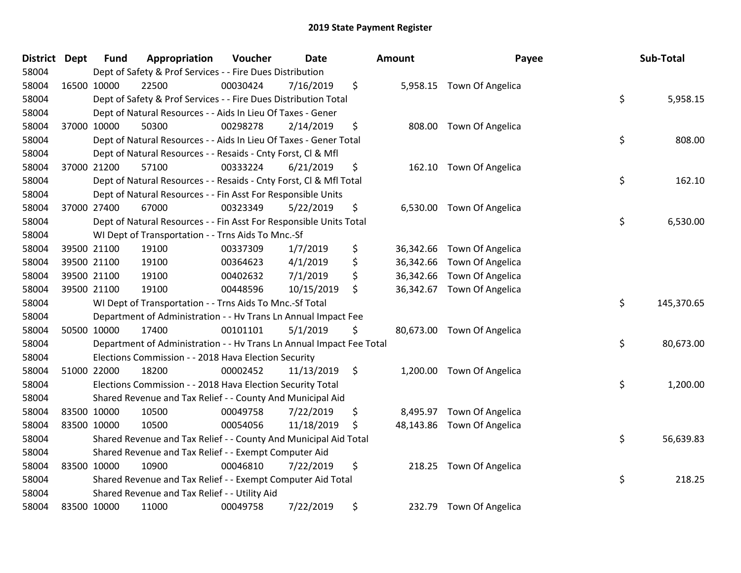| <b>District Dept</b> |             | <b>Fund</b> | Appropriation                                                        | Voucher  | <b>Date</b> |         | <b>Amount</b> | Payee                      | Sub-Total        |
|----------------------|-------------|-------------|----------------------------------------------------------------------|----------|-------------|---------|---------------|----------------------------|------------------|
| 58004                |             |             | Dept of Safety & Prof Services - - Fire Dues Distribution            |          |             |         |               |                            |                  |
| 58004                | 16500 10000 |             | 22500                                                                | 00030424 | 7/16/2019   | \$      |               | 5,958.15 Town Of Angelica  |                  |
| 58004                |             |             | Dept of Safety & Prof Services - - Fire Dues Distribution Total      |          |             |         |               |                            | \$<br>5,958.15   |
| 58004                |             |             | Dept of Natural Resources - - Aids In Lieu Of Taxes - Gener          |          |             |         |               |                            |                  |
| 58004                |             | 37000 10000 | 50300                                                                | 00298278 | 2/14/2019   | \$      |               | 808.00 Town Of Angelica    |                  |
| 58004                |             |             | Dept of Natural Resources - - Aids In Lieu Of Taxes - Gener Total    |          |             |         |               |                            | \$<br>808.00     |
| 58004                |             |             | Dept of Natural Resources - - Resaids - Cnty Forst, Cl & Mfl         |          |             |         |               |                            |                  |
| 58004                |             | 37000 21200 | 57100                                                                | 00333224 | 6/21/2019   | \$      |               | 162.10 Town Of Angelica    |                  |
| 58004                |             |             | Dept of Natural Resources - - Resaids - Cnty Forst, Cl & Mfl Total   |          |             |         |               |                            | \$<br>162.10     |
| 58004                |             |             | Dept of Natural Resources - - Fin Asst For Responsible Units         |          |             |         |               |                            |                  |
| 58004                |             | 37000 27400 | 67000                                                                | 00323349 | 5/22/2019   | \$      |               | 6,530.00 Town Of Angelica  |                  |
| 58004                |             |             | Dept of Natural Resources - - Fin Asst For Responsible Units Total   |          |             |         |               |                            | \$<br>6,530.00   |
| 58004                |             |             | WI Dept of Transportation - - Trns Aids To Mnc.-Sf                   |          |             |         |               |                            |                  |
| 58004                |             | 39500 21100 | 19100                                                                | 00337309 | 1/7/2019    | \$      |               | 36,342.66 Town Of Angelica |                  |
| 58004                |             | 39500 21100 | 19100                                                                | 00364623 | 4/1/2019    | \$      |               | 36,342.66 Town Of Angelica |                  |
| 58004                |             | 39500 21100 | 19100                                                                | 00402632 | 7/1/2019    | \$      |               | 36,342.66 Town Of Angelica |                  |
| 58004                |             | 39500 21100 | 19100                                                                | 00448596 | 10/15/2019  | \$      |               | 36,342.67 Town Of Angelica |                  |
| 58004                |             |             | WI Dept of Transportation - - Trns Aids To Mnc.-Sf Total             |          |             |         |               |                            | \$<br>145,370.65 |
| 58004                |             |             | Department of Administration - - Hv Trans Ln Annual Impact Fee       |          |             |         |               |                            |                  |
| 58004                |             | 50500 10000 | 17400                                                                | 00101101 | 5/1/2019    | \$      |               | 80,673.00 Town Of Angelica |                  |
| 58004                |             |             | Department of Administration - - Hv Trans Ln Annual Impact Fee Total |          |             |         |               |                            | \$<br>80,673.00  |
| 58004                |             |             | Elections Commission - - 2018 Hava Election Security                 |          |             |         |               |                            |                  |
| 58004                |             | 51000 22000 | 18200                                                                | 00002452 | 11/13/2019  | $\zeta$ |               | 1,200.00 Town Of Angelica  |                  |
| 58004                |             |             | Elections Commission - - 2018 Hava Election Security Total           |          |             |         |               |                            | \$<br>1,200.00   |
| 58004                |             |             | Shared Revenue and Tax Relief - - County And Municipal Aid           |          |             |         |               |                            |                  |
| 58004                |             | 83500 10000 | 10500                                                                | 00049758 | 7/22/2019   | \$      |               | 8,495.97 Town Of Angelica  |                  |
| 58004                | 83500 10000 |             | 10500                                                                | 00054056 | 11/18/2019  | \$      |               | 48,143.86 Town Of Angelica |                  |
| 58004                |             |             | Shared Revenue and Tax Relief - - County And Municipal Aid Total     |          |             |         |               |                            | \$<br>56,639.83  |
| 58004                |             |             | Shared Revenue and Tax Relief - - Exempt Computer Aid                |          |             |         |               |                            |                  |
| 58004                |             | 83500 10000 | 10900                                                                | 00046810 | 7/22/2019   | \$      |               | 218.25 Town Of Angelica    |                  |
| 58004                |             |             | Shared Revenue and Tax Relief - - Exempt Computer Aid Total          |          |             |         |               |                            | \$<br>218.25     |
| 58004                |             |             | Shared Revenue and Tax Relief - - Utility Aid                        |          |             |         |               |                            |                  |
| 58004                |             | 83500 10000 | 11000                                                                | 00049758 | 7/22/2019   | \$      | 232.79        | Town Of Angelica           |                  |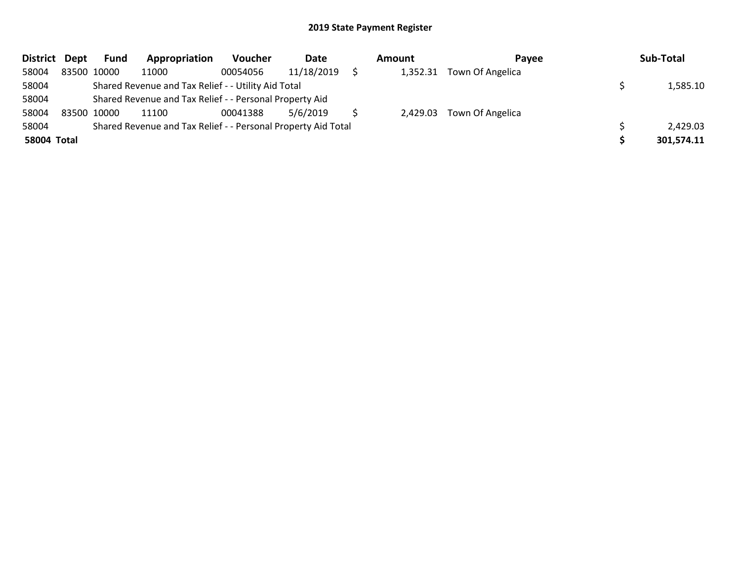| District Dept | <b>Fund</b> | Appropriation                                                 | <b>Voucher</b> | Date       | Amount |          | Pavee                     |  | Sub-Total  |
|---------------|-------------|---------------------------------------------------------------|----------------|------------|--------|----------|---------------------------|--|------------|
| 58004         | 83500 10000 | 11000                                                         | 00054056       | 11/18/2019 |        | 1,352.31 | Town Of Angelica          |  |            |
| 58004         |             | Shared Revenue and Tax Relief - - Utility Aid Total           |                |            |        |          |                           |  | 1,585.10   |
| 58004         |             | Shared Revenue and Tax Relief - - Personal Property Aid       |                |            |        |          |                           |  |            |
| 58004         | 83500 10000 | 11100                                                         | 00041388       | 5/6/2019   |        |          | 2,429.03 Town Of Angelica |  |            |
| 58004         |             | Shared Revenue and Tax Relief - - Personal Property Aid Total |                |            |        |          |                           |  | 2,429.03   |
| 58004 Total   |             |                                                               |                |            |        |          |                           |  | 301,574.11 |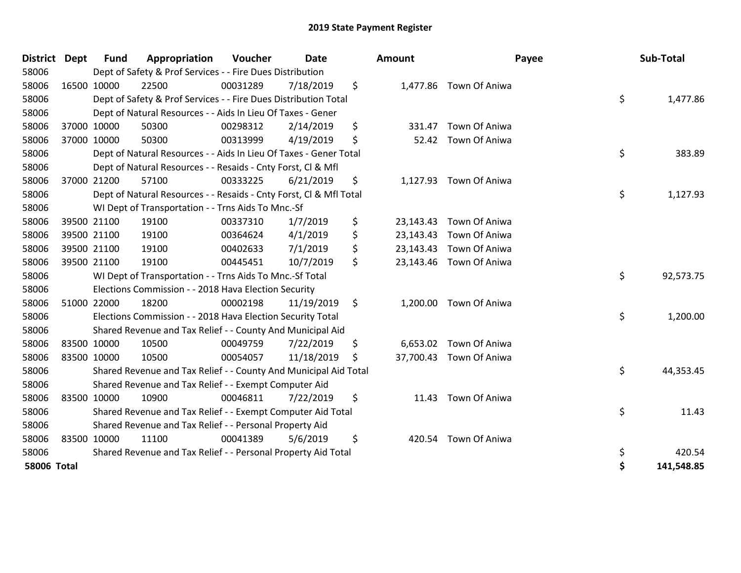| <b>District</b>    | Dept | <b>Fund</b> | Appropriation                                                      | Voucher  | Date       | <b>Amount</b>   |                         | Payee | Sub-Total  |
|--------------------|------|-------------|--------------------------------------------------------------------|----------|------------|-----------------|-------------------------|-------|------------|
| 58006              |      |             | Dept of Safety & Prof Services - - Fire Dues Distribution          |          |            |                 |                         |       |            |
| 58006              |      | 16500 10000 | 22500                                                              | 00031289 | 7/18/2019  | \$              | 1,477.86 Town Of Aniwa  |       |            |
| 58006              |      |             | Dept of Safety & Prof Services - - Fire Dues Distribution Total    |          |            |                 |                         | \$    | 1,477.86   |
| 58006              |      |             | Dept of Natural Resources - - Aids In Lieu Of Taxes - Gener        |          |            |                 |                         |       |            |
| 58006              |      | 37000 10000 | 50300                                                              | 00298312 | 2/14/2019  | \$<br>331.47    | Town Of Aniwa           |       |            |
| 58006              |      | 37000 10000 | 50300                                                              | 00313999 | 4/19/2019  | \$<br>52.42     | Town Of Aniwa           |       |            |
| 58006              |      |             | Dept of Natural Resources - - Aids In Lieu Of Taxes - Gener Total  |          |            |                 |                         | \$    | 383.89     |
| 58006              |      |             | Dept of Natural Resources - - Resaids - Cnty Forst, CI & Mfl       |          |            |                 |                         |       |            |
| 58006              |      | 37000 21200 | 57100                                                              | 00333225 | 6/21/2019  | \$<br>1,127.93  | Town Of Aniwa           |       |            |
| 58006              |      |             | Dept of Natural Resources - - Resaids - Cnty Forst, CI & Mfl Total |          |            |                 |                         | \$    | 1,127.93   |
| 58006              |      |             | WI Dept of Transportation - - Trns Aids To Mnc.-Sf                 |          |            |                 |                         |       |            |
| 58006              |      | 39500 21100 | 19100                                                              | 00337310 | 1/7/2019   | \$<br>23,143.43 | Town Of Aniwa           |       |            |
| 58006              |      | 39500 21100 | 19100                                                              | 00364624 | 4/1/2019   | \$<br>23,143.43 | Town Of Aniwa           |       |            |
| 58006              |      | 39500 21100 | 19100                                                              | 00402633 | 7/1/2019   | \$              | 23,143.43 Town Of Aniwa |       |            |
| 58006              |      | 39500 21100 | 19100                                                              | 00445451 | 10/7/2019  | \$              | 23,143.46 Town Of Aniwa |       |            |
| 58006              |      |             | WI Dept of Transportation - - Trns Aids To Mnc.-Sf Total           |          |            |                 |                         | \$    | 92,573.75  |
| 58006              |      |             | Elections Commission - - 2018 Hava Election Security               |          |            |                 |                         |       |            |
| 58006              |      | 51000 22000 | 18200                                                              | 00002198 | 11/19/2019 | \$<br>1,200.00  | Town Of Aniwa           |       |            |
| 58006              |      |             | Elections Commission - - 2018 Hava Election Security Total         |          |            |                 |                         | \$    | 1,200.00   |
| 58006              |      |             | Shared Revenue and Tax Relief - - County And Municipal Aid         |          |            |                 |                         |       |            |
| 58006              |      | 83500 10000 | 10500                                                              | 00049759 | 7/22/2019  | \$<br>6,653.02  | Town Of Aniwa           |       |            |
| 58006              |      | 83500 10000 | 10500                                                              | 00054057 | 11/18/2019 | \$<br>37,700.43 | Town Of Aniwa           |       |            |
| 58006              |      |             | Shared Revenue and Tax Relief - - County And Municipal Aid Total   |          |            |                 |                         | \$    | 44,353.45  |
| 58006              |      |             | Shared Revenue and Tax Relief - - Exempt Computer Aid              |          |            |                 |                         |       |            |
| 58006              |      | 83500 10000 | 10900                                                              | 00046811 | 7/22/2019  | \$<br>11.43     | Town Of Aniwa           |       |            |
| 58006              |      |             | Shared Revenue and Tax Relief - - Exempt Computer Aid Total        |          |            |                 |                         | \$    | 11.43      |
| 58006              |      |             | Shared Revenue and Tax Relief - - Personal Property Aid            |          |            |                 |                         |       |            |
| 58006              |      | 83500 10000 | 11100                                                              | 00041389 | 5/6/2019   | \$<br>420.54    | Town Of Aniwa           |       |            |
| 58006              |      |             | Shared Revenue and Tax Relief - - Personal Property Aid Total      |          |            |                 |                         | \$    | 420.54     |
| <b>58006 Total</b> |      |             |                                                                    |          |            |                 |                         | \$    | 141,548.85 |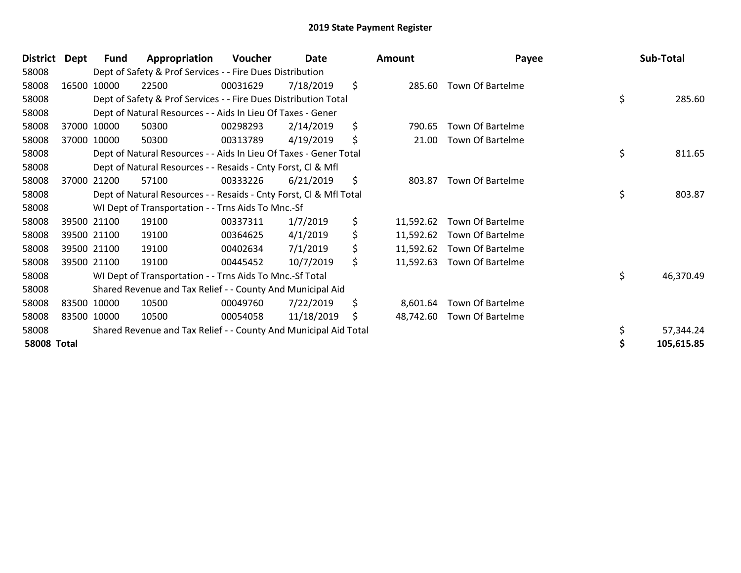| Dept of Safety & Prof Services - - Fire Dues Distribution<br>58008<br>58008<br>16500 10000<br>22500<br>00031629<br>7/18/2019<br>\$<br>285.60<br>Town Of Bartelme | 285.60     |
|------------------------------------------------------------------------------------------------------------------------------------------------------------------|------------|
|                                                                                                                                                                  |            |
|                                                                                                                                                                  |            |
| \$<br>Dept of Safety & Prof Services - - Fire Dues Distribution Total<br>58008                                                                                   |            |
| 58008<br>Dept of Natural Resources - - Aids In Lieu Of Taxes - Gener                                                                                             |            |
| \$<br><b>Town Of Bartelme</b><br>58008<br>37000 10000<br>50300<br>00298293<br>2/14/2019<br>790.65                                                                |            |
| 58008<br>50300<br>4/19/2019<br>\$<br>21.00<br><b>Town Of Bartelme</b><br>37000 10000<br>00313789                                                                 |            |
| \$<br>Dept of Natural Resources - - Aids In Lieu Of Taxes - Gener Total<br>58008                                                                                 | 811.65     |
| 58008<br>Dept of Natural Resources - - Resaids - Cnty Forst, CI & Mfl                                                                                            |            |
| \$<br>58008<br><b>Town Of Bartelme</b><br>57100<br>00333226<br>6/21/2019<br>37000 21200<br>803.87                                                                |            |
| \$<br>58008<br>Dept of Natural Resources - - Resaids - Cnty Forst, Cl & Mfl Total                                                                                | 803.87     |
| 58008<br>WI Dept of Transportation - - Trns Aids To Mnc.-Sf                                                                                                      |            |
| \$<br>58008<br>1/7/2019<br>39500 21100<br>19100<br>00337311<br>11,592.62<br>Town Of Bartelme                                                                     |            |
| \$<br>4/1/2019<br>58008<br>39500 21100<br>19100<br>00364625<br>11,592.62<br>Town Of Bartelme                                                                     |            |
| \$<br>39500 21100<br>00402634<br>7/1/2019<br><b>Town Of Bartelme</b><br>58008<br>19100<br>11,592.62                                                              |            |
| \$<br>58008<br>39500 21100<br>19100<br>00445452<br>10/7/2019<br><b>Town Of Bartelme</b><br>11,592.63                                                             |            |
| \$<br>58008<br>WI Dept of Transportation - - Trns Aids To Mnc.-Sf Total                                                                                          | 46,370.49  |
| 58008<br>Shared Revenue and Tax Relief - - County And Municipal Aid                                                                                              |            |
| \$<br>58008<br>83500 10000<br>10500<br>7/22/2019<br><b>Town Of Bartelme</b><br>00049760<br>8,601.64                                                              |            |
| 11/18/2019<br>58008<br>83500 10000<br>10500<br>00054058<br>48,742.60<br><b>Town Of Bartelme</b><br>\$                                                            |            |
| 58008<br>Shared Revenue and Tax Relief - - County And Municipal Aid Total                                                                                        | 57,344.24  |
| <b>58008 Total</b>                                                                                                                                               | 105,615.85 |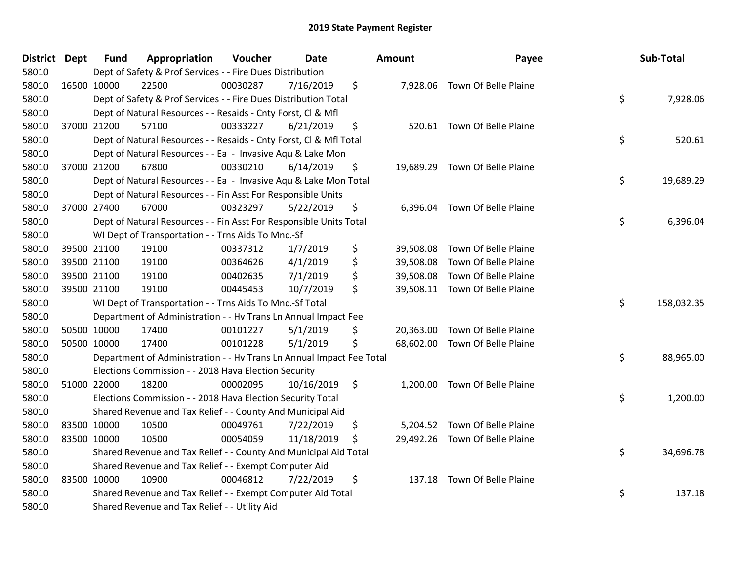| District Dept |             | <b>Fund</b> | Appropriation                                                        | Voucher  | Date       | Amount | Payee                          | Sub-Total        |
|---------------|-------------|-------------|----------------------------------------------------------------------|----------|------------|--------|--------------------------------|------------------|
| 58010         |             |             | Dept of Safety & Prof Services - - Fire Dues Distribution            |          |            |        |                                |                  |
| 58010         | 16500 10000 |             | 22500                                                                | 00030287 | 7/16/2019  | \$     | 7,928.06 Town Of Belle Plaine  |                  |
| 58010         |             |             | Dept of Safety & Prof Services - - Fire Dues Distribution Total      |          |            |        |                                | \$<br>7,928.06   |
| 58010         |             |             | Dept of Natural Resources - - Resaids - Cnty Forst, Cl & Mfl         |          |            |        |                                |                  |
| 58010         | 37000 21200 |             | 57100                                                                | 00333227 | 6/21/2019  | \$     | 520.61 Town Of Belle Plaine    |                  |
| 58010         |             |             | Dept of Natural Resources - - Resaids - Cnty Forst, Cl & Mfl Total   |          |            |        |                                | \$<br>520.61     |
| 58010         |             |             | Dept of Natural Resources - - Ea - Invasive Aqu & Lake Mon           |          |            |        |                                |                  |
| 58010         |             | 37000 21200 | 67800                                                                | 00330210 | 6/14/2019  | \$     | 19,689.29 Town Of Belle Plaine |                  |
| 58010         |             |             | Dept of Natural Resources - - Ea - Invasive Aqu & Lake Mon Total     |          |            |        |                                | \$<br>19,689.29  |
| 58010         |             |             | Dept of Natural Resources - - Fin Asst For Responsible Units         |          |            |        |                                |                  |
| 58010         |             | 37000 27400 | 67000                                                                | 00323297 | 5/22/2019  | \$     | 6,396.04 Town Of Belle Plaine  |                  |
| 58010         |             |             | Dept of Natural Resources - - Fin Asst For Responsible Units Total   |          |            |        |                                | \$<br>6,396.04   |
| 58010         |             |             | WI Dept of Transportation - - Trns Aids To Mnc.-Sf                   |          |            |        |                                |                  |
| 58010         | 39500 21100 |             | 19100                                                                | 00337312 | 1/7/2019   | \$     | 39,508.08 Town Of Belle Plaine |                  |
| 58010         |             | 39500 21100 | 19100                                                                | 00364626 | 4/1/2019   | \$     | 39,508.08 Town Of Belle Plaine |                  |
| 58010         |             | 39500 21100 | 19100                                                                | 00402635 | 7/1/2019   | \$     | 39,508.08 Town Of Belle Plaine |                  |
| 58010         | 39500 21100 |             | 19100                                                                | 00445453 | 10/7/2019  | \$     | 39,508.11 Town Of Belle Plaine |                  |
| 58010         |             |             | WI Dept of Transportation - - Trns Aids To Mnc.-Sf Total             |          |            |        |                                | \$<br>158,032.35 |
| 58010         |             |             | Department of Administration - - Hv Trans Ln Annual Impact Fee       |          |            |        |                                |                  |
| 58010         | 50500 10000 |             | 17400                                                                | 00101227 | 5/1/2019   | \$     | 20,363.00 Town Of Belle Plaine |                  |
| 58010         |             | 50500 10000 | 17400                                                                | 00101228 | 5/1/2019   | \$     | 68,602.00 Town Of Belle Plaine |                  |
| 58010         |             |             | Department of Administration - - Hv Trans Ln Annual Impact Fee Total |          |            |        |                                | \$<br>88,965.00  |
| 58010         |             |             | Elections Commission - - 2018 Hava Election Security                 |          |            |        |                                |                  |
| 58010         | 51000 22000 |             | 18200                                                                | 00002095 | 10/16/2019 | \$     | 1,200.00 Town Of Belle Plaine  |                  |
| 58010         |             |             | Elections Commission - - 2018 Hava Election Security Total           |          |            |        |                                | \$<br>1,200.00   |
| 58010         |             |             | Shared Revenue and Tax Relief - - County And Municipal Aid           |          |            |        |                                |                  |
| 58010         |             | 83500 10000 | 10500                                                                | 00049761 | 7/22/2019  | \$     | 5,204.52 Town Of Belle Plaine  |                  |
| 58010         | 83500 10000 |             | 10500                                                                | 00054059 | 11/18/2019 | \$     | 29,492.26 Town Of Belle Plaine |                  |
| 58010         |             |             | Shared Revenue and Tax Relief - - County And Municipal Aid Total     |          |            |        |                                | \$<br>34,696.78  |
| 58010         |             |             | Shared Revenue and Tax Relief - - Exempt Computer Aid                |          |            |        |                                |                  |
| 58010         | 83500 10000 |             | 10900                                                                | 00046812 | 7/22/2019  | \$     | 137.18 Town Of Belle Plaine    |                  |
| 58010         |             |             | Shared Revenue and Tax Relief - - Exempt Computer Aid Total          |          |            |        |                                | \$<br>137.18     |
| 58010         |             |             | Shared Revenue and Tax Relief - - Utility Aid                        |          |            |        |                                |                  |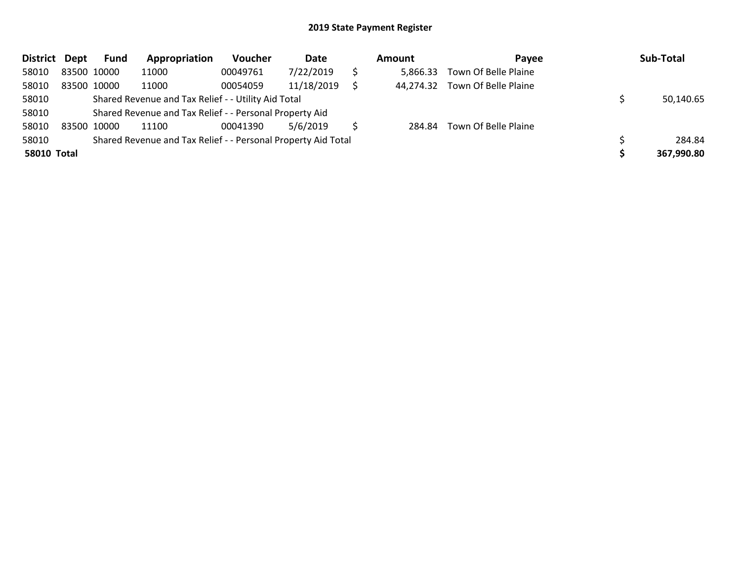| District Dept      |             | <b>Fund</b> | Appropriation                                                 | Voucher  | Date       | Amount    | Pavee                | Sub-Total  |
|--------------------|-------------|-------------|---------------------------------------------------------------|----------|------------|-----------|----------------------|------------|
| 58010              | 83500 10000 |             | 11000                                                         | 00049761 | 7/22/2019  | 5,866.33  | Town Of Belle Plaine |            |
| 58010              | 83500 10000 |             | 11000                                                         | 00054059 | 11/18/2019 | 44.274.32 | Town Of Belle Plaine |            |
| 58010              |             |             | Shared Revenue and Tax Relief - - Utility Aid Total           |          |            |           |                      | 50,140.65  |
| 58010              |             |             | Shared Revenue and Tax Relief - - Personal Property Aid       |          |            |           |                      |            |
| 58010              |             | 83500 10000 | 11100                                                         | 00041390 | 5/6/2019   | 284.84    | Town Of Belle Plaine |            |
| 58010              |             |             | Shared Revenue and Tax Relief - - Personal Property Aid Total |          |            |           |                      | 284.84     |
| <b>58010 Total</b> |             |             |                                                               |          |            |           |                      | 367,990.80 |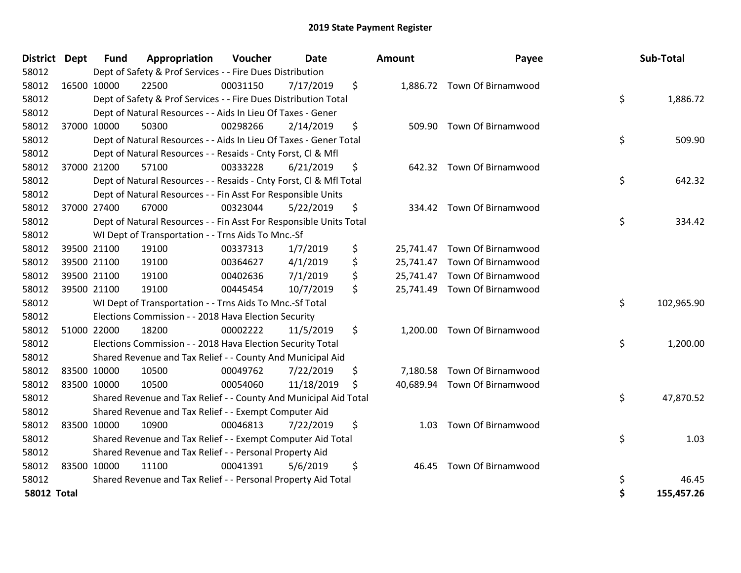| District Dept      | <b>Fund</b> | Appropriation                                                      | Voucher  | <b>Date</b> | <b>Amount</b>   | Payee                        | Sub-Total        |
|--------------------|-------------|--------------------------------------------------------------------|----------|-------------|-----------------|------------------------------|------------------|
| 58012              |             | Dept of Safety & Prof Services - - Fire Dues Distribution          |          |             |                 |                              |                  |
| 58012              | 16500 10000 | 22500                                                              | 00031150 | 7/17/2019   | \$              | 1,886.72 Town Of Birnamwood  |                  |
| 58012              |             | Dept of Safety & Prof Services - - Fire Dues Distribution Total    |          |             |                 |                              | \$<br>1,886.72   |
| 58012              |             | Dept of Natural Resources - - Aids In Lieu Of Taxes - Gener        |          |             |                 |                              |                  |
| 58012              | 37000 10000 | 50300                                                              | 00298266 | 2/14/2019   | \$<br>509.90    | Town Of Birnamwood           |                  |
| 58012              |             | Dept of Natural Resources - - Aids In Lieu Of Taxes - Gener Total  |          |             |                 |                              | \$<br>509.90     |
| 58012              |             | Dept of Natural Resources - - Resaids - Cnty Forst, Cl & Mfl       |          |             |                 |                              |                  |
| 58012              | 37000 21200 | 57100                                                              | 00333228 | 6/21/2019   | \$<br>642.32    | <b>Town Of Birnamwood</b>    |                  |
| 58012              |             | Dept of Natural Resources - - Resaids - Cnty Forst, Cl & Mfl Total |          |             |                 |                              | \$<br>642.32     |
| 58012              |             | Dept of Natural Resources - - Fin Asst For Responsible Units       |          |             |                 |                              |                  |
| 58012              | 37000 27400 | 67000                                                              | 00323044 | 5/22/2019   | \$<br>334.42    | Town Of Birnamwood           |                  |
| 58012              |             | Dept of Natural Resources - - Fin Asst For Responsible Units Total |          |             |                 |                              | \$<br>334.42     |
| 58012              |             | WI Dept of Transportation - - Trns Aids To Mnc.-Sf                 |          |             |                 |                              |                  |
| 58012              | 39500 21100 | 19100                                                              | 00337313 | 1/7/2019    | \$<br>25,741.47 | Town Of Birnamwood           |                  |
| 58012              | 39500 21100 | 19100                                                              | 00364627 | 4/1/2019    | \$<br>25,741.47 | Town Of Birnamwood           |                  |
| 58012              | 39500 21100 | 19100                                                              | 00402636 | 7/1/2019    | \$              | 25,741.47 Town Of Birnamwood |                  |
| 58012              | 39500 21100 | 19100                                                              | 00445454 | 10/7/2019   | \$              | 25,741.49 Town Of Birnamwood |                  |
| 58012              |             | WI Dept of Transportation - - Trns Aids To Mnc.-Sf Total           |          |             |                 |                              | \$<br>102,965.90 |
| 58012              |             | Elections Commission - - 2018 Hava Election Security               |          |             |                 |                              |                  |
| 58012              | 51000 22000 | 18200                                                              | 00002222 | 11/5/2019   | \$<br>1,200.00  | Town Of Birnamwood           |                  |
| 58012              |             | Elections Commission - - 2018 Hava Election Security Total         |          |             |                 |                              | \$<br>1,200.00   |
| 58012              |             | Shared Revenue and Tax Relief - - County And Municipal Aid         |          |             |                 |                              |                  |
| 58012              | 83500 10000 | 10500                                                              | 00049762 | 7/22/2019   | \$<br>7,180.58  | <b>Town Of Birnamwood</b>    |                  |
| 58012              | 83500 10000 | 10500                                                              | 00054060 | 11/18/2019  | \$<br>40,689.94 | Town Of Birnamwood           |                  |
| 58012              |             | Shared Revenue and Tax Relief - - County And Municipal Aid Total   |          |             |                 |                              | \$<br>47,870.52  |
| 58012              |             | Shared Revenue and Tax Relief - - Exempt Computer Aid              |          |             |                 |                              |                  |
| 58012              | 83500 10000 | 10900                                                              | 00046813 | 7/22/2019   | \$<br>1.03      | Town Of Birnamwood           |                  |
| 58012              |             | Shared Revenue and Tax Relief - - Exempt Computer Aid Total        |          |             |                 |                              | \$<br>1.03       |
| 58012              |             | Shared Revenue and Tax Relief - - Personal Property Aid            |          |             |                 |                              |                  |
| 58012              | 83500 10000 | 11100                                                              | 00041391 | 5/6/2019    | \$<br>46.45     | <b>Town Of Birnamwood</b>    |                  |
| 58012              |             | Shared Revenue and Tax Relief - - Personal Property Aid Total      |          |             |                 |                              | \$<br>46.45      |
| <b>58012 Total</b> |             |                                                                    |          |             |                 |                              | \$<br>155,457.26 |

| District Dept      |             | <b>Fund</b> | Appropriation                                                      | Voucher  | <b>Date</b> |     | Amount | Payee                        | Sub-Total        |
|--------------------|-------------|-------------|--------------------------------------------------------------------|----------|-------------|-----|--------|------------------------------|------------------|
| 58012              |             |             | Dept of Safety & Prof Services - - Fire Dues Distribution          |          |             |     |        |                              |                  |
| 58012              | 16500 10000 |             | 22500                                                              | 00031150 | 7/17/2019   | \$  |        | 1,886.72 Town Of Birnamwood  |                  |
| 58012              |             |             | Dept of Safety & Prof Services - - Fire Dues Distribution Total    |          |             |     |        |                              | \$<br>1,886.72   |
| 58012              |             |             | Dept of Natural Resources - - Aids In Lieu Of Taxes - Gener        |          |             |     |        |                              |                  |
| 58012              | 37000 10000 |             | 50300                                                              | 00298266 | 2/14/2019   | \$  | 509.90 | Town Of Birnamwood           |                  |
| 58012              |             |             | Dept of Natural Resources - - Aids In Lieu Of Taxes - Gener Total  |          |             |     |        |                              | \$<br>509.90     |
| 58012              |             |             | Dept of Natural Resources - - Resaids - Cnty Forst, CI & Mfl       |          |             |     |        |                              |                  |
| 58012              | 37000 21200 |             | 57100                                                              | 00333228 | 6/21/2019   | \$  |        | 642.32 Town Of Birnamwood    |                  |
| 58012              |             |             | Dept of Natural Resources - - Resaids - Cnty Forst, CI & Mfl Total |          |             |     |        |                              | \$<br>642.32     |
| 58012              |             |             | Dept of Natural Resources - - Fin Asst For Responsible Units       |          |             |     |        |                              |                  |
| 58012              | 37000 27400 |             | 67000                                                              | 00323044 | 5/22/2019   | \$  |        | 334.42 Town Of Birnamwood    |                  |
| 58012              |             |             | Dept of Natural Resources - - Fin Asst For Responsible Units Total |          |             |     |        |                              | \$<br>334.42     |
| 58012              |             |             | WI Dept of Transportation - - Trns Aids To Mnc.-Sf                 |          |             |     |        |                              |                  |
| 58012              | 39500 21100 |             | 19100                                                              | 00337313 | 1/7/2019    | \$  |        | 25,741.47 Town Of Birnamwood |                  |
| 58012              | 39500 21100 |             | 19100                                                              | 00364627 | 4/1/2019    | \$  |        | 25,741.47 Town Of Birnamwood |                  |
| 58012              | 39500 21100 |             | 19100                                                              | 00402636 | 7/1/2019    | \$  |        | 25,741.47 Town Of Birnamwood |                  |
| 58012              | 39500 21100 |             | 19100                                                              | 00445454 | 10/7/2019   | \$  |        | 25,741.49 Town Of Birnamwood |                  |
| 58012              |             |             | WI Dept of Transportation - - Trns Aids To Mnc.-Sf Total           |          |             |     |        |                              | \$<br>102,965.90 |
| 58012              |             |             | Elections Commission - - 2018 Hava Election Security               |          |             |     |        |                              |                  |
| 58012              | 51000 22000 |             | 18200                                                              | 00002222 | 11/5/2019   | \$  |        | 1,200.00 Town Of Birnamwood  |                  |
| 58012              |             |             | Elections Commission - - 2018 Hava Election Security Total         |          |             |     |        |                              | \$<br>1,200.00   |
| 58012              |             |             | Shared Revenue and Tax Relief - - County And Municipal Aid         |          |             |     |        |                              |                  |
| 58012              | 83500 10000 |             | 10500                                                              | 00049762 | 7/22/2019   | \$. |        | 7,180.58 Town Of Birnamwood  |                  |
| 58012              | 83500 10000 |             | 10500                                                              | 00054060 | 11/18/2019  | Ŝ   |        | 40,689.94 Town Of Birnamwood |                  |
| 58012              |             |             | Shared Revenue and Tax Relief - - County And Municipal Aid Total   |          |             |     |        |                              | \$<br>47,870.52  |
| 58012              |             |             | Shared Revenue and Tax Relief - - Exempt Computer Aid              |          |             |     |        |                              |                  |
| 58012              | 83500 10000 |             | 10900                                                              | 00046813 | 7/22/2019   | \$  |        | 1.03 Town Of Birnamwood      |                  |
| 58012              |             |             | Shared Revenue and Tax Relief - - Exempt Computer Aid Total        |          |             |     |        |                              | \$<br>1.03       |
| 58012              |             |             | Shared Revenue and Tax Relief - - Personal Property Aid            |          |             |     |        |                              |                  |
| 58012              | 83500 10000 |             | 11100                                                              | 00041391 | 5/6/2019    | \$  |        | 46.45 Town Of Birnamwood     |                  |
| 58012              |             |             | Shared Revenue and Tax Relief - - Personal Property Aid Total      |          |             |     |        |                              | 46.45            |
| <b>58012 Total</b> |             |             |                                                                    |          |             |     |        |                              | \$<br>155,457.26 |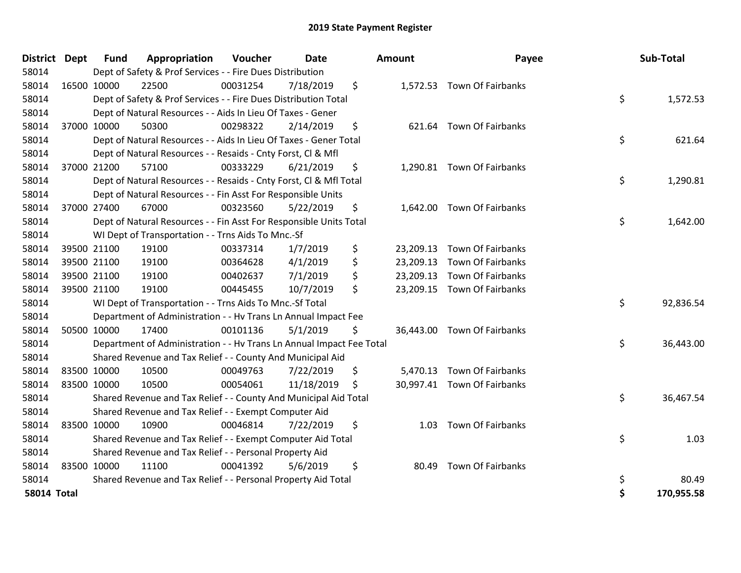| District           | <b>Dept</b> | <b>Fund</b> | Appropriation                                                        | Voucher  | Date       |     | Amount | Payee                       | Sub-Total        |
|--------------------|-------------|-------------|----------------------------------------------------------------------|----------|------------|-----|--------|-----------------------------|------------------|
| 58014              |             |             | Dept of Safety & Prof Services - - Fire Dues Distribution            |          |            |     |        |                             |                  |
| 58014              | 16500 10000 |             | 22500                                                                | 00031254 | 7/18/2019  | \$  |        | 1,572.53 Town Of Fairbanks  |                  |
| 58014              |             |             | Dept of Safety & Prof Services - - Fire Dues Distribution Total      |          |            |     |        |                             | \$<br>1,572.53   |
| 58014              |             |             | Dept of Natural Resources - - Aids In Lieu Of Taxes - Gener          |          |            |     |        |                             |                  |
| 58014              | 37000 10000 |             | 50300                                                                | 00298322 | 2/14/2019  | \$  | 621.64 | <b>Town Of Fairbanks</b>    |                  |
| 58014              |             |             | Dept of Natural Resources - - Aids In Lieu Of Taxes - Gener Total    |          |            |     |        |                             | \$<br>621.64     |
| 58014              |             |             | Dept of Natural Resources - - Resaids - Cnty Forst, CI & Mfl         |          |            |     |        |                             |                  |
| 58014              | 37000 21200 |             | 57100                                                                | 00333229 | 6/21/2019  | \$  |        | 1,290.81 Town Of Fairbanks  |                  |
| 58014              |             |             | Dept of Natural Resources - - Resaids - Cnty Forst, CI & Mfl Total   |          |            |     |        |                             | \$<br>1,290.81   |
| 58014              |             |             | Dept of Natural Resources - - Fin Asst For Responsible Units         |          |            |     |        |                             |                  |
| 58014              | 37000 27400 |             | 67000                                                                | 00323560 | 5/22/2019  | \$  |        | 1,642.00 Town Of Fairbanks  |                  |
| 58014              |             |             | Dept of Natural Resources - - Fin Asst For Responsible Units Total   |          |            |     |        |                             | \$<br>1,642.00   |
| 58014              |             |             | WI Dept of Transportation - - Trns Aids To Mnc.-Sf                   |          |            |     |        |                             |                  |
| 58014              | 39500 21100 |             | 19100                                                                | 00337314 | 1/7/2019   | \$  |        | 23,209.13 Town Of Fairbanks |                  |
| 58014              | 39500 21100 |             | 19100                                                                | 00364628 | 4/1/2019   | \$  |        | 23,209.13 Town Of Fairbanks |                  |
| 58014              | 39500 21100 |             | 19100                                                                | 00402637 | 7/1/2019   | \$  |        | 23,209.13 Town Of Fairbanks |                  |
| 58014              | 39500 21100 |             | 19100                                                                | 00445455 | 10/7/2019  | \$  |        | 23,209.15 Town Of Fairbanks |                  |
| 58014              |             |             | WI Dept of Transportation - - Trns Aids To Mnc.-Sf Total             |          |            |     |        |                             | \$<br>92,836.54  |
| 58014              |             |             | Department of Administration - - Hv Trans Ln Annual Impact Fee       |          |            |     |        |                             |                  |
| 58014              | 50500 10000 |             | 17400                                                                | 00101136 | 5/1/2019   | \$  |        | 36,443.00 Town Of Fairbanks |                  |
| 58014              |             |             | Department of Administration - - Hv Trans Ln Annual Impact Fee Total |          |            |     |        |                             | \$<br>36,443.00  |
| 58014              |             |             | Shared Revenue and Tax Relief - - County And Municipal Aid           |          |            |     |        |                             |                  |
| 58014              | 83500 10000 |             | 10500                                                                | 00049763 | 7/22/2019  | \$  |        | 5,470.13 Town Of Fairbanks  |                  |
| 58014              | 83500 10000 |             | 10500                                                                | 00054061 | 11/18/2019 | \$. |        | 30,997.41 Town Of Fairbanks |                  |
| 58014              |             |             | Shared Revenue and Tax Relief - - County And Municipal Aid Total     |          |            |     |        |                             | \$<br>36,467.54  |
| 58014              |             |             | Shared Revenue and Tax Relief - - Exempt Computer Aid                |          |            |     |        |                             |                  |
| 58014              | 83500 10000 |             | 10900                                                                | 00046814 | 7/22/2019  | \$  | 1.03   | Town Of Fairbanks           |                  |
| 58014              |             |             | Shared Revenue and Tax Relief - - Exempt Computer Aid Total          |          |            |     |        |                             | \$<br>1.03       |
| 58014              |             |             | Shared Revenue and Tax Relief - - Personal Property Aid              |          |            |     |        |                             |                  |
| 58014              | 83500 10000 |             | 11100                                                                | 00041392 | 5/6/2019   | \$  |        | 80.49 Town Of Fairbanks     |                  |
| 58014              |             |             | Shared Revenue and Tax Relief - - Personal Property Aid Total        |          |            |     |        |                             | \$<br>80.49      |
| <b>58014 Total</b> |             |             |                                                                      |          |            |     |        |                             | \$<br>170,955.58 |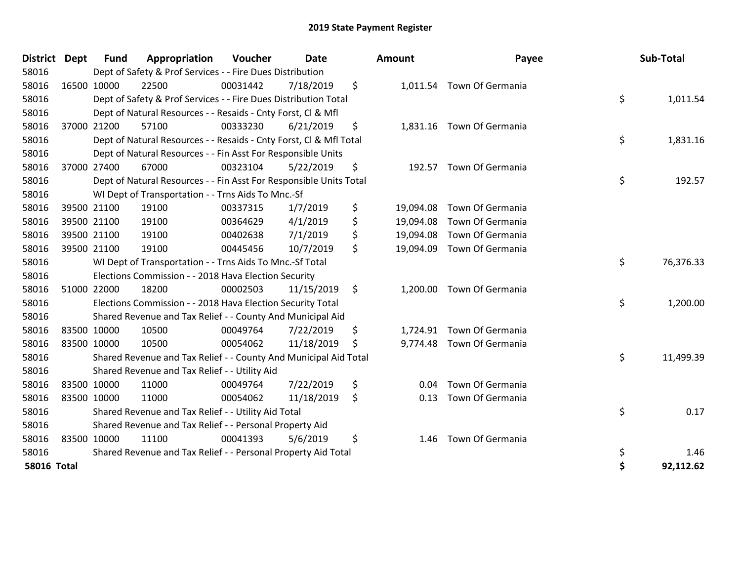| District           | Dept | <b>Fund</b> | Appropriation                                                      | Voucher  | <b>Date</b> | <b>Amount</b>   | Payee                      | Sub-Total       |
|--------------------|------|-------------|--------------------------------------------------------------------|----------|-------------|-----------------|----------------------------|-----------------|
| 58016              |      |             | Dept of Safety & Prof Services - - Fire Dues Distribution          |          |             |                 |                            |                 |
| 58016              |      | 16500 10000 | 22500                                                              | 00031442 | 7/18/2019   | \$              | 1,011.54 Town Of Germania  |                 |
| 58016              |      |             | Dept of Safety & Prof Services - - Fire Dues Distribution Total    |          |             |                 |                            | \$<br>1,011.54  |
| 58016              |      |             | Dept of Natural Resources - - Resaids - Cnty Forst, Cl & Mfl       |          |             |                 |                            |                 |
| 58016              |      | 37000 21200 | 57100                                                              | 00333230 | 6/21/2019   | \$              | 1,831.16 Town Of Germania  |                 |
| 58016              |      |             | Dept of Natural Resources - - Resaids - Cnty Forst, CI & Mfl Total |          |             |                 |                            | \$<br>1,831.16  |
| 58016              |      |             | Dept of Natural Resources - - Fin Asst For Responsible Units       |          |             |                 |                            |                 |
| 58016              |      | 37000 27400 | 67000                                                              | 00323104 | 5/22/2019   | \$<br>192.57    | Town Of Germania           |                 |
| 58016              |      |             | Dept of Natural Resources - - Fin Asst For Responsible Units Total |          |             |                 |                            | \$<br>192.57    |
| 58016              |      |             | WI Dept of Transportation - - Trns Aids To Mnc.-Sf                 |          |             |                 |                            |                 |
| 58016              |      | 39500 21100 | 19100                                                              | 00337315 | 1/7/2019    | \$<br>19,094.08 | Town Of Germania           |                 |
| 58016              |      | 39500 21100 | 19100                                                              | 00364629 | 4/1/2019    | \$<br>19,094.08 | Town Of Germania           |                 |
| 58016              |      | 39500 21100 | 19100                                                              | 00402638 | 7/1/2019    | \$<br>19,094.08 | Town Of Germania           |                 |
| 58016              |      | 39500 21100 | 19100                                                              | 00445456 | 10/7/2019   | \$              | 19,094.09 Town Of Germania |                 |
| 58016              |      |             | WI Dept of Transportation - - Trns Aids To Mnc.-Sf Total           |          |             |                 |                            | \$<br>76,376.33 |
| 58016              |      |             | Elections Commission - - 2018 Hava Election Security               |          |             |                 |                            |                 |
| 58016              |      | 51000 22000 | 18200                                                              | 00002503 | 11/15/2019  | \$              | 1,200.00 Town Of Germania  |                 |
| 58016              |      |             | Elections Commission - - 2018 Hava Election Security Total         |          |             |                 |                            | \$<br>1,200.00  |
| 58016              |      |             | Shared Revenue and Tax Relief - - County And Municipal Aid         |          |             |                 |                            |                 |
| 58016              |      | 83500 10000 | 10500                                                              | 00049764 | 7/22/2019   | \$<br>1,724.91  | Town Of Germania           |                 |
| 58016              |      | 83500 10000 | 10500                                                              | 00054062 | 11/18/2019  | \$              | 9,774.48 Town Of Germania  |                 |
| 58016              |      |             | Shared Revenue and Tax Relief - - County And Municipal Aid Total   |          |             |                 |                            | \$<br>11,499.39 |
| 58016              |      |             | Shared Revenue and Tax Relief - - Utility Aid                      |          |             |                 |                            |                 |
| 58016              |      | 83500 10000 | 11000                                                              | 00049764 | 7/22/2019   | \$<br>0.04      | Town Of Germania           |                 |
| 58016              |      | 83500 10000 | 11000                                                              | 00054062 | 11/18/2019  | \$<br>0.13      | Town Of Germania           |                 |
| 58016              |      |             | Shared Revenue and Tax Relief - - Utility Aid Total                |          |             |                 |                            | \$<br>0.17      |
| 58016              |      |             | Shared Revenue and Tax Relief - - Personal Property Aid            |          |             |                 |                            |                 |
| 58016              |      | 83500 10000 | 11100                                                              | 00041393 | 5/6/2019    | \$<br>1.46      | Town Of Germania           |                 |
| 58016              |      |             | Shared Revenue and Tax Relief - - Personal Property Aid Total      |          |             |                 |                            | \$<br>1.46      |
| <b>58016 Total</b> |      |             |                                                                    |          |             |                 |                            | \$<br>92,112.62 |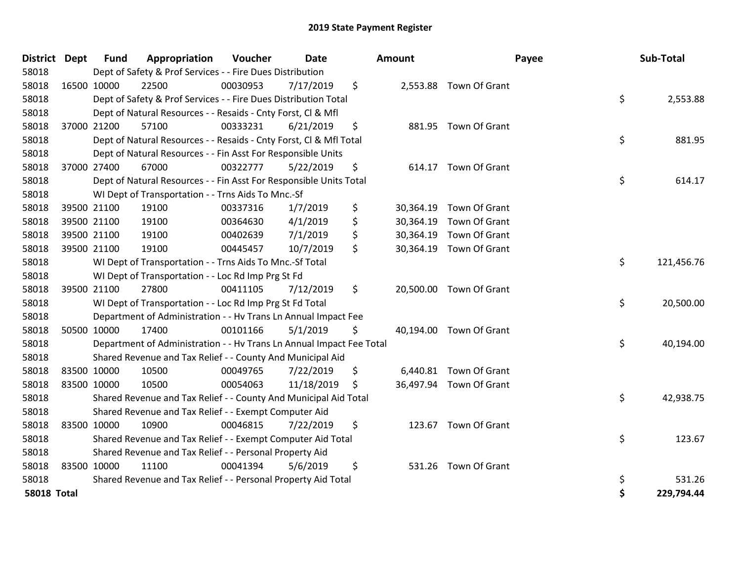| District           | <b>Dept</b> | <b>Fund</b> | Appropriation                                                        | Voucher  | <b>Date</b> |    | <b>Amount</b> |                         | Payee | Sub-Total  |
|--------------------|-------------|-------------|----------------------------------------------------------------------|----------|-------------|----|---------------|-------------------------|-------|------------|
| 58018              |             |             | Dept of Safety & Prof Services - - Fire Dues Distribution            |          |             |    |               |                         |       |            |
| 58018              |             | 16500 10000 | 22500                                                                | 00030953 | 7/17/2019   | \$ |               | 2,553.88 Town Of Grant  |       |            |
| 58018              |             |             | Dept of Safety & Prof Services - - Fire Dues Distribution Total      |          |             |    |               |                         | \$    | 2,553.88   |
| 58018              |             |             | Dept of Natural Resources - - Resaids - Cnty Forst, Cl & Mfl         |          |             |    |               |                         |       |            |
| 58018              |             | 37000 21200 | 57100                                                                | 00333231 | 6/21/2019   | \$ | 881.95        | Town Of Grant           |       |            |
| 58018              |             |             | Dept of Natural Resources - - Resaids - Cnty Forst, Cl & Mfl Total   |          |             |    |               |                         | \$    | 881.95     |
| 58018              |             |             | Dept of Natural Resources - - Fin Asst For Responsible Units         |          |             |    |               |                         |       |            |
| 58018              | 37000 27400 |             | 67000                                                                | 00322777 | 5/22/2019   | \$ |               | 614.17 Town Of Grant    |       |            |
| 58018              |             |             | Dept of Natural Resources - - Fin Asst For Responsible Units Total   |          |             |    |               |                         | \$    | 614.17     |
| 58018              |             |             | WI Dept of Transportation - - Trns Aids To Mnc.-Sf                   |          |             |    |               |                         |       |            |
| 58018              |             | 39500 21100 | 19100                                                                | 00337316 | 1/7/2019    | \$ | 30,364.19     | Town Of Grant           |       |            |
| 58018              |             | 39500 21100 | 19100                                                                | 00364630 | 4/1/2019    | \$ | 30,364.19     | Town Of Grant           |       |            |
| 58018              |             | 39500 21100 | 19100                                                                | 00402639 | 7/1/2019    | \$ |               | 30,364.19 Town Of Grant |       |            |
| 58018              | 39500 21100 |             | 19100                                                                | 00445457 | 10/7/2019   | \$ |               | 30,364.19 Town Of Grant |       |            |
| 58018              |             |             | WI Dept of Transportation - - Trns Aids To Mnc.-Sf Total             |          |             |    |               |                         | \$    | 121,456.76 |
| 58018              |             |             | WI Dept of Transportation - - Loc Rd Imp Prg St Fd                   |          |             |    |               |                         |       |            |
| 58018              |             | 39500 21100 | 27800                                                                | 00411105 | 7/12/2019   | \$ |               | 20,500.00 Town Of Grant |       |            |
| 58018              |             |             | WI Dept of Transportation - - Loc Rd Imp Prg St Fd Total             |          |             |    |               |                         | \$    | 20,500.00  |
| 58018              |             |             | Department of Administration - - Hv Trans Ln Annual Impact Fee       |          |             |    |               |                         |       |            |
| 58018              | 50500 10000 |             | 17400                                                                | 00101166 | 5/1/2019    | \$ |               | 40,194.00 Town Of Grant |       |            |
| 58018              |             |             | Department of Administration - - Hv Trans Ln Annual Impact Fee Total |          |             |    |               |                         | \$    | 40,194.00  |
| 58018              |             |             | Shared Revenue and Tax Relief - - County And Municipal Aid           |          |             |    |               |                         |       |            |
| 58018              |             | 83500 10000 | 10500                                                                | 00049765 | 7/22/2019   | \$ |               | 6,440.81 Town Of Grant  |       |            |
| 58018              |             | 83500 10000 | 10500                                                                | 00054063 | 11/18/2019  | S  |               | 36,497.94 Town Of Grant |       |            |
| 58018              |             |             | Shared Revenue and Tax Relief - - County And Municipal Aid Total     |          |             |    |               |                         | \$    | 42,938.75  |
| 58018              |             |             | Shared Revenue and Tax Relief - - Exempt Computer Aid                |          |             |    |               |                         |       |            |
| 58018              |             | 83500 10000 | 10900                                                                | 00046815 | 7/22/2019   | \$ |               | 123.67 Town Of Grant    |       |            |
| 58018              |             |             | Shared Revenue and Tax Relief - - Exempt Computer Aid Total          |          |             |    |               |                         | \$    | 123.67     |
| 58018              |             |             | Shared Revenue and Tax Relief - - Personal Property Aid              |          |             |    |               |                         |       |            |
| 58018              |             | 83500 10000 | 11100                                                                | 00041394 | 5/6/2019    | \$ |               | 531.26 Town Of Grant    |       |            |
| 58018              |             |             | Shared Revenue and Tax Relief - - Personal Property Aid Total        |          |             |    |               |                         | \$    | 531.26     |
| <b>58018 Total</b> |             |             |                                                                      |          |             |    |               |                         | \$    | 229,794.44 |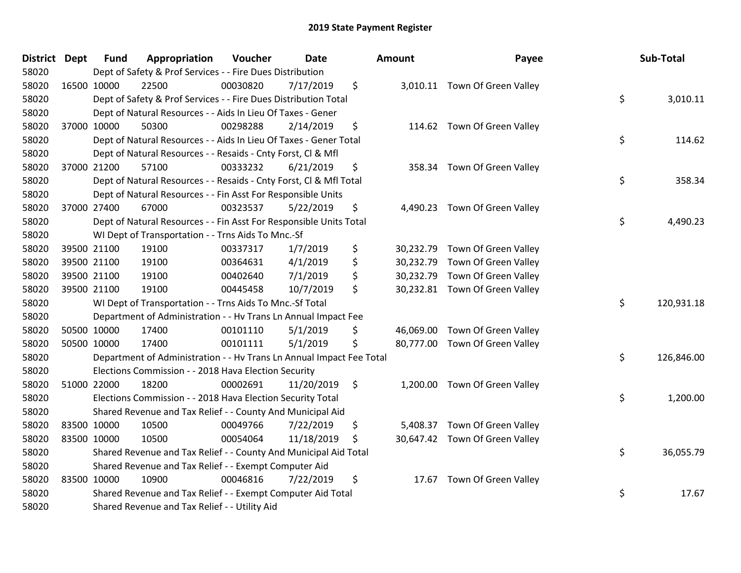| District Dept | <b>Fund</b> | Appropriation                                                        | Voucher  | <b>Date</b> | <b>Amount</b> | Payee                          | Sub-Total        |
|---------------|-------------|----------------------------------------------------------------------|----------|-------------|---------------|--------------------------------|------------------|
| 58020         |             | Dept of Safety & Prof Services - - Fire Dues Distribution            |          |             |               |                                |                  |
| 58020         | 16500 10000 | 22500                                                                | 00030820 | 7/17/2019   | \$            | 3,010.11 Town Of Green Valley  |                  |
| 58020         |             | Dept of Safety & Prof Services - - Fire Dues Distribution Total      |          |             |               |                                | \$<br>3,010.11   |
| 58020         |             | Dept of Natural Resources - - Aids In Lieu Of Taxes - Gener          |          |             |               |                                |                  |
| 58020         | 37000 10000 | 50300                                                                | 00298288 | 2/14/2019   | \$            | 114.62 Town Of Green Valley    |                  |
| 58020         |             | Dept of Natural Resources - - Aids In Lieu Of Taxes - Gener Total    |          |             |               |                                | \$<br>114.62     |
| 58020         |             | Dept of Natural Resources - - Resaids - Cnty Forst, Cl & Mfl         |          |             |               |                                |                  |
| 58020         | 37000 21200 | 57100                                                                | 00333232 | 6/21/2019   | \$            | 358.34 Town Of Green Valley    |                  |
| 58020         |             | Dept of Natural Resources - - Resaids - Cnty Forst, CI & Mfl Total   |          |             |               |                                | \$<br>358.34     |
| 58020         |             | Dept of Natural Resources - - Fin Asst For Responsible Units         |          |             |               |                                |                  |
| 58020         | 37000 27400 | 67000                                                                | 00323537 | 5/22/2019   | \$            | 4,490.23 Town Of Green Valley  |                  |
| 58020         |             | Dept of Natural Resources - - Fin Asst For Responsible Units Total   |          |             |               |                                | \$<br>4,490.23   |
| 58020         |             | WI Dept of Transportation - - Trns Aids To Mnc.-Sf                   |          |             |               |                                |                  |
| 58020         | 39500 21100 | 19100                                                                | 00337317 | 1/7/2019    | \$            | 30,232.79 Town Of Green Valley |                  |
| 58020         | 39500 21100 | 19100                                                                | 00364631 | 4/1/2019    | \$            | 30,232.79 Town Of Green Valley |                  |
| 58020         | 39500 21100 | 19100                                                                | 00402640 | 7/1/2019    | \$            | 30,232.79 Town Of Green Valley |                  |
| 58020         | 39500 21100 | 19100                                                                | 00445458 | 10/7/2019   | \$            | 30,232.81 Town Of Green Valley |                  |
| 58020         |             | WI Dept of Transportation - - Trns Aids To Mnc .- Sf Total           |          |             |               |                                | \$<br>120,931.18 |
| 58020         |             | Department of Administration - - Hv Trans Ln Annual Impact Fee       |          |             |               |                                |                  |
| 58020         | 50500 10000 | 17400                                                                | 00101110 | 5/1/2019    | \$            | 46,069.00 Town Of Green Valley |                  |
| 58020         | 50500 10000 | 17400                                                                | 00101111 | 5/1/2019    | \$            | 80,777.00 Town Of Green Valley |                  |
| 58020         |             | Department of Administration - - Hv Trans Ln Annual Impact Fee Total |          |             |               |                                | \$<br>126,846.00 |
| 58020         |             | Elections Commission - - 2018 Hava Election Security                 |          |             |               |                                |                  |
| 58020         | 51000 22000 | 18200                                                                | 00002691 | 11/20/2019  | \$            | 1,200.00 Town Of Green Valley  |                  |
| 58020         |             | Elections Commission - - 2018 Hava Election Security Total           |          |             |               |                                | \$<br>1,200.00   |
| 58020         |             | Shared Revenue and Tax Relief - - County And Municipal Aid           |          |             |               |                                |                  |
| 58020         | 83500 10000 | 10500                                                                | 00049766 | 7/22/2019   | \$            | 5,408.37 Town Of Green Valley  |                  |
| 58020         | 83500 10000 | 10500                                                                | 00054064 | 11/18/2019  | \$            | 30,647.42 Town Of Green Valley |                  |
| 58020         |             | Shared Revenue and Tax Relief - - County And Municipal Aid Total     |          |             |               |                                | \$<br>36,055.79  |
| 58020         |             | Shared Revenue and Tax Relief - - Exempt Computer Aid                |          |             |               |                                |                  |
| 58020         | 83500 10000 | 10900                                                                | 00046816 | 7/22/2019   | \$            | 17.67 Town Of Green Valley     |                  |
| 58020         |             | Shared Revenue and Tax Relief - - Exempt Computer Aid Total          |          |             |               |                                | \$<br>17.67      |
| 58020         |             | Shared Revenue and Tax Relief - - Utility Aid                        |          |             |               |                                |                  |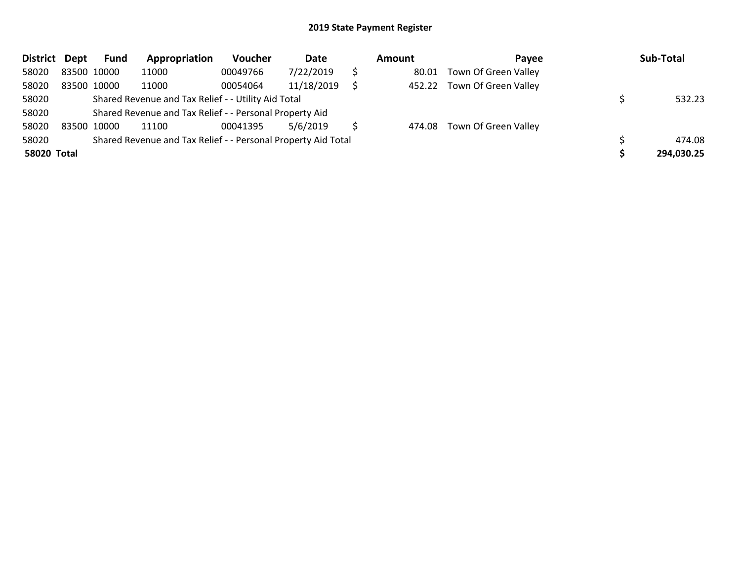| <b>District</b> | Dept        | Fund | Appropriation                                                 | Voucher  | Date       | Amount | Pavee                       | Sub-Total  |
|-----------------|-------------|------|---------------------------------------------------------------|----------|------------|--------|-----------------------------|------------|
| 58020           | 83500 10000 |      | 11000                                                         | 00049766 | 7/22/2019  | 80.01  | Town Of Green Valley        |            |
| 58020           | 83500 10000 |      | 11000                                                         | 00054064 | 11/18/2019 |        | 452.22 Town Of Green Valley |            |
| 58020           |             |      | Shared Revenue and Tax Relief - - Utility Aid Total           |          |            |        |                             | 532.23     |
| 58020           |             |      | Shared Revenue and Tax Relief - - Personal Property Aid       |          |            |        |                             |            |
| 58020           | 83500 10000 |      | 11100                                                         | 00041395 | 5/6/2019   |        | 474.08 Town Of Green Valley |            |
| 58020           |             |      | Shared Revenue and Tax Relief - - Personal Property Aid Total |          |            |        |                             | 474.08     |
| 58020 Total     |             |      |                                                               |          |            |        |                             | 294,030.25 |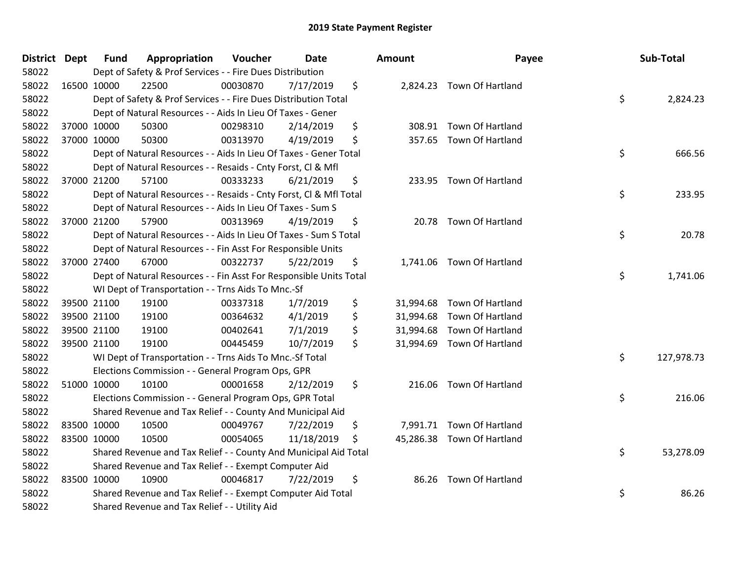| District Dept |             | Fund        | Appropriation                                                      | Voucher  | Date       |     | <b>Amount</b> | Payee                      | Sub-Total        |
|---------------|-------------|-------------|--------------------------------------------------------------------|----------|------------|-----|---------------|----------------------------|------------------|
| 58022         |             |             | Dept of Safety & Prof Services - - Fire Dues Distribution          |          |            |     |               |                            |                  |
| 58022         |             | 16500 10000 | 22500                                                              | 00030870 | 7/17/2019  | \$  |               | 2,824.23 Town Of Hartland  |                  |
| 58022         |             |             | Dept of Safety & Prof Services - - Fire Dues Distribution Total    |          |            |     |               |                            | \$<br>2,824.23   |
| 58022         |             |             | Dept of Natural Resources - - Aids In Lieu Of Taxes - Gener        |          |            |     |               |                            |                  |
| 58022         |             | 37000 10000 | 50300                                                              | 00298310 | 2/14/2019  | \$  |               | 308.91 Town Of Hartland    |                  |
| 58022         |             | 37000 10000 | 50300                                                              | 00313970 | 4/19/2019  | \$  | 357.65        | Town Of Hartland           |                  |
| 58022         |             |             | Dept of Natural Resources - - Aids In Lieu Of Taxes - Gener Total  |          |            |     |               |                            | \$<br>666.56     |
| 58022         |             |             | Dept of Natural Resources - - Resaids - Cnty Forst, Cl & Mfl       |          |            |     |               |                            |                  |
| 58022         |             | 37000 21200 | 57100                                                              | 00333233 | 6/21/2019  | \$  |               | 233.95 Town Of Hartland    |                  |
| 58022         |             |             | Dept of Natural Resources - - Resaids - Cnty Forst, CI & Mfl Total |          |            |     |               |                            | \$<br>233.95     |
| 58022         |             |             | Dept of Natural Resources - - Aids In Lieu Of Taxes - Sum S        |          |            |     |               |                            |                  |
| 58022         |             | 37000 21200 | 57900                                                              | 00313969 | 4/19/2019  | \$  |               | 20.78 Town Of Hartland     |                  |
| 58022         |             |             | Dept of Natural Resources - - Aids In Lieu Of Taxes - Sum S Total  |          |            |     |               |                            | \$<br>20.78      |
| 58022         |             |             | Dept of Natural Resources - - Fin Asst For Responsible Units       |          |            |     |               |                            |                  |
| 58022         |             | 37000 27400 | 67000                                                              | 00322737 | 5/22/2019  | \$  |               | 1,741.06 Town Of Hartland  |                  |
| 58022         |             |             | Dept of Natural Resources - - Fin Asst For Responsible Units Total |          |            |     |               |                            | \$<br>1,741.06   |
| 58022         |             |             | WI Dept of Transportation - - Trns Aids To Mnc.-Sf                 |          |            |     |               |                            |                  |
| 58022         |             | 39500 21100 | 19100                                                              | 00337318 | 1/7/2019   | \$  |               | 31,994.68 Town Of Hartland |                  |
| 58022         |             | 39500 21100 | 19100                                                              | 00364632 | 4/1/2019   | \$  |               | 31,994.68 Town Of Hartland |                  |
| 58022         |             | 39500 21100 | 19100                                                              | 00402641 | 7/1/2019   | \$  |               | 31,994.68 Town Of Hartland |                  |
| 58022         |             | 39500 21100 | 19100                                                              | 00445459 | 10/7/2019  | \$  |               | 31,994.69 Town Of Hartland |                  |
| 58022         |             |             | WI Dept of Transportation - - Trns Aids To Mnc.-Sf Total           |          |            |     |               |                            | \$<br>127,978.73 |
| 58022         |             |             | Elections Commission - - General Program Ops, GPR                  |          |            |     |               |                            |                  |
| 58022         |             | 51000 10000 | 10100                                                              | 00001658 | 2/12/2019  | \$  | 216.06        | Town Of Hartland           |                  |
| 58022         |             |             | Elections Commission - - General Program Ops, GPR Total            |          |            |     |               |                            | \$<br>216.06     |
| 58022         |             |             | Shared Revenue and Tax Relief - - County And Municipal Aid         |          |            |     |               |                            |                  |
| 58022         | 83500 10000 |             | 10500                                                              | 00049767 | 7/22/2019  | \$  |               | 7,991.71 Town Of Hartland  |                  |
| 58022         | 83500 10000 |             | 10500                                                              | 00054065 | 11/18/2019 | \$. |               | 45,286.38 Town Of Hartland |                  |
| 58022         |             |             | Shared Revenue and Tax Relief - - County And Municipal Aid Total   |          |            |     |               |                            | \$<br>53,278.09  |
| 58022         |             |             | Shared Revenue and Tax Relief - - Exempt Computer Aid              |          |            |     |               |                            |                  |
| 58022         |             | 83500 10000 | 10900                                                              | 00046817 | 7/22/2019  | \$  |               | 86.26 Town Of Hartland     |                  |
| 58022         |             |             | Shared Revenue and Tax Relief - - Exempt Computer Aid Total        |          |            |     |               |                            | \$<br>86.26      |
| 58022         |             |             | Shared Revenue and Tax Relief - - Utility Aid                      |          |            |     |               |                            |                  |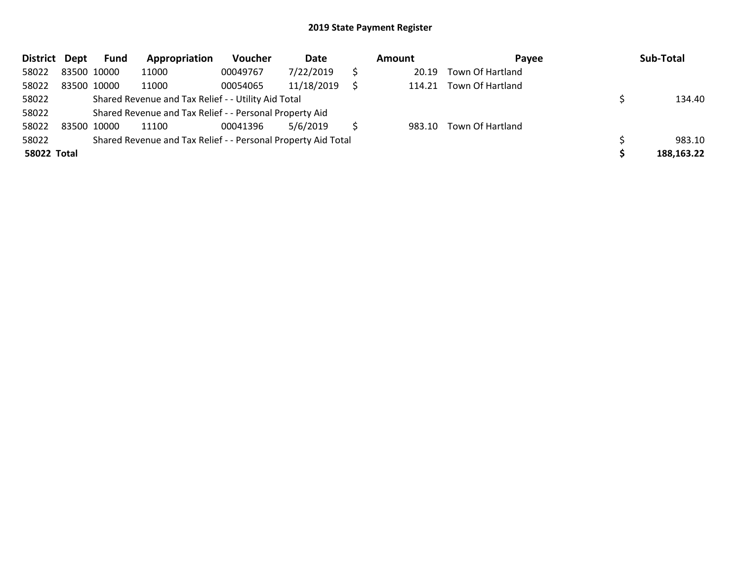| District Dept      |             | <b>Fund</b> | Appropriation                                                 | Voucher  | Date       | Amount | Pavee                   | Sub-Total  |
|--------------------|-------------|-------------|---------------------------------------------------------------|----------|------------|--------|-------------------------|------------|
| 58022              | 83500 10000 |             | 11000                                                         | 00049767 | 7/22/2019  | 20.19  | Town Of Hartland        |            |
| 58022              | 83500 10000 |             | 11000                                                         | 00054065 | 11/18/2019 | 114.21 | Town Of Hartland        |            |
| 58022              |             |             | Shared Revenue and Tax Relief - - Utility Aid Total           |          |            |        |                         | 134.40     |
| 58022              |             |             | Shared Revenue and Tax Relief - - Personal Property Aid       |          |            |        |                         |            |
| 58022              | 83500 10000 |             | 11100                                                         | 00041396 | 5/6/2019   |        | 983.10 Town Of Hartland |            |
| 58022              |             |             | Shared Revenue and Tax Relief - - Personal Property Aid Total |          |            |        |                         | 983.10     |
| <b>58022 Total</b> |             |             |                                                               |          |            |        |                         | 188,163.22 |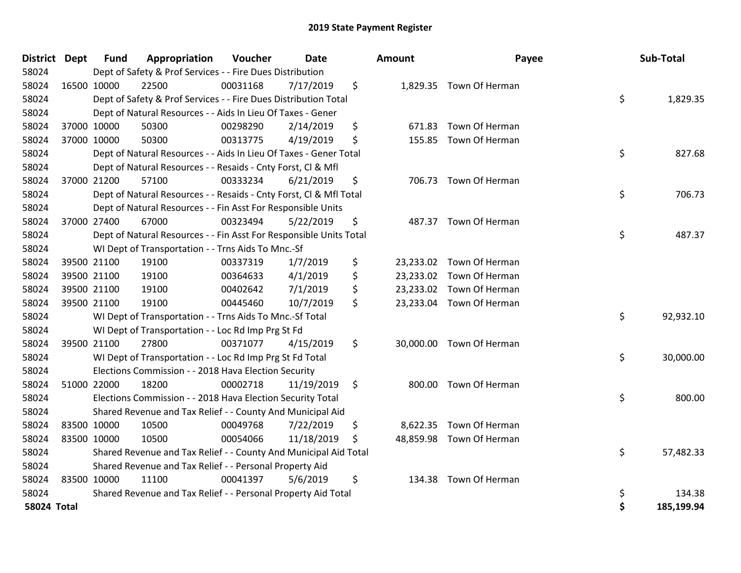| <b>District Dept</b> |             | <b>Fund</b> | Appropriation                                                      | Voucher  | <b>Date</b> | Amount       | Payee                    | Sub-Total        |
|----------------------|-------------|-------------|--------------------------------------------------------------------|----------|-------------|--------------|--------------------------|------------------|
| 58024                |             |             | Dept of Safety & Prof Services - - Fire Dues Distribution          |          |             |              |                          |                  |
| 58024                | 16500 10000 |             | 22500                                                              | 00031168 | 7/17/2019   | \$           | 1,829.35 Town Of Herman  |                  |
| 58024                |             |             | Dept of Safety & Prof Services - - Fire Dues Distribution Total    |          |             |              |                          | \$<br>1,829.35   |
| 58024                |             |             | Dept of Natural Resources - - Aids In Lieu Of Taxes - Gener        |          |             |              |                          |                  |
| 58024                |             | 37000 10000 | 50300                                                              | 00298290 | 2/14/2019   | \$<br>671.83 | Town Of Herman           |                  |
| 58024                | 37000 10000 |             | 50300                                                              | 00313775 | 4/19/2019   | \$<br>155.85 | Town Of Herman           |                  |
| 58024                |             |             | Dept of Natural Resources - - Aids In Lieu Of Taxes - Gener Total  |          |             |              |                          | \$<br>827.68     |
| 58024                |             |             | Dept of Natural Resources - - Resaids - Cnty Forst, Cl & Mfl       |          |             |              |                          |                  |
| 58024                |             | 37000 21200 | 57100                                                              | 00333234 | 6/21/2019   | \$           | 706.73 Town Of Herman    |                  |
| 58024                |             |             | Dept of Natural Resources - - Resaids - Cnty Forst, Cl & Mfl Total |          |             |              |                          | \$<br>706.73     |
| 58024                |             |             | Dept of Natural Resources - - Fin Asst For Responsible Units       |          |             |              |                          |                  |
| 58024                |             | 37000 27400 | 67000                                                              | 00323494 | 5/22/2019   | \$<br>487.37 | Town Of Herman           |                  |
| 58024                |             |             | Dept of Natural Resources - - Fin Asst For Responsible Units Total |          |             |              |                          | \$<br>487.37     |
| 58024                |             |             | WI Dept of Transportation - - Trns Aids To Mnc.-Sf                 |          |             |              |                          |                  |
| 58024                | 39500 21100 |             | 19100                                                              | 00337319 | 1/7/2019    | \$           | 23,233.02 Town Of Herman |                  |
| 58024                |             | 39500 21100 | 19100                                                              | 00364633 | 4/1/2019    | \$           | 23,233.02 Town Of Herman |                  |
| 58024                | 39500 21100 |             | 19100                                                              | 00402642 | 7/1/2019    | \$           | 23,233.02 Town Of Herman |                  |
| 58024                | 39500 21100 |             | 19100                                                              | 00445460 | 10/7/2019   | \$           | 23,233.04 Town Of Herman |                  |
| 58024                |             |             | WI Dept of Transportation - - Trns Aids To Mnc.-Sf Total           |          |             |              |                          | \$<br>92,932.10  |
| 58024                |             |             | WI Dept of Transportation - - Loc Rd Imp Prg St Fd                 |          |             |              |                          |                  |
| 58024                |             | 39500 21100 | 27800                                                              | 00371077 | 4/15/2019   | \$           | 30,000.00 Town Of Herman |                  |
| 58024                |             |             | WI Dept of Transportation - - Loc Rd Imp Prg St Fd Total           |          |             |              |                          | \$<br>30,000.00  |
| 58024                |             |             | Elections Commission - - 2018 Hava Election Security               |          |             |              |                          |                  |
| 58024                | 51000 22000 |             | 18200                                                              | 00002718 | 11/19/2019  | \$<br>800.00 | Town Of Herman           |                  |
| 58024                |             |             | Elections Commission - - 2018 Hava Election Security Total         |          |             |              |                          | \$<br>800.00     |
| 58024                |             |             | Shared Revenue and Tax Relief - - County And Municipal Aid         |          |             |              |                          |                  |
| 58024                | 83500 10000 |             | 10500                                                              | 00049768 | 7/22/2019   | \$           | 8,622.35 Town Of Herman  |                  |
| 58024                | 83500 10000 |             | 10500                                                              | 00054066 | 11/18/2019  | \$           | 48,859.98 Town Of Herman |                  |
| 58024                |             |             | Shared Revenue and Tax Relief - - County And Municipal Aid Total   |          |             |              |                          | \$<br>57,482.33  |
| 58024                |             |             | Shared Revenue and Tax Relief - - Personal Property Aid            |          |             |              |                          |                  |
| 58024                | 83500 10000 |             | 11100                                                              | 00041397 | 5/6/2019    | \$<br>134.38 | Town Of Herman           |                  |
| 58024                |             |             | Shared Revenue and Tax Relief - - Personal Property Aid Total      |          |             |              |                          | \$<br>134.38     |
| <b>58024 Total</b>   |             |             |                                                                    |          |             |              |                          | \$<br>185,199.94 |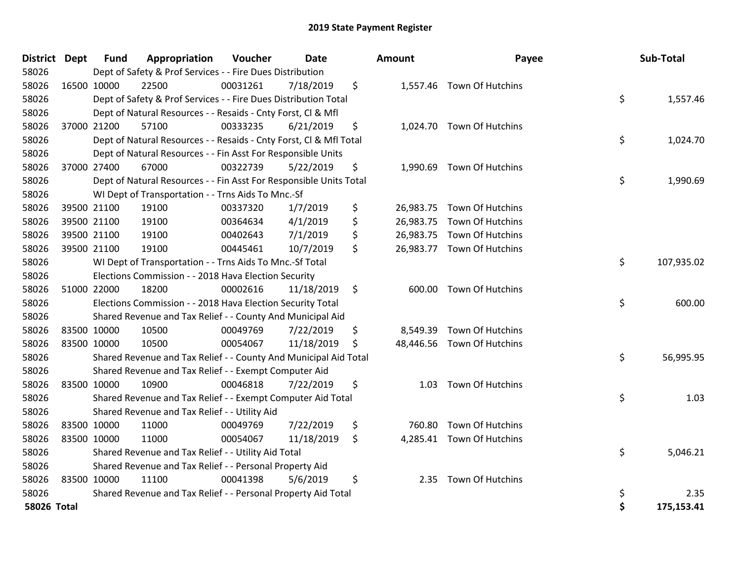| District Dept |             | <b>Fund</b> | Appropriation                                                      | Voucher  | Date       | <b>Amount</b> | Payee                      | Sub-Total        |
|---------------|-------------|-------------|--------------------------------------------------------------------|----------|------------|---------------|----------------------------|------------------|
| 58026         |             |             | Dept of Safety & Prof Services - - Fire Dues Distribution          |          |            |               |                            |                  |
| 58026         |             | 16500 10000 | 22500                                                              | 00031261 | 7/18/2019  | \$            | 1,557.46 Town Of Hutchins  |                  |
| 58026         |             |             | Dept of Safety & Prof Services - - Fire Dues Distribution Total    |          |            |               |                            | \$<br>1,557.46   |
| 58026         |             |             | Dept of Natural Resources - - Resaids - Cnty Forst, CI & Mfl       |          |            |               |                            |                  |
| 58026         |             | 37000 21200 | 57100                                                              | 00333235 | 6/21/2019  | \$            | 1,024.70 Town Of Hutchins  |                  |
| 58026         |             |             | Dept of Natural Resources - - Resaids - Cnty Forst, Cl & Mfl Total |          |            |               |                            | \$<br>1,024.70   |
| 58026         |             |             | Dept of Natural Resources - - Fin Asst For Responsible Units       |          |            |               |                            |                  |
| 58026         |             | 37000 27400 | 67000                                                              | 00322739 | 5/22/2019  | \$            | 1,990.69 Town Of Hutchins  |                  |
| 58026         |             |             | Dept of Natural Resources - - Fin Asst For Responsible Units Total |          |            |               |                            | \$<br>1,990.69   |
| 58026         |             |             | WI Dept of Transportation - - Trns Aids To Mnc.-Sf                 |          |            |               |                            |                  |
| 58026         |             | 39500 21100 | 19100                                                              | 00337320 | 1/7/2019   | \$            | 26,983.75 Town Of Hutchins |                  |
| 58026         |             | 39500 21100 | 19100                                                              | 00364634 | 4/1/2019   | \$            | 26,983.75 Town Of Hutchins |                  |
| 58026         |             | 39500 21100 | 19100                                                              | 00402643 | 7/1/2019   | \$            | 26,983.75 Town Of Hutchins |                  |
| 58026         |             | 39500 21100 | 19100                                                              | 00445461 | 10/7/2019  | \$            | 26,983.77 Town Of Hutchins |                  |
| 58026         |             |             | WI Dept of Transportation - - Trns Aids To Mnc.-Sf Total           |          |            |               |                            | \$<br>107,935.02 |
| 58026         |             |             | Elections Commission - - 2018 Hava Election Security               |          |            |               |                            |                  |
| 58026         | 51000 22000 |             | 18200                                                              | 00002616 | 11/18/2019 | \$<br>600.00  | Town Of Hutchins           |                  |
| 58026         |             |             | Elections Commission - - 2018 Hava Election Security Total         |          |            |               |                            | \$<br>600.00     |
| 58026         |             |             | Shared Revenue and Tax Relief - - County And Municipal Aid         |          |            |               |                            |                  |
| 58026         |             | 83500 10000 | 10500                                                              | 00049769 | 7/22/2019  | \$            | 8,549.39 Town Of Hutchins  |                  |
| 58026         |             | 83500 10000 | 10500                                                              | 00054067 | 11/18/2019 | \$            | 48,446.56 Town Of Hutchins |                  |
| 58026         |             |             | Shared Revenue and Tax Relief - - County And Municipal Aid Total   |          |            |               |                            | \$<br>56,995.95  |
| 58026         |             |             | Shared Revenue and Tax Relief - - Exempt Computer Aid              |          |            |               |                            |                  |
| 58026         |             | 83500 10000 | 10900                                                              | 00046818 | 7/22/2019  | \$<br>1.03    | Town Of Hutchins           |                  |
| 58026         |             |             | Shared Revenue and Tax Relief - - Exempt Computer Aid Total        |          |            |               |                            | \$<br>1.03       |
| 58026         |             |             | Shared Revenue and Tax Relief - - Utility Aid                      |          |            |               |                            |                  |
| 58026         |             | 83500 10000 | 11000                                                              | 00049769 | 7/22/2019  | \$<br>760.80  | Town Of Hutchins           |                  |
| 58026         | 83500 10000 |             | 11000                                                              | 00054067 | 11/18/2019 | \$            | 4,285.41 Town Of Hutchins  |                  |
| 58026         |             |             | Shared Revenue and Tax Relief - - Utility Aid Total                |          |            |               |                            | \$<br>5,046.21   |
| 58026         |             |             | Shared Revenue and Tax Relief - - Personal Property Aid            |          |            |               |                            |                  |
| 58026         | 83500 10000 |             | 11100                                                              | 00041398 | 5/6/2019   | \$<br>2.35    | Town Of Hutchins           |                  |
| 58026         |             |             | Shared Revenue and Tax Relief - - Personal Property Aid Total      |          |            |               |                            | \$<br>2.35       |
| 58026 Total   |             |             |                                                                    |          |            |               |                            | \$<br>175,153.41 |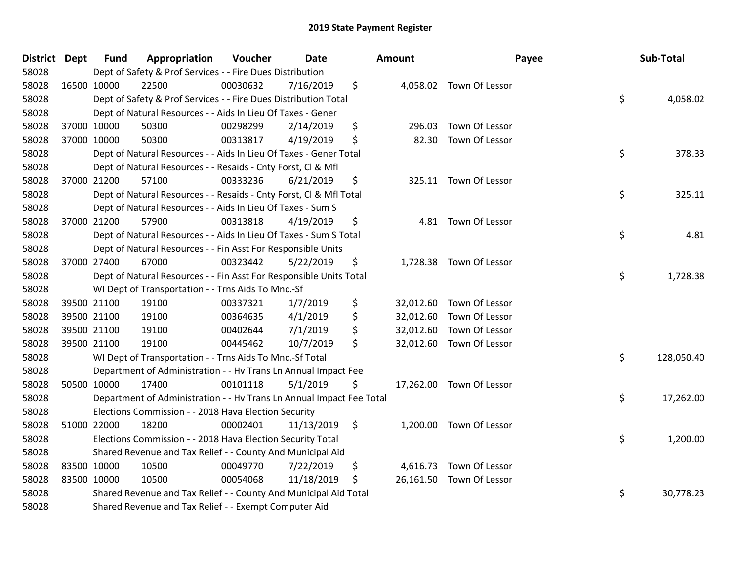| District Dept |             | <b>Fund</b> | Appropriation                                                        | Voucher  | <b>Date</b> | <b>Amount</b> |                          | Payee | Sub-Total  |
|---------------|-------------|-------------|----------------------------------------------------------------------|----------|-------------|---------------|--------------------------|-------|------------|
| 58028         |             |             | Dept of Safety & Prof Services - - Fire Dues Distribution            |          |             |               |                          |       |            |
| 58028         | 16500 10000 |             | 22500                                                                | 00030632 | 7/16/2019   | \$            | 4,058.02 Town Of Lessor  |       |            |
| 58028         |             |             | Dept of Safety & Prof Services - - Fire Dues Distribution Total      |          |             |               |                          | \$    | 4,058.02   |
| 58028         |             |             | Dept of Natural Resources - - Aids In Lieu Of Taxes - Gener          |          |             |               |                          |       |            |
| 58028         | 37000 10000 |             | 50300                                                                | 00298299 | 2/14/2019   | \$<br>296.03  | Town Of Lessor           |       |            |
| 58028         | 37000 10000 |             | 50300                                                                | 00313817 | 4/19/2019   | \$<br>82.30   | Town Of Lessor           |       |            |
| 58028         |             |             | Dept of Natural Resources - - Aids In Lieu Of Taxes - Gener Total    |          |             |               |                          | \$    | 378.33     |
| 58028         |             |             | Dept of Natural Resources - - Resaids - Cnty Forst, CI & Mfl         |          |             |               |                          |       |            |
| 58028         | 37000 21200 |             | 57100                                                                | 00333236 | 6/21/2019   | \$            | 325.11 Town Of Lessor    |       |            |
| 58028         |             |             | Dept of Natural Resources - - Resaids - Cnty Forst, CI & Mfl Total   |          |             |               |                          | \$    | 325.11     |
| 58028         |             |             | Dept of Natural Resources - - Aids In Lieu Of Taxes - Sum S          |          |             |               |                          |       |            |
| 58028         | 37000 21200 |             | 57900                                                                | 00313818 | 4/19/2019   | \$            | 4.81 Town Of Lessor      |       |            |
| 58028         |             |             | Dept of Natural Resources - - Aids In Lieu Of Taxes - Sum S Total    |          |             |               |                          | \$    | 4.81       |
| 58028         |             |             | Dept of Natural Resources - - Fin Asst For Responsible Units         |          |             |               |                          |       |            |
| 58028         | 37000 27400 |             | 67000                                                                | 00323442 | 5/22/2019   | \$            | 1,728.38 Town Of Lessor  |       |            |
| 58028         |             |             | Dept of Natural Resources - - Fin Asst For Responsible Units Total   |          |             |               |                          | \$    | 1,728.38   |
| 58028         |             |             | WI Dept of Transportation - - Trns Aids To Mnc.-Sf                   |          |             |               |                          |       |            |
| 58028         | 39500 21100 |             | 19100                                                                | 00337321 | 1/7/2019    | \$            | 32,012.60 Town Of Lessor |       |            |
| 58028         | 39500 21100 |             | 19100                                                                | 00364635 | 4/1/2019    | \$            | 32,012.60 Town Of Lessor |       |            |
| 58028         | 39500 21100 |             | 19100                                                                | 00402644 | 7/1/2019    | \$            | 32,012.60 Town Of Lessor |       |            |
| 58028         | 39500 21100 |             | 19100                                                                | 00445462 | 10/7/2019   | \$            | 32,012.60 Town Of Lessor |       |            |
| 58028         |             |             | WI Dept of Transportation - - Trns Aids To Mnc.-Sf Total             |          |             |               |                          | \$    | 128,050.40 |
| 58028         |             |             | Department of Administration - - Hv Trans Ln Annual Impact Fee       |          |             |               |                          |       |            |
| 58028         | 50500 10000 |             | 17400                                                                | 00101118 | 5/1/2019    | \$            | 17,262.00 Town Of Lessor |       |            |
| 58028         |             |             | Department of Administration - - Hv Trans Ln Annual Impact Fee Total |          |             |               |                          | \$    | 17,262.00  |
| 58028         |             |             | Elections Commission - - 2018 Hava Election Security                 |          |             |               |                          |       |            |
| 58028         | 51000 22000 |             | 18200                                                                | 00002401 | 11/13/2019  | \$            | 1,200.00 Town Of Lessor  |       |            |
| 58028         |             |             | Elections Commission - - 2018 Hava Election Security Total           |          |             |               |                          | \$    | 1,200.00   |
| 58028         |             |             | Shared Revenue and Tax Relief - - County And Municipal Aid           |          |             |               |                          |       |            |
| 58028         | 83500 10000 |             | 10500                                                                | 00049770 | 7/22/2019   | \$            | 4,616.73 Town Of Lessor  |       |            |
| 58028         | 83500 10000 |             | 10500                                                                | 00054068 | 11/18/2019  | \$            | 26,161.50 Town Of Lessor |       |            |
| 58028         |             |             | Shared Revenue and Tax Relief - - County And Municipal Aid Total     |          |             |               |                          | \$    | 30,778.23  |
| 58028         |             |             | Shared Revenue and Tax Relief - - Exempt Computer Aid                |          |             |               |                          |       |            |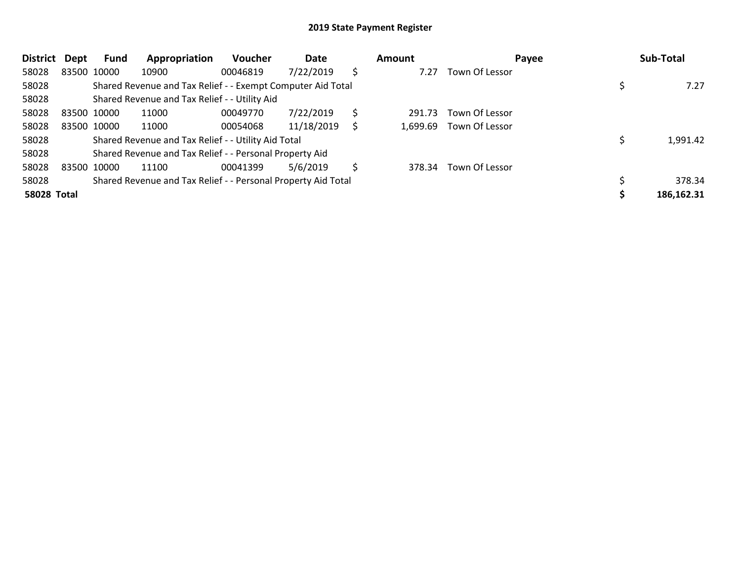| <b>District</b>    | Dept        | Fund        | Appropriation                                                 | <b>Voucher</b> | Date       |    | <b>Amount</b> | Payee          | Sub-Total  |
|--------------------|-------------|-------------|---------------------------------------------------------------|----------------|------------|----|---------------|----------------|------------|
| 58028              |             | 83500 10000 | 10900                                                         | 00046819       | 7/22/2019  | \$ | 7.27          | Town Of Lessor |            |
| 58028              |             |             | Shared Revenue and Tax Relief - - Exempt Computer Aid Total   |                |            |    |               |                | 7.27       |
| 58028              |             |             | Shared Revenue and Tax Relief - - Utility Aid                 |                |            |    |               |                |            |
| 58028              | 83500 10000 |             | 11000                                                         | 00049770       | 7/22/2019  | \$ | 291.73        | Town Of Lessor |            |
| 58028              |             | 83500 10000 | 11000                                                         | 00054068       | 11/18/2019 | S  | 1,699.69      | Town Of Lessor |            |
| 58028              |             |             | Shared Revenue and Tax Relief - - Utility Aid Total           |                |            |    |               |                | 1,991.42   |
| 58028              |             |             | Shared Revenue and Tax Relief - - Personal Property Aid       |                |            |    |               |                |            |
| 58028              |             | 83500 10000 | 11100                                                         | 00041399       | 5/6/2019   | \$ | 378.34        | Town Of Lessor |            |
| 58028              |             |             | Shared Revenue and Tax Relief - - Personal Property Aid Total |                |            |    |               |                | 378.34     |
| <b>58028 Total</b> |             |             |                                                               |                |            |    |               |                | 186,162.31 |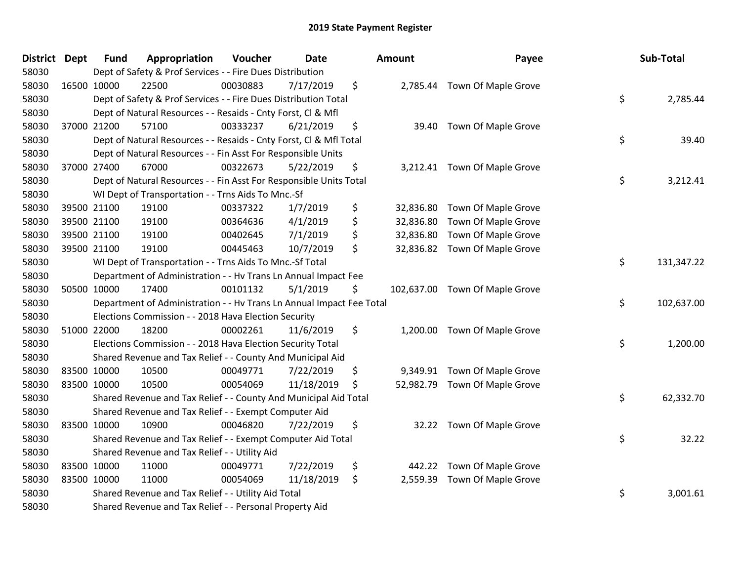| <b>District</b> | <b>Dept</b> | <b>Fund</b>                                                           | Appropriation | Voucher  | <b>Date</b> |    | <b>Amount</b> | Payee                          |    | Sub-Total  |
|-----------------|-------------|-----------------------------------------------------------------------|---------------|----------|-------------|----|---------------|--------------------------------|----|------------|
| 58030           |             | Dept of Safety & Prof Services - - Fire Dues Distribution             |               |          |             |    |               |                                |    |            |
| 58030           | 16500 10000 |                                                                       | 22500         | 00030883 | 7/17/2019   | \$ |               | 2,785.44 Town Of Maple Grove   |    |            |
| 58030           |             | \$<br>Dept of Safety & Prof Services - - Fire Dues Distribution Total |               |          |             |    |               |                                |    | 2,785.44   |
| 58030           |             | Dept of Natural Resources - - Resaids - Cnty Forst, Cl & Mfl          |               |          |             |    |               |                                |    |            |
| 58030           |             | 37000 21200                                                           | 57100         | 00333237 | 6/21/2019   | \$ | 39.40         | Town Of Maple Grove            |    |            |
| 58030           |             | Dept of Natural Resources - - Resaids - Cnty Forst, Cl & Mfl Total    |               |          |             |    |               |                                |    | 39.40      |
| 58030           |             | Dept of Natural Resources - - Fin Asst For Responsible Units          |               |          |             |    |               |                                |    |            |
| 58030           |             | 37000 27400                                                           | 67000         | 00322673 | 5/22/2019   | \$ |               | 3,212.41 Town Of Maple Grove   |    |            |
| 58030           |             | Dept of Natural Resources - - Fin Asst For Responsible Units Total    |               |          |             |    |               |                                |    | 3,212.41   |
| 58030           |             | WI Dept of Transportation - - Trns Aids To Mnc.-Sf                    |               |          |             |    |               |                                |    |            |
| 58030           |             | 39500 21100                                                           | 19100         | 00337322 | 1/7/2019    | \$ |               | 32,836.80 Town Of Maple Grove  |    |            |
| 58030           | 39500 21100 |                                                                       | 19100         | 00364636 | 4/1/2019    | \$ |               | 32,836.80 Town Of Maple Grove  |    |            |
| 58030           |             | 39500 21100                                                           | 19100         | 00402645 | 7/1/2019    | \$ |               | 32,836.80 Town Of Maple Grove  |    |            |
| 58030           |             | 39500 21100                                                           | 19100         | 00445463 | 10/7/2019   | \$ |               | 32,836.82 Town Of Maple Grove  |    |            |
| 58030           |             | WI Dept of Transportation - - Trns Aids To Mnc.-Sf Total              |               |          |             |    |               |                                | \$ | 131,347.22 |
| 58030           |             | Department of Administration - - Hv Trans Ln Annual Impact Fee        |               |          |             |    |               |                                |    |            |
| 58030           |             | 50500 10000                                                           | 17400         | 00101132 | 5/1/2019    | \$ |               | 102,637.00 Town Of Maple Grove |    |            |
| 58030           |             | Department of Administration - - Hv Trans Ln Annual Impact Fee Total  |               |          |             |    |               |                                | \$ | 102,637.00 |
| 58030           |             | Elections Commission - - 2018 Hava Election Security                  |               |          |             |    |               |                                |    |            |
| 58030           |             | 51000 22000                                                           | 18200         | 00002261 | 11/6/2019   | \$ |               | 1,200.00 Town Of Maple Grove   |    |            |
| 58030           |             | Elections Commission - - 2018 Hava Election Security Total            |               |          |             |    |               |                                | \$ | 1,200.00   |
| 58030           |             | Shared Revenue and Tax Relief - - County And Municipal Aid            |               |          |             |    |               |                                |    |            |
| 58030           | 83500 10000 |                                                                       | 10500         | 00049771 | 7/22/2019   | \$ |               | 9,349.91 Town Of Maple Grove   |    |            |
| 58030           | 83500 10000 |                                                                       | 10500         | 00054069 | 11/18/2019  | \$ |               | 52,982.79 Town Of Maple Grove  |    |            |
| 58030           |             | Shared Revenue and Tax Relief - - County And Municipal Aid Total      |               |          |             |    |               |                                | \$ | 62,332.70  |
| 58030           |             | Shared Revenue and Tax Relief - - Exempt Computer Aid                 |               |          |             |    |               |                                |    |            |
| 58030           |             | 83500 10000                                                           | 10900         | 00046820 | 7/22/2019   | \$ |               | 32.22 Town Of Maple Grove      |    |            |
| 58030           |             | Shared Revenue and Tax Relief - - Exempt Computer Aid Total           |               |          |             |    |               |                                | \$ | 32.22      |
| 58030           |             | Shared Revenue and Tax Relief - - Utility Aid                         |               |          |             |    |               |                                |    |            |
| 58030           |             | 83500 10000                                                           | 11000         | 00049771 | 7/22/2019   | \$ | 442.22        | Town Of Maple Grove            |    |            |
| 58030           | 83500 10000 |                                                                       | 11000         | 00054069 | 11/18/2019  | \$ |               | 2,559.39 Town Of Maple Grove   |    |            |
| 58030           |             | Shared Revenue and Tax Relief - - Utility Aid Total                   |               |          |             |    |               |                                | \$ | 3,001.61   |
| 58030           |             | Shared Revenue and Tax Relief - - Personal Property Aid               |               |          |             |    |               |                                |    |            |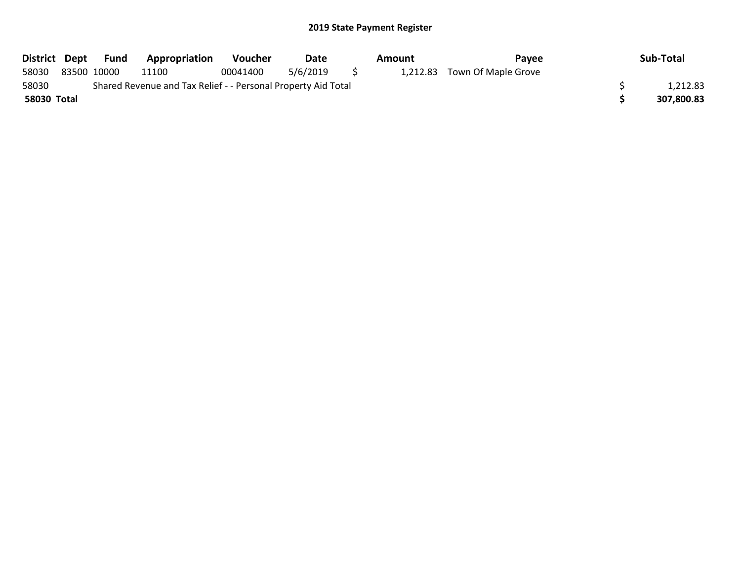|             | District Dept Fund | <b>Appropriation</b>                                          | Voucher  | Date     |          | Amount | Pavee                        | Sub-Total  |
|-------------|--------------------|---------------------------------------------------------------|----------|----------|----------|--------|------------------------------|------------|
| 58030       | 83500 10000        | 11100                                                         | 00041400 | 5/6/2019 | $\sim$ 5 |        | 1,212.83 Town Of Maple Grove |            |
| 58030       |                    | Shared Revenue and Tax Relief - - Personal Property Aid Total |          |          |          |        |                              | 1,212.83   |
| 58030 Total |                    |                                                               |          |          |          |        |                              | 307,800.83 |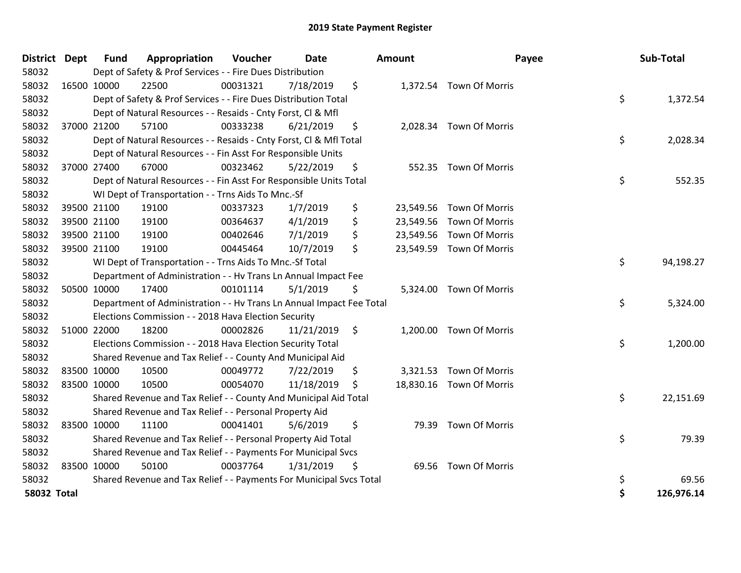| <b>District</b>    | <b>Dept</b> | <b>Fund</b> | Appropriation                                                        | Voucher  | <b>Date</b> | Amount          |                          | Payee | Sub-Total  |
|--------------------|-------------|-------------|----------------------------------------------------------------------|----------|-------------|-----------------|--------------------------|-------|------------|
| 58032              |             |             | Dept of Safety & Prof Services - - Fire Dues Distribution            |          |             |                 |                          |       |            |
| 58032              | 16500 10000 |             | 22500                                                                | 00031321 | 7/18/2019   | \$              | 1,372.54 Town Of Morris  |       |            |
| 58032              |             |             | Dept of Safety & Prof Services - - Fire Dues Distribution Total      |          |             |                 |                          | \$    | 1,372.54   |
| 58032              |             |             | Dept of Natural Resources - - Resaids - Cnty Forst, Cl & Mfl         |          |             |                 |                          |       |            |
| 58032              |             | 37000 21200 | 57100                                                                | 00333238 | 6/21/2019   | \$              | 2,028.34 Town Of Morris  |       |            |
| 58032              |             |             | Dept of Natural Resources - - Resaids - Cnty Forst, Cl & Mfl Total   |          |             |                 |                          | \$    | 2,028.34   |
| 58032              |             |             | Dept of Natural Resources - - Fin Asst For Responsible Units         |          |             |                 |                          |       |            |
| 58032              | 37000 27400 |             | 67000                                                                | 00323462 | 5/22/2019   | \$              | 552.35 Town Of Morris    |       |            |
| 58032              |             |             | Dept of Natural Resources - - Fin Asst For Responsible Units Total   |          |             |                 |                          | \$    | 552.35     |
| 58032              |             |             | WI Dept of Transportation - - Trns Aids To Mnc.-Sf                   |          |             |                 |                          |       |            |
| 58032              |             | 39500 21100 | 19100                                                                | 00337323 | 1/7/2019    | \$<br>23,549.56 | Town Of Morris           |       |            |
| 58032              |             | 39500 21100 | 19100                                                                | 00364637 | 4/1/2019    | \$<br>23,549.56 | Town Of Morris           |       |            |
| 58032              |             | 39500 21100 | 19100                                                                | 00402646 | 7/1/2019    | \$<br>23,549.56 | Town Of Morris           |       |            |
| 58032              | 39500 21100 |             | 19100                                                                | 00445464 | 10/7/2019   | \$              | 23,549.59 Town Of Morris |       |            |
| 58032              |             |             | WI Dept of Transportation - - Trns Aids To Mnc.-Sf Total             |          |             |                 |                          | \$    | 94,198.27  |
| 58032              |             |             | Department of Administration - - Hv Trans Ln Annual Impact Fee       |          |             |                 |                          |       |            |
| 58032              |             | 50500 10000 | 17400                                                                | 00101114 | 5/1/2019    | \$              | 5,324.00 Town Of Morris  |       |            |
| 58032              |             |             | Department of Administration - - Hv Trans Ln Annual Impact Fee Total |          |             |                 |                          | \$    | 5,324.00   |
| 58032              |             |             | Elections Commission - - 2018 Hava Election Security                 |          |             |                 |                          |       |            |
| 58032              |             | 51000 22000 | 18200                                                                | 00002826 | 11/21/2019  | \$<br>1,200.00  | Town Of Morris           |       |            |
| 58032              |             |             | Elections Commission - - 2018 Hava Election Security Total           |          |             |                 |                          | \$    | 1,200.00   |
| 58032              |             |             | Shared Revenue and Tax Relief - - County And Municipal Aid           |          |             |                 |                          |       |            |
| 58032              | 83500 10000 |             | 10500                                                                | 00049772 | 7/22/2019   | \$<br>3,321.53  | Town Of Morris           |       |            |
| 58032              | 83500 10000 |             | 10500                                                                | 00054070 | 11/18/2019  | \$              | 18,830.16 Town Of Morris |       |            |
| 58032              |             |             | Shared Revenue and Tax Relief - - County And Municipal Aid Total     |          |             |                 |                          | \$    | 22,151.69  |
| 58032              |             |             | Shared Revenue and Tax Relief - - Personal Property Aid              |          |             |                 |                          |       |            |
| 58032              | 83500 10000 |             | 11100                                                                | 00041401 | 5/6/2019    | \$<br>79.39     | Town Of Morris           |       |            |
| 58032              |             |             | Shared Revenue and Tax Relief - - Personal Property Aid Total        |          |             |                 |                          | \$    | 79.39      |
| 58032              |             |             | Shared Revenue and Tax Relief - - Payments For Municipal Svcs        |          |             |                 |                          |       |            |
| 58032              | 83500 10000 |             | 50100                                                                | 00037764 | 1/31/2019   | \$              | 69.56 Town Of Morris     |       |            |
| 58032              |             |             | Shared Revenue and Tax Relief - - Payments For Municipal Svcs Total  |          |             |                 |                          | \$    | 69.56      |
| <b>58032 Total</b> |             |             |                                                                      |          |             |                 |                          | \$    | 126,976.14 |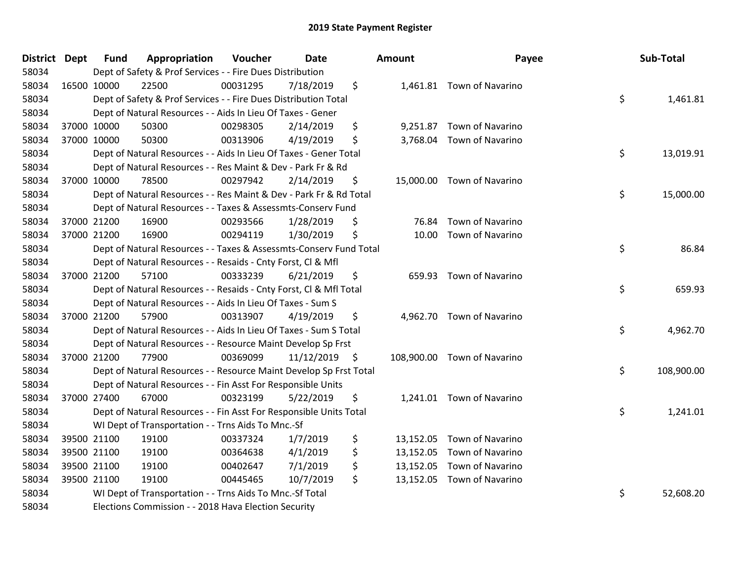| District Dept | <b>Fund</b> | Appropriation                                                      | Voucher  | Date          | Amount       | Payee                       | Sub-Total        |
|---------------|-------------|--------------------------------------------------------------------|----------|---------------|--------------|-----------------------------|------------------|
| 58034         |             | Dept of Safety & Prof Services - - Fire Dues Distribution          |          |               |              |                             |                  |
| 58034         | 16500 10000 | 22500                                                              | 00031295 | 7/18/2019     | \$           | 1,461.81 Town of Navarino   |                  |
| 58034         |             | Dept of Safety & Prof Services - - Fire Dues Distribution Total    |          |               |              |                             | \$<br>1,461.81   |
| 58034         |             | Dept of Natural Resources - - Aids In Lieu Of Taxes - Gener        |          |               |              |                             |                  |
| 58034         | 37000 10000 | 50300                                                              | 00298305 | 2/14/2019     | \$           | 9,251.87 Town of Navarino   |                  |
| 58034         | 37000 10000 | 50300                                                              | 00313906 | 4/19/2019     | \$           | 3,768.04 Town of Navarino   |                  |
| 58034         |             | Dept of Natural Resources - - Aids In Lieu Of Taxes - Gener Total  |          |               |              |                             | \$<br>13,019.91  |
| 58034         |             | Dept of Natural Resources - - Res Maint & Dev - Park Fr & Rd       |          |               |              |                             |                  |
| 58034         | 37000 10000 | 78500                                                              | 00297942 | 2/14/2019     | \$           | 15,000.00 Town of Navarino  |                  |
| 58034         |             | Dept of Natural Resources - - Res Maint & Dev - Park Fr & Rd Total |          |               |              |                             | \$<br>15,000.00  |
| 58034         |             | Dept of Natural Resources - - Taxes & Assessmts-Conserv Fund       |          |               |              |                             |                  |
| 58034         | 37000 21200 | 16900                                                              | 00293566 | 1/28/2019     | \$           | 76.84 Town of Navarino      |                  |
| 58034         | 37000 21200 | 16900                                                              | 00294119 | 1/30/2019     | \$           | 10.00 Town of Navarino      |                  |
| 58034         |             | Dept of Natural Resources - - Taxes & Assessmts-Conserv Fund Total |          |               |              |                             | \$<br>86.84      |
| 58034         |             | Dept of Natural Resources - - Resaids - Cnty Forst, Cl & Mfl       |          |               |              |                             |                  |
| 58034         | 37000 21200 | 57100                                                              | 00333239 | 6/21/2019     | \$<br>659.93 | Town of Navarino            |                  |
| 58034         |             | Dept of Natural Resources - - Resaids - Cnty Forst, Cl & Mfl Total |          |               |              |                             | \$<br>659.93     |
| 58034         |             | Dept of Natural Resources - - Aids In Lieu Of Taxes - Sum S        |          |               |              |                             |                  |
| 58034         | 37000 21200 | 57900                                                              | 00313907 | 4/19/2019     | \$           | 4,962.70 Town of Navarino   |                  |
| 58034         |             | Dept of Natural Resources - - Aids In Lieu Of Taxes - Sum S Total  |          |               |              |                             | \$<br>4,962.70   |
| 58034         |             | Dept of Natural Resources - - Resource Maint Develop Sp Frst       |          |               |              |                             |                  |
| 58034         | 37000 21200 | 77900                                                              | 00369099 | 11/12/2019 \$ |              | 108,900.00 Town of Navarino |                  |
| 58034         |             | Dept of Natural Resources - - Resource Maint Develop Sp Frst Total |          |               |              |                             | \$<br>108,900.00 |
| 58034         |             | Dept of Natural Resources - - Fin Asst For Responsible Units       |          |               |              |                             |                  |
| 58034         | 37000 27400 | 67000                                                              | 00323199 | 5/22/2019     | \$           | 1,241.01 Town of Navarino   |                  |
| 58034         |             | Dept of Natural Resources - - Fin Asst For Responsible Units Total |          |               |              |                             | \$<br>1,241.01   |
| 58034         |             | WI Dept of Transportation - - Trns Aids To Mnc.-Sf                 |          |               |              |                             |                  |
| 58034         | 39500 21100 | 19100                                                              | 00337324 | 1/7/2019      | \$           | 13,152.05 Town of Navarino  |                  |
| 58034         | 39500 21100 | 19100                                                              | 00364638 | 4/1/2019      | \$           | 13,152.05 Town of Navarino  |                  |
| 58034         | 39500 21100 | 19100                                                              | 00402647 | 7/1/2019      | \$           | 13,152.05 Town of Navarino  |                  |
| 58034         | 39500 21100 | 19100                                                              | 00445465 | 10/7/2019     | \$           | 13,152.05 Town of Navarino  |                  |
| 58034         |             | WI Dept of Transportation - - Trns Aids To Mnc.-Sf Total           |          |               |              |                             | \$<br>52,608.20  |
| 58034         |             | Elections Commission - - 2018 Hava Election Security               |          |               |              |                             |                  |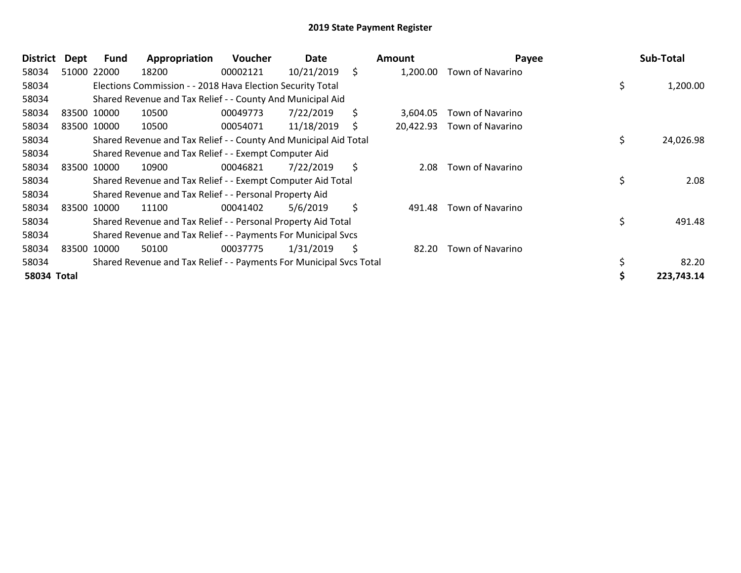| <b>District</b> | Dept | Fund        | Appropriation                                                       | Voucher  | Date       |    | Amount    | Payee                   | Sub-Total       |
|-----------------|------|-------------|---------------------------------------------------------------------|----------|------------|----|-----------|-------------------------|-----------------|
| 58034           |      | 51000 22000 | 18200                                                               | 00002121 | 10/21/2019 | \$ | 1,200.00  | Town of Navarino        |                 |
| 58034           |      |             | Elections Commission - - 2018 Hava Election Security Total          |          |            |    |           |                         | \$<br>1,200.00  |
| 58034           |      |             | Shared Revenue and Tax Relief - - County And Municipal Aid          |          |            |    |           |                         |                 |
| 58034           |      | 83500 10000 | 10500                                                               | 00049773 | 7/22/2019  | \$ | 3,604.05  | Town of Navarino        |                 |
| 58034           |      | 83500 10000 | 10500                                                               | 00054071 | 11/18/2019 | S  | 20,422.93 | Town of Navarino        |                 |
| 58034           |      |             | Shared Revenue and Tax Relief - - County And Municipal Aid Total    |          |            |    |           |                         | \$<br>24,026.98 |
| 58034           |      |             | Shared Revenue and Tax Relief - - Exempt Computer Aid               |          |            |    |           |                         |                 |
| 58034           |      | 83500 10000 | 10900                                                               | 00046821 | 7/22/2019  | \$ | 2.08      | Town of Navarino        |                 |
| 58034           |      |             | Shared Revenue and Tax Relief - - Exempt Computer Aid Total         |          |            |    |           |                         | 2.08            |
| 58034           |      |             | Shared Revenue and Tax Relief - - Personal Property Aid             |          |            |    |           |                         |                 |
| 58034           |      | 83500 10000 | 11100                                                               | 00041402 | 5/6/2019   | \$ | 491.48    | <b>Town of Navarino</b> |                 |
| 58034           |      |             | Shared Revenue and Tax Relief - - Personal Property Aid Total       |          |            |    |           |                         | \$<br>491.48    |
| 58034           |      |             | Shared Revenue and Tax Relief - - Payments For Municipal Svcs       |          |            |    |           |                         |                 |
| 58034           |      | 83500 10000 | 50100                                                               | 00037775 | 1/31/2019  | \$ | 82.20     | Town of Navarino        |                 |
| 58034           |      |             | Shared Revenue and Tax Relief - - Payments For Municipal Svcs Total |          |            |    |           |                         | 82.20           |
| 58034 Total     |      |             |                                                                     |          |            |    |           |                         | 223,743.14      |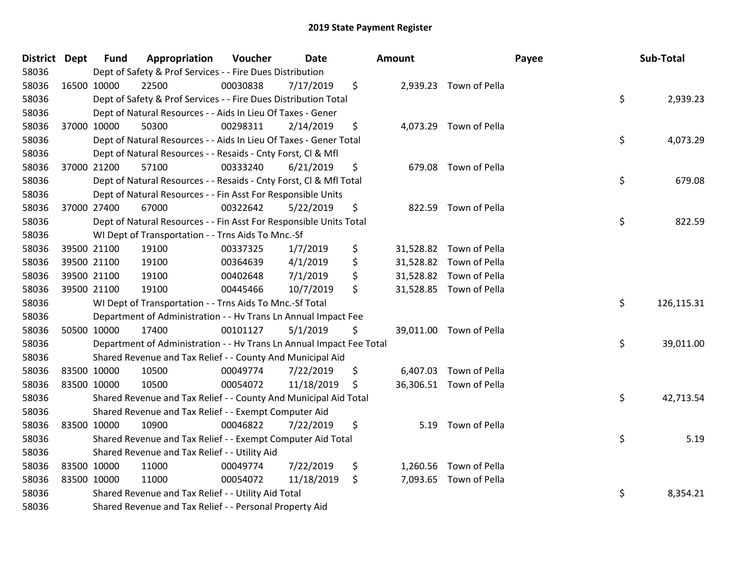| District Dept |             | <b>Fund</b> | Appropriation                                                        | Voucher  | <b>Date</b> | Amount |                         | Payee | Sub-Total  |
|---------------|-------------|-------------|----------------------------------------------------------------------|----------|-------------|--------|-------------------------|-------|------------|
| 58036         |             |             | Dept of Safety & Prof Services - - Fire Dues Distribution            |          |             |        |                         |       |            |
| 58036         | 16500 10000 |             | 22500                                                                | 00030838 | 7/17/2019   | \$     | 2,939.23 Town of Pella  |       |            |
| 58036         |             |             | Dept of Safety & Prof Services - - Fire Dues Distribution Total      |          |             |        |                         | \$    | 2,939.23   |
| 58036         |             |             | Dept of Natural Resources - - Aids In Lieu Of Taxes - Gener          |          |             |        |                         |       |            |
| 58036         | 37000 10000 |             | 50300                                                                | 00298311 | 2/14/2019   | \$     | 4,073.29 Town of Pella  |       |            |
| 58036         |             |             | Dept of Natural Resources - - Aids In Lieu Of Taxes - Gener Total    |          |             |        |                         | \$    | 4,073.29   |
| 58036         |             |             | Dept of Natural Resources - - Resaids - Cnty Forst, Cl & Mfl         |          |             |        |                         |       |            |
| 58036         | 37000 21200 |             | 57100                                                                | 00333240 | 6/21/2019   | \$     | 679.08 Town of Pella    |       |            |
| 58036         |             |             | Dept of Natural Resources - - Resaids - Cnty Forst, Cl & Mfl Total   |          |             |        |                         | \$    | 679.08     |
| 58036         |             |             | Dept of Natural Resources - - Fin Asst For Responsible Units         |          |             |        |                         |       |            |
| 58036         | 37000 27400 |             | 67000                                                                | 00322642 | 5/22/2019   | \$     | 822.59 Town of Pella    |       |            |
| 58036         |             |             | Dept of Natural Resources - - Fin Asst For Responsible Units Total   |          |             |        |                         | \$    | 822.59     |
| 58036         |             |             | WI Dept of Transportation - - Trns Aids To Mnc.-Sf                   |          |             |        |                         |       |            |
| 58036         | 39500 21100 |             | 19100                                                                | 00337325 | 1/7/2019    | \$     | 31,528.82 Town of Pella |       |            |
| 58036         |             | 39500 21100 | 19100                                                                | 00364639 | 4/1/2019    | \$     | 31,528.82 Town of Pella |       |            |
| 58036         |             | 39500 21100 | 19100                                                                | 00402648 | 7/1/2019    | \$     | 31,528.82 Town of Pella |       |            |
| 58036         | 39500 21100 |             | 19100                                                                | 00445466 | 10/7/2019   | \$     | 31,528.85 Town of Pella |       |            |
| 58036         |             |             | WI Dept of Transportation - - Trns Aids To Mnc.-Sf Total             |          |             |        |                         | \$    | 126,115.31 |
| 58036         |             |             | Department of Administration - - Hv Trans Ln Annual Impact Fee       |          |             |        |                         |       |            |
| 58036         | 50500 10000 |             | 17400                                                                | 00101127 | 5/1/2019    | \$     | 39,011.00 Town of Pella |       |            |
| 58036         |             |             | Department of Administration - - Hv Trans Ln Annual Impact Fee Total |          |             |        |                         | \$    | 39,011.00  |
| 58036         |             |             | Shared Revenue and Tax Relief - - County And Municipal Aid           |          |             |        |                         |       |            |
| 58036         |             | 83500 10000 | 10500                                                                | 00049774 | 7/22/2019   | \$     | 6,407.03 Town of Pella  |       |            |
| 58036         | 83500 10000 |             | 10500                                                                | 00054072 | 11/18/2019  | \$     | 36,306.51 Town of Pella |       |            |
| 58036         |             |             | Shared Revenue and Tax Relief - - County And Municipal Aid Total     |          |             |        |                         | \$    | 42,713.54  |
| 58036         |             |             | Shared Revenue and Tax Relief - - Exempt Computer Aid                |          |             |        |                         |       |            |
| 58036         |             | 83500 10000 | 10900                                                                | 00046822 | 7/22/2019   | \$     | 5.19 Town of Pella      |       |            |
| 58036         |             |             | Shared Revenue and Tax Relief - - Exempt Computer Aid Total          |          |             |        |                         | \$    | 5.19       |
| 58036         |             |             | Shared Revenue and Tax Relief - - Utility Aid                        |          |             |        |                         |       |            |
| 58036         |             | 83500 10000 | 11000                                                                | 00049774 | 7/22/2019   | \$     | 1,260.56 Town of Pella  |       |            |
| 58036         | 83500 10000 |             | 11000                                                                | 00054072 | 11/18/2019  | \$     | 7,093.65 Town of Pella  |       |            |
| 58036         |             |             | Shared Revenue and Tax Relief - - Utility Aid Total                  |          |             |        |                         | \$    | 8,354.21   |
| 58036         |             |             | Shared Revenue and Tax Relief - - Personal Property Aid              |          |             |        |                         |       |            |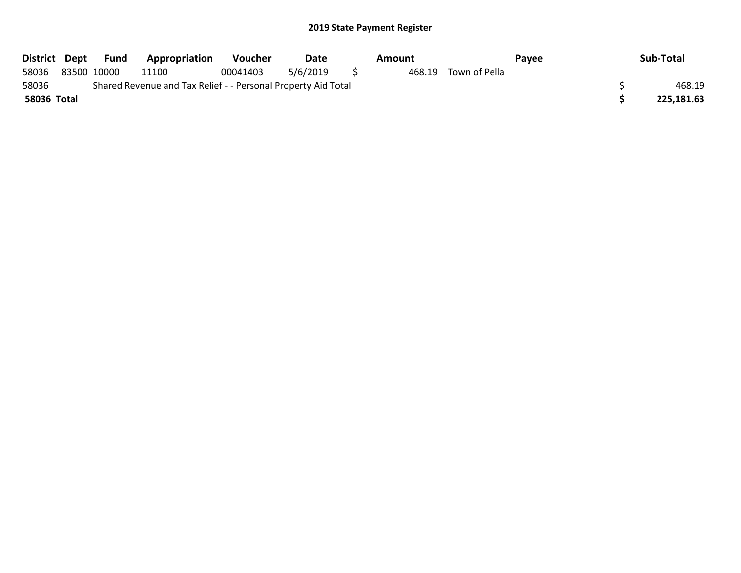| District Dept |             | Fund | Appropriation                                                 | <b>Voucher</b> | Date     | Amount |               | Pavee | Sub-Total  |
|---------------|-------------|------|---------------------------------------------------------------|----------------|----------|--------|---------------|-------|------------|
| 58036         | 83500 10000 |      | 11100                                                         | 00041403       | 5/6/2019 | 468.19 | Town of Pella |       |            |
| 58036         |             |      | Shared Revenue and Tax Relief - - Personal Property Aid Total |                |          |        |               |       | 468.19     |
| 58036 Total   |             |      |                                                               |                |          |        |               |       | 225.181.63 |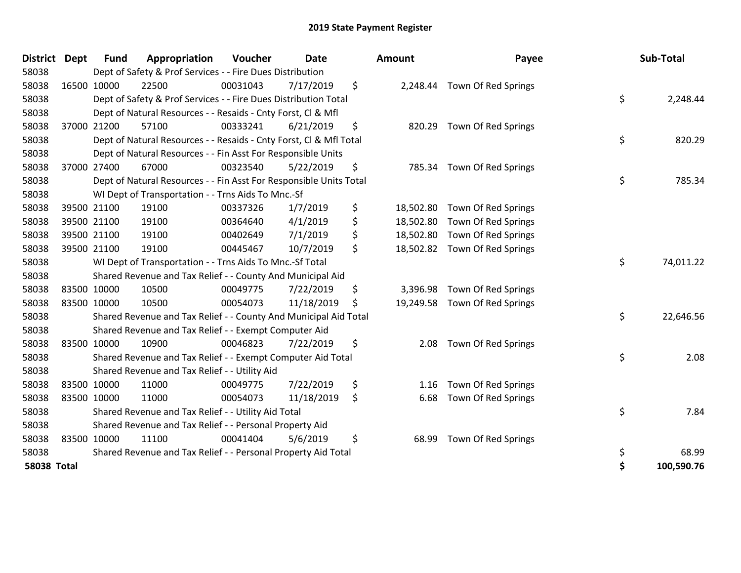| <b>District</b>    | <b>Dept</b> | <b>Fund</b> | Appropriation                                                      | Voucher  | <b>Date</b> | <b>Amount</b>   | Payee                         | Sub-Total        |
|--------------------|-------------|-------------|--------------------------------------------------------------------|----------|-------------|-----------------|-------------------------------|------------------|
| 58038              |             |             | Dept of Safety & Prof Services - - Fire Dues Distribution          |          |             |                 |                               |                  |
| 58038              |             | 16500 10000 | 22500                                                              | 00031043 | 7/17/2019   | \$              | 2,248.44 Town Of Red Springs  |                  |
| 58038              |             |             | Dept of Safety & Prof Services - - Fire Dues Distribution Total    |          |             |                 |                               | \$<br>2,248.44   |
| 58038              |             |             | Dept of Natural Resources - - Resaids - Cnty Forst, CI & Mfl       |          |             |                 |                               |                  |
| 58038              |             | 37000 21200 | 57100                                                              | 00333241 | 6/21/2019   | \$              | 820.29 Town Of Red Springs    |                  |
| 58038              |             |             | Dept of Natural Resources - - Resaids - Cnty Forst, Cl & Mfl Total |          |             |                 |                               | \$<br>820.29     |
| 58038              |             |             | Dept of Natural Resources - - Fin Asst For Responsible Units       |          |             |                 |                               |                  |
| 58038              |             | 37000 27400 | 67000                                                              | 00323540 | 5/22/2019   | \$<br>785.34    | Town Of Red Springs           |                  |
| 58038              |             |             | Dept of Natural Resources - - Fin Asst For Responsible Units Total |          |             |                 |                               | \$<br>785.34     |
| 58038              |             |             | WI Dept of Transportation - - Trns Aids To Mnc.-Sf                 |          |             |                 |                               |                  |
| 58038              |             | 39500 21100 | 19100                                                              | 00337326 | 1/7/2019    | \$              | 18,502.80 Town Of Red Springs |                  |
| 58038              |             | 39500 21100 | 19100                                                              | 00364640 | 4/1/2019    | \$<br>18,502.80 | Town Of Red Springs           |                  |
| 58038              |             | 39500 21100 | 19100                                                              | 00402649 | 7/1/2019    | \$              | 18,502.80 Town Of Red Springs |                  |
| 58038              |             | 39500 21100 | 19100                                                              | 00445467 | 10/7/2019   | \$              | 18,502.82 Town Of Red Springs |                  |
| 58038              |             |             | WI Dept of Transportation - - Trns Aids To Mnc.-Sf Total           |          |             |                 |                               | \$<br>74,011.22  |
| 58038              |             |             | Shared Revenue and Tax Relief - - County And Municipal Aid         |          |             |                 |                               |                  |
| 58038              |             | 83500 10000 | 10500                                                              | 00049775 | 7/22/2019   | \$<br>3,396.98  | Town Of Red Springs           |                  |
| 58038              |             | 83500 10000 | 10500                                                              | 00054073 | 11/18/2019  | \$              | 19,249.58 Town Of Red Springs |                  |
| 58038              |             |             | Shared Revenue and Tax Relief - - County And Municipal Aid Total   |          |             |                 |                               | \$<br>22,646.56  |
| 58038              |             |             | Shared Revenue and Tax Relief - - Exempt Computer Aid              |          |             |                 |                               |                  |
| 58038              |             | 83500 10000 | 10900                                                              | 00046823 | 7/22/2019   | \$<br>2.08      | Town Of Red Springs           |                  |
| 58038              |             |             | Shared Revenue and Tax Relief - - Exempt Computer Aid Total        |          |             |                 |                               | \$<br>2.08       |
| 58038              |             |             | Shared Revenue and Tax Relief - - Utility Aid                      |          |             |                 |                               |                  |
| 58038              |             | 83500 10000 | 11000                                                              | 00049775 | 7/22/2019   | \$<br>1.16      | Town Of Red Springs           |                  |
| 58038              |             | 83500 10000 | 11000                                                              | 00054073 | 11/18/2019  | \$<br>6.68      | Town Of Red Springs           |                  |
| 58038              |             |             | Shared Revenue and Tax Relief - - Utility Aid Total                |          |             |                 |                               | \$<br>7.84       |
| 58038              |             |             | Shared Revenue and Tax Relief - - Personal Property Aid            |          |             |                 |                               |                  |
| 58038              |             | 83500 10000 | 11100                                                              | 00041404 | 5/6/2019    | \$<br>68.99     | Town Of Red Springs           |                  |
| 58038              |             |             | Shared Revenue and Tax Relief - - Personal Property Aid Total      |          |             |                 |                               | \$<br>68.99      |
| <b>58038 Total</b> |             |             |                                                                    |          |             |                 |                               | \$<br>100,590.76 |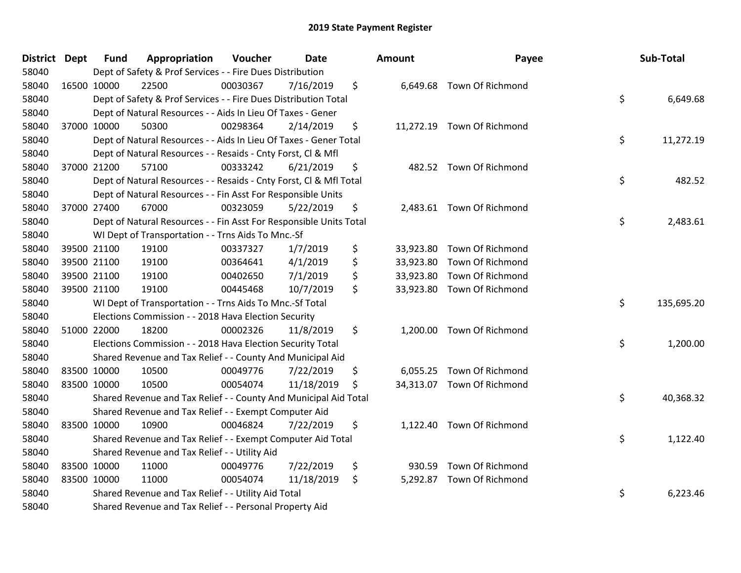| District Dept | <b>Fund</b> | Appropriation                                                      | Voucher  | Date       | <b>Amount</b>   | Payee                      | Sub-Total        |
|---------------|-------------|--------------------------------------------------------------------|----------|------------|-----------------|----------------------------|------------------|
| 58040         |             | Dept of Safety & Prof Services - - Fire Dues Distribution          |          |            |                 |                            |                  |
| 58040         | 16500 10000 | 22500                                                              | 00030367 | 7/16/2019  | \$              | 6,649.68 Town Of Richmond  |                  |
| 58040         |             | Dept of Safety & Prof Services - - Fire Dues Distribution Total    |          |            |                 |                            | \$<br>6,649.68   |
| 58040         |             | Dept of Natural Resources - - Aids In Lieu Of Taxes - Gener        |          |            |                 |                            |                  |
| 58040         | 37000 10000 | 50300                                                              | 00298364 | 2/14/2019  | \$              | 11,272.19 Town Of Richmond |                  |
| 58040         |             | Dept of Natural Resources - - Aids In Lieu Of Taxes - Gener Total  |          |            |                 |                            | \$<br>11,272.19  |
| 58040         |             | Dept of Natural Resources - - Resaids - Cnty Forst, Cl & Mfl       |          |            |                 |                            |                  |
| 58040         | 37000 21200 | 57100                                                              | 00333242 | 6/21/2019  | \$              | 482.52 Town Of Richmond    |                  |
| 58040         |             | Dept of Natural Resources - - Resaids - Cnty Forst, CI & Mfl Total |          |            |                 |                            | \$<br>482.52     |
| 58040         |             | Dept of Natural Resources - - Fin Asst For Responsible Units       |          |            |                 |                            |                  |
| 58040         | 37000 27400 | 67000                                                              | 00323059 | 5/22/2019  | \$              | 2,483.61 Town Of Richmond  |                  |
| 58040         |             | Dept of Natural Resources - - Fin Asst For Responsible Units Total |          |            |                 |                            | \$<br>2,483.61   |
| 58040         |             | WI Dept of Transportation - - Trns Aids To Mnc.-Sf                 |          |            |                 |                            |                  |
| 58040         | 39500 21100 | 19100                                                              | 00337327 | 1/7/2019   | \$<br>33,923.80 | Town Of Richmond           |                  |
| 58040         | 39500 21100 | 19100                                                              | 00364641 | 4/1/2019   | \$<br>33,923.80 | Town Of Richmond           |                  |
| 58040         | 39500 21100 | 19100                                                              | 00402650 | 7/1/2019   | \$<br>33,923.80 | Town Of Richmond           |                  |
| 58040         | 39500 21100 | 19100                                                              | 00445468 | 10/7/2019  | \$<br>33,923.80 | Town Of Richmond           |                  |
| 58040         |             | WI Dept of Transportation - - Trns Aids To Mnc.-Sf Total           |          |            |                 |                            | \$<br>135,695.20 |
| 58040         |             | Elections Commission - - 2018 Hava Election Security               |          |            |                 |                            |                  |
| 58040         | 51000 22000 | 18200                                                              | 00002326 | 11/8/2019  | \$              | 1,200.00 Town Of Richmond  |                  |
| 58040         |             | Elections Commission - - 2018 Hava Election Security Total         |          |            |                 |                            | \$<br>1,200.00   |
| 58040         |             | Shared Revenue and Tax Relief - - County And Municipal Aid         |          |            |                 |                            |                  |
| 58040         | 83500 10000 | 10500                                                              | 00049776 | 7/22/2019  | \$              | 6,055.25 Town Of Richmond  |                  |
| 58040         | 83500 10000 | 10500                                                              | 00054074 | 11/18/2019 | \$              | 34,313.07 Town Of Richmond |                  |
| 58040         |             | Shared Revenue and Tax Relief - - County And Municipal Aid Total   |          |            |                 |                            | \$<br>40,368.32  |
| 58040         |             | Shared Revenue and Tax Relief - - Exempt Computer Aid              |          |            |                 |                            |                  |
| 58040         | 83500 10000 | 10900                                                              | 00046824 | 7/22/2019  | \$<br>1,122.40  | Town Of Richmond           |                  |
| 58040         |             | Shared Revenue and Tax Relief - - Exempt Computer Aid Total        |          |            |                 |                            | \$<br>1,122.40   |
| 58040         |             | Shared Revenue and Tax Relief - - Utility Aid                      |          |            |                 |                            |                  |
| 58040         | 83500 10000 | 11000                                                              | 00049776 | 7/22/2019  | \$<br>930.59    | Town Of Richmond           |                  |
| 58040         | 83500 10000 | 11000                                                              | 00054074 | 11/18/2019 | \$              | 5,292.87 Town Of Richmond  |                  |
| 58040         |             | Shared Revenue and Tax Relief - - Utility Aid Total                |          |            |                 |                            | \$<br>6,223.46   |
| 58040         |             | Shared Revenue and Tax Relief - - Personal Property Aid            |          |            |                 |                            |                  |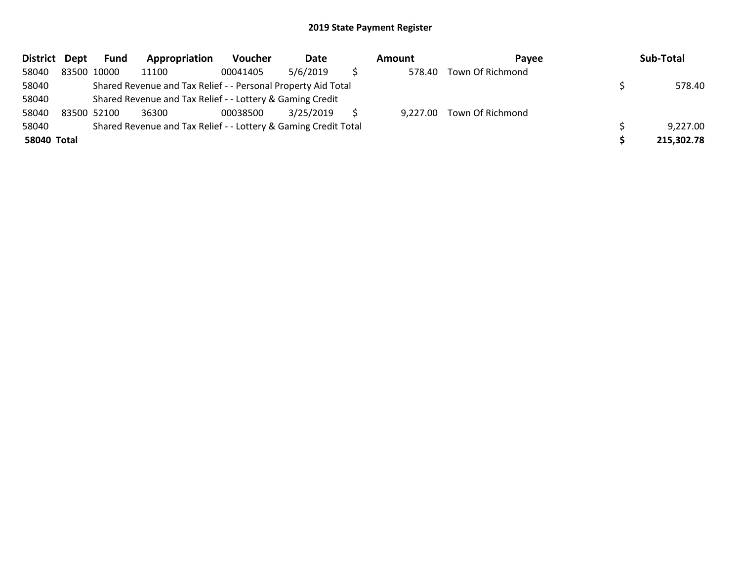| District Dept | Fund        | Appropriation                                                   | Voucher  | Date      | Amount | Pavee                     | Sub-Total  |
|---------------|-------------|-----------------------------------------------------------------|----------|-----------|--------|---------------------------|------------|
| 58040         | 83500 10000 | 11100                                                           | 00041405 | 5/6/2019  | 578.40 | Town Of Richmond          |            |
| 58040         |             | Shared Revenue and Tax Relief - - Personal Property Aid Total   |          |           |        |                           | 578.40     |
| 58040         |             | Shared Revenue and Tax Relief - - Lottery & Gaming Credit       |          |           |        |                           |            |
| 58040         | 83500 52100 | 36300                                                           | 00038500 | 3/25/2019 |        | 9,227.00 Town Of Richmond |            |
| 58040         |             | Shared Revenue and Tax Relief - - Lottery & Gaming Credit Total |          |           |        |                           | 9,227.00   |
| 58040 Total   |             |                                                                 |          |           |        |                           | 215,302.78 |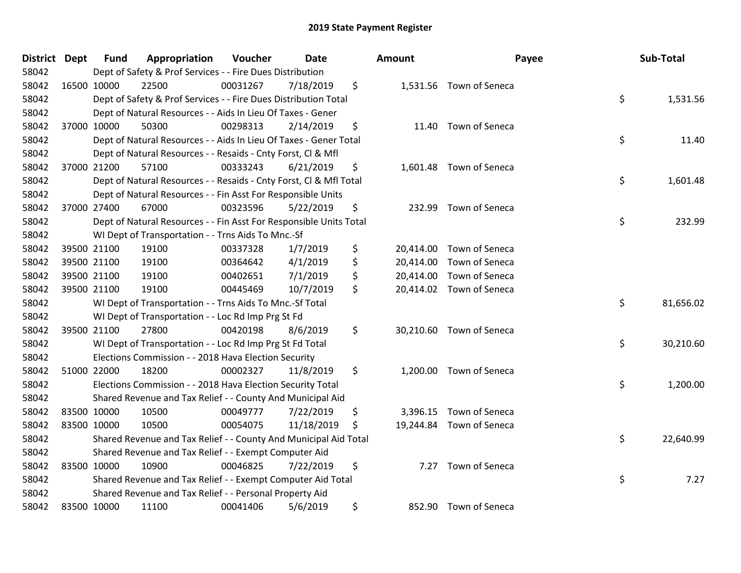| District Dept |             | <b>Fund</b> | Appropriation                                                      | Voucher  | <b>Date</b> | Amount          | Payee                    | Sub-Total       |
|---------------|-------------|-------------|--------------------------------------------------------------------|----------|-------------|-----------------|--------------------------|-----------------|
| 58042         |             |             | Dept of Safety & Prof Services - - Fire Dues Distribution          |          |             |                 |                          |                 |
| 58042         | 16500 10000 |             | 22500                                                              | 00031267 | 7/18/2019   | \$              | 1,531.56 Town of Seneca  |                 |
| 58042         |             |             | Dept of Safety & Prof Services - - Fire Dues Distribution Total    |          |             |                 |                          | \$<br>1,531.56  |
| 58042         |             |             | Dept of Natural Resources - - Aids In Lieu Of Taxes - Gener        |          |             |                 |                          |                 |
| 58042         | 37000 10000 |             | 50300                                                              | 00298313 | 2/14/2019   | \$<br>11.40     | Town of Seneca           |                 |
| 58042         |             |             | Dept of Natural Resources - - Aids In Lieu Of Taxes - Gener Total  |          |             |                 |                          | \$<br>11.40     |
| 58042         |             |             | Dept of Natural Resources - - Resaids - Cnty Forst, Cl & Mfl       |          |             |                 |                          |                 |
| 58042         | 37000 21200 |             | 57100                                                              | 00333243 | 6/21/2019   | \$              | 1,601.48 Town of Seneca  |                 |
| 58042         |             |             | Dept of Natural Resources - - Resaids - Cnty Forst, Cl & Mfl Total |          |             |                 |                          | \$<br>1,601.48  |
| 58042         |             |             | Dept of Natural Resources - - Fin Asst For Responsible Units       |          |             |                 |                          |                 |
| 58042         | 37000 27400 |             | 67000                                                              | 00323596 | 5/22/2019   | \$              | 232.99 Town of Seneca    |                 |
| 58042         |             |             | Dept of Natural Resources - - Fin Asst For Responsible Units Total |          |             |                 |                          | \$<br>232.99    |
| 58042         |             |             | WI Dept of Transportation - - Trns Aids To Mnc.-Sf                 |          |             |                 |                          |                 |
| 58042         | 39500 21100 |             | 19100                                                              | 00337328 | 1/7/2019    | \$<br>20,414.00 | Town of Seneca           |                 |
| 58042         | 39500 21100 |             | 19100                                                              | 00364642 | 4/1/2019    | \$<br>20,414.00 | Town of Seneca           |                 |
| 58042         |             | 39500 21100 | 19100                                                              | 00402651 | 7/1/2019    | \$<br>20,414.00 | Town of Seneca           |                 |
| 58042         |             | 39500 21100 | 19100                                                              | 00445469 | 10/7/2019   | \$              | 20,414.02 Town of Seneca |                 |
| 58042         |             |             | WI Dept of Transportation - - Trns Aids To Mnc.-Sf Total           |          |             |                 |                          | \$<br>81,656.02 |
| 58042         |             |             | WI Dept of Transportation - - Loc Rd Imp Prg St Fd                 |          |             |                 |                          |                 |
| 58042         | 39500 21100 |             | 27800                                                              | 00420198 | 8/6/2019    | \$              | 30,210.60 Town of Seneca |                 |
| 58042         |             |             | WI Dept of Transportation - - Loc Rd Imp Prg St Fd Total           |          |             |                 |                          | \$<br>30,210.60 |
| 58042         |             |             | Elections Commission - - 2018 Hava Election Security               |          |             |                 |                          |                 |
| 58042         | 51000 22000 |             | 18200                                                              | 00002327 | 11/8/2019   | \$              | 1,200.00 Town of Seneca  |                 |
| 58042         |             |             | Elections Commission - - 2018 Hava Election Security Total         |          |             |                 |                          | \$<br>1,200.00  |
| 58042         |             |             | Shared Revenue and Tax Relief - - County And Municipal Aid         |          |             |                 |                          |                 |
| 58042         | 83500 10000 |             | 10500                                                              | 00049777 | 7/22/2019   | \$<br>3,396.15  | Town of Seneca           |                 |
| 58042         | 83500 10000 |             | 10500                                                              | 00054075 | 11/18/2019  | \$              | 19,244.84 Town of Seneca |                 |
| 58042         |             |             | Shared Revenue and Tax Relief - - County And Municipal Aid Total   |          |             |                 |                          | \$<br>22,640.99 |
| 58042         |             |             | Shared Revenue and Tax Relief - - Exempt Computer Aid              |          |             |                 |                          |                 |
| 58042         | 83500 10000 |             | 10900                                                              | 00046825 | 7/22/2019   | \$<br>7.27      | Town of Seneca           |                 |
| 58042         |             |             | Shared Revenue and Tax Relief - - Exempt Computer Aid Total        |          |             |                 |                          | \$<br>7.27      |
| 58042         |             |             | Shared Revenue and Tax Relief - - Personal Property Aid            |          |             |                 |                          |                 |
| 58042         | 83500 10000 |             | 11100                                                              | 00041406 | 5/6/2019    | \$              | 852.90 Town of Seneca    |                 |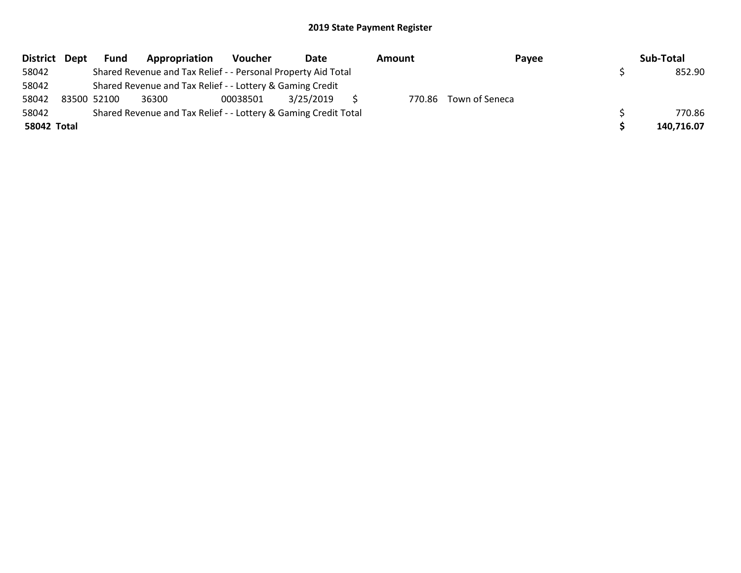| District Dept | <b>Fund</b> | Appropriation                                                   | Voucher  | Date      | Amount | Payee                 | Sub-Total  |
|---------------|-------------|-----------------------------------------------------------------|----------|-----------|--------|-----------------------|------------|
| 58042         |             | Shared Revenue and Tax Relief - - Personal Property Aid Total   |          |           |        |                       | 852.90     |
| 58042         |             | Shared Revenue and Tax Relief - - Lottery & Gaming Credit       |          |           |        |                       |            |
| 58042         | 83500 52100 | 36300                                                           | 00038501 | 3/25/2019 |        | 770.86 Town of Seneca |            |
| 58042         |             | Shared Revenue and Tax Relief - - Lottery & Gaming Credit Total |          |           |        |                       | 770.86     |
| 58042 Total   |             |                                                                 |          |           |        |                       | 140,716.07 |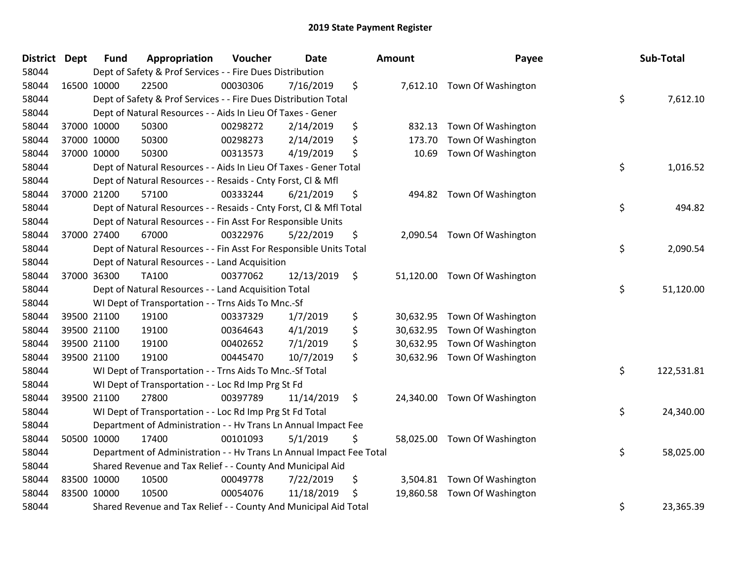| District Dept |             | <b>Fund</b> | Appropriation                                                        | Voucher  | <b>Date</b> | Amount          | Payee                        | Sub-Total        |
|---------------|-------------|-------------|----------------------------------------------------------------------|----------|-------------|-----------------|------------------------------|------------------|
| 58044         |             |             | Dept of Safety & Prof Services - - Fire Dues Distribution            |          |             |                 |                              |                  |
| 58044         | 16500 10000 |             | 22500                                                                | 00030306 | 7/16/2019   | \$              | 7,612.10 Town Of Washington  |                  |
| 58044         |             |             | Dept of Safety & Prof Services - - Fire Dues Distribution Total      |          |             |                 |                              | \$<br>7,612.10   |
| 58044         |             |             | Dept of Natural Resources - - Aids In Lieu Of Taxes - Gener          |          |             |                 |                              |                  |
| 58044         |             | 37000 10000 | 50300                                                                | 00298272 | 2/14/2019   | \$<br>832.13    | Town Of Washington           |                  |
| 58044         |             | 37000 10000 | 50300                                                                | 00298273 | 2/14/2019   | \$<br>173.70    | Town Of Washington           |                  |
| 58044         |             | 37000 10000 | 50300                                                                | 00313573 | 4/19/2019   | \$<br>10.69     | Town Of Washington           |                  |
| 58044         |             |             | Dept of Natural Resources - - Aids In Lieu Of Taxes - Gener Total    |          |             |                 |                              | \$<br>1,016.52   |
| 58044         |             |             | Dept of Natural Resources - - Resaids - Cnty Forst, Cl & Mfl         |          |             |                 |                              |                  |
| 58044         |             | 37000 21200 | 57100                                                                | 00333244 | 6/21/2019   | \$<br>494.82    | Town Of Washington           |                  |
| 58044         |             |             | Dept of Natural Resources - - Resaids - Cnty Forst, Cl & Mfl Total   |          |             |                 |                              | \$<br>494.82     |
| 58044         |             |             | Dept of Natural Resources - - Fin Asst For Responsible Units         |          |             |                 |                              |                  |
| 58044         |             | 37000 27400 | 67000                                                                | 00322976 | 5/22/2019   | \$              | 2,090.54 Town Of Washington  |                  |
| 58044         |             |             | Dept of Natural Resources - - Fin Asst For Responsible Units Total   |          |             |                 |                              | \$<br>2,090.54   |
| 58044         |             |             | Dept of Natural Resources - - Land Acquisition                       |          |             |                 |                              |                  |
| 58044         |             | 37000 36300 | TA100                                                                | 00377062 | 12/13/2019  | \$<br>51,120.00 | Town Of Washington           |                  |
| 58044         |             |             | Dept of Natural Resources - - Land Acquisition Total                 |          |             |                 |                              | \$<br>51,120.00  |
| 58044         |             |             | WI Dept of Transportation - - Trns Aids To Mnc.-Sf                   |          |             |                 |                              |                  |
| 58044         | 39500 21100 |             | 19100                                                                | 00337329 | 1/7/2019    | \$<br>30,632.95 | Town Of Washington           |                  |
| 58044         |             | 39500 21100 | 19100                                                                | 00364643 | 4/1/2019    | \$<br>30,632.95 | Town Of Washington           |                  |
| 58044         |             | 39500 21100 | 19100                                                                | 00402652 | 7/1/2019    | \$<br>30,632.95 | Town Of Washington           |                  |
| 58044         |             | 39500 21100 | 19100                                                                | 00445470 | 10/7/2019   | \$<br>30,632.96 | Town Of Washington           |                  |
| 58044         |             |             | WI Dept of Transportation - - Trns Aids To Mnc.-Sf Total             |          |             |                 |                              | \$<br>122,531.81 |
| 58044         |             |             | WI Dept of Transportation - - Loc Rd Imp Prg St Fd                   |          |             |                 |                              |                  |
| 58044         |             | 39500 21100 | 27800                                                                | 00397789 | 11/14/2019  | \$<br>24,340.00 | Town Of Washington           |                  |
| 58044         |             |             | WI Dept of Transportation - - Loc Rd Imp Prg St Fd Total             |          |             |                 |                              | \$<br>24,340.00  |
| 58044         |             |             | Department of Administration - - Hv Trans Ln Annual Impact Fee       |          |             |                 |                              |                  |
| 58044         |             | 50500 10000 | 17400                                                                | 00101093 | 5/1/2019    | \$              | 58,025.00 Town Of Washington |                  |
| 58044         |             |             | Department of Administration - - Hv Trans Ln Annual Impact Fee Total |          |             |                 |                              | \$<br>58,025.00  |
| 58044         |             |             | Shared Revenue and Tax Relief - - County And Municipal Aid           |          |             |                 |                              |                  |
| 58044         | 83500 10000 |             | 10500                                                                | 00049778 | 7/22/2019   | \$<br>3,504.81  | Town Of Washington           |                  |
| 58044         | 83500 10000 |             | 10500                                                                | 00054076 | 11/18/2019  | \$<br>19,860.58 | Town Of Washington           |                  |
| 58044         |             |             | Shared Revenue and Tax Relief - - County And Municipal Aid Total     |          |             |                 |                              | \$<br>23,365.39  |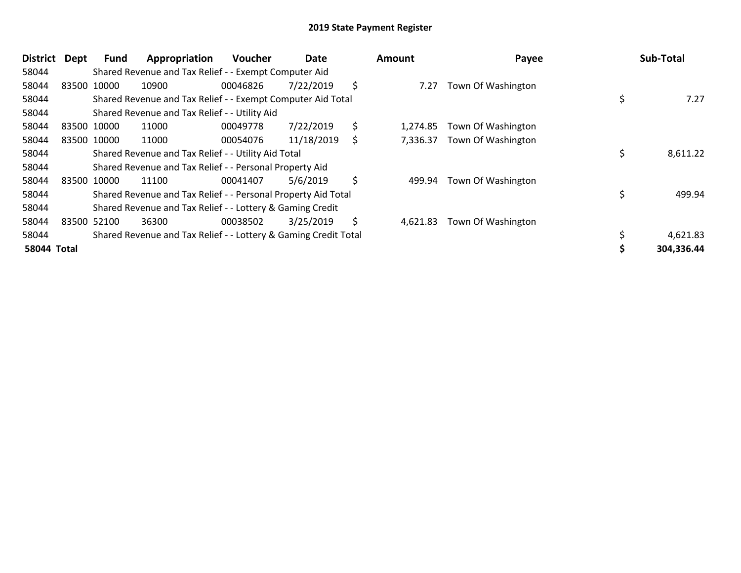| <b>District</b>    | Dept | Fund        | Appropriation                                                   | Voucher  | Date       | Amount         | Payee              | Sub-Total  |
|--------------------|------|-------------|-----------------------------------------------------------------|----------|------------|----------------|--------------------|------------|
| 58044              |      |             | Shared Revenue and Tax Relief - - Exempt Computer Aid           |          |            |                |                    |            |
| 58044              |      | 83500 10000 | 10900                                                           | 00046826 | 7/22/2019  | \$<br>7.27     | Town Of Washington |            |
| 58044              |      |             | Shared Revenue and Tax Relief - - Exempt Computer Aid Total     |          |            |                |                    | 7.27       |
| 58044              |      |             | Shared Revenue and Tax Relief - - Utility Aid                   |          |            |                |                    |            |
| 58044              |      | 83500 10000 | 11000                                                           | 00049778 | 7/22/2019  | \$<br>1,274.85 | Town Of Washington |            |
| 58044              |      | 83500 10000 | 11000                                                           | 00054076 | 11/18/2019 | \$<br>7,336.37 | Town Of Washington |            |
| 58044              |      |             | Shared Revenue and Tax Relief - - Utility Aid Total             |          |            |                |                    | 8,611.22   |
| 58044              |      |             | Shared Revenue and Tax Relief - - Personal Property Aid         |          |            |                |                    |            |
| 58044              |      | 83500 10000 | 11100                                                           | 00041407 | 5/6/2019   | \$<br>499.94   | Town Of Washington |            |
| 58044              |      |             | Shared Revenue and Tax Relief - - Personal Property Aid Total   |          |            |                |                    | 499.94     |
| 58044              |      |             | Shared Revenue and Tax Relief - - Lottery & Gaming Credit       |          |            |                |                    |            |
| 58044              |      | 83500 52100 | 36300                                                           | 00038502 | 3/25/2019  | \$<br>4,621.83 | Town Of Washington |            |
| 58044              |      |             | Shared Revenue and Tax Relief - - Lottery & Gaming Credit Total |          |            |                |                    | 4,621.83   |
| <b>58044 Total</b> |      |             |                                                                 |          |            |                |                    | 304,336.44 |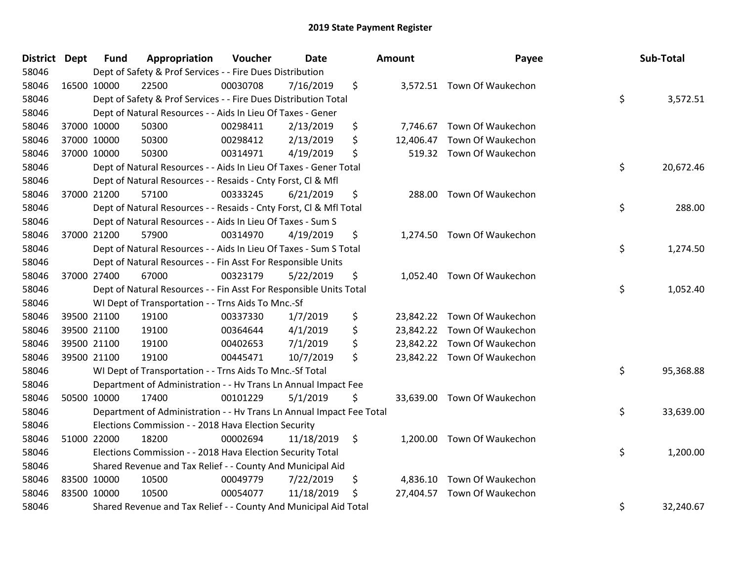| District Dept |             | <b>Fund</b> | Appropriation                                                        | Voucher  | Date       | <b>Amount</b> | Payee                       | Sub-Total       |
|---------------|-------------|-------------|----------------------------------------------------------------------|----------|------------|---------------|-----------------------------|-----------------|
| 58046         |             |             | Dept of Safety & Prof Services - - Fire Dues Distribution            |          |            |               |                             |                 |
| 58046         | 16500 10000 |             | 22500                                                                | 00030708 | 7/16/2019  | \$            | 3,572.51 Town Of Waukechon  |                 |
| 58046         |             |             | Dept of Safety & Prof Services - - Fire Dues Distribution Total      |          |            |               |                             | \$<br>3,572.51  |
| 58046         |             |             | Dept of Natural Resources - - Aids In Lieu Of Taxes - Gener          |          |            |               |                             |                 |
| 58046         |             | 37000 10000 | 50300                                                                | 00298411 | 2/13/2019  | \$            | 7,746.67 Town Of Waukechon  |                 |
| 58046         |             | 37000 10000 | 50300                                                                | 00298412 | 2/13/2019  | \$            | 12,406.47 Town Of Waukechon |                 |
| 58046         |             | 37000 10000 | 50300                                                                | 00314971 | 4/19/2019  | \$            | 519.32 Town Of Waukechon    |                 |
| 58046         |             |             | Dept of Natural Resources - - Aids In Lieu Of Taxes - Gener Total    |          |            |               |                             | \$<br>20,672.46 |
| 58046         |             |             | Dept of Natural Resources - - Resaids - Cnty Forst, CI & Mfl         |          |            |               |                             |                 |
| 58046         | 37000 21200 |             | 57100                                                                | 00333245 | 6/21/2019  | \$            | 288.00 Town Of Waukechon    |                 |
| 58046         |             |             | Dept of Natural Resources - - Resaids - Cnty Forst, Cl & Mfl Total   |          |            |               |                             | \$<br>288.00    |
| 58046         |             |             | Dept of Natural Resources - - Aids In Lieu Of Taxes - Sum S          |          |            |               |                             |                 |
| 58046         |             | 37000 21200 | 57900                                                                | 00314970 | 4/19/2019  | \$            | 1,274.50 Town Of Waukechon  |                 |
| 58046         |             |             | Dept of Natural Resources - - Aids In Lieu Of Taxes - Sum S Total    |          |            |               |                             | \$<br>1,274.50  |
| 58046         |             |             | Dept of Natural Resources - - Fin Asst For Responsible Units         |          |            |               |                             |                 |
| 58046         | 37000 27400 |             | 67000                                                                | 00323179 | 5/22/2019  | \$            | 1,052.40 Town Of Waukechon  |                 |
| 58046         |             |             | Dept of Natural Resources - - Fin Asst For Responsible Units Total   |          |            |               |                             | \$<br>1,052.40  |
| 58046         |             |             | WI Dept of Transportation - - Trns Aids To Mnc.-Sf                   |          |            |               |                             |                 |
| 58046         |             | 39500 21100 | 19100                                                                | 00337330 | 1/7/2019   | \$            | 23,842.22 Town Of Waukechon |                 |
| 58046         |             | 39500 21100 | 19100                                                                | 00364644 | 4/1/2019   | \$            | 23,842.22 Town Of Waukechon |                 |
| 58046         |             | 39500 21100 | 19100                                                                | 00402653 | 7/1/2019   | \$            | 23,842.22 Town Of Waukechon |                 |
| 58046         |             | 39500 21100 | 19100                                                                | 00445471 | 10/7/2019  | \$            | 23,842.22 Town Of Waukechon |                 |
| 58046         |             |             | WI Dept of Transportation - - Trns Aids To Mnc.-Sf Total             |          |            |               |                             | \$<br>95,368.88 |
| 58046         |             |             | Department of Administration - - Hv Trans Ln Annual Impact Fee       |          |            |               |                             |                 |
| 58046         | 50500 10000 |             | 17400                                                                | 00101229 | 5/1/2019   | \$            | 33,639.00 Town Of Waukechon |                 |
| 58046         |             |             | Department of Administration - - Hv Trans Ln Annual Impact Fee Total |          |            |               |                             | \$<br>33,639.00 |
| 58046         |             |             | Elections Commission - - 2018 Hava Election Security                 |          |            |               |                             |                 |
| 58046         | 51000 22000 |             | 18200                                                                | 00002694 | 11/18/2019 | \$            | 1,200.00 Town Of Waukechon  |                 |
| 58046         |             |             | Elections Commission - - 2018 Hava Election Security Total           |          |            |               |                             | \$<br>1,200.00  |
| 58046         |             |             | Shared Revenue and Tax Relief - - County And Municipal Aid           |          |            |               |                             |                 |
| 58046         | 83500 10000 |             | 10500                                                                | 00049779 | 7/22/2019  | \$            | 4,836.10 Town Of Waukechon  |                 |
| 58046         | 83500 10000 |             | 10500                                                                | 00054077 | 11/18/2019 | \$            | 27,404.57 Town Of Waukechon |                 |
| 58046         |             |             | Shared Revenue and Tax Relief - - County And Municipal Aid Total     |          |            |               |                             | \$<br>32,240.67 |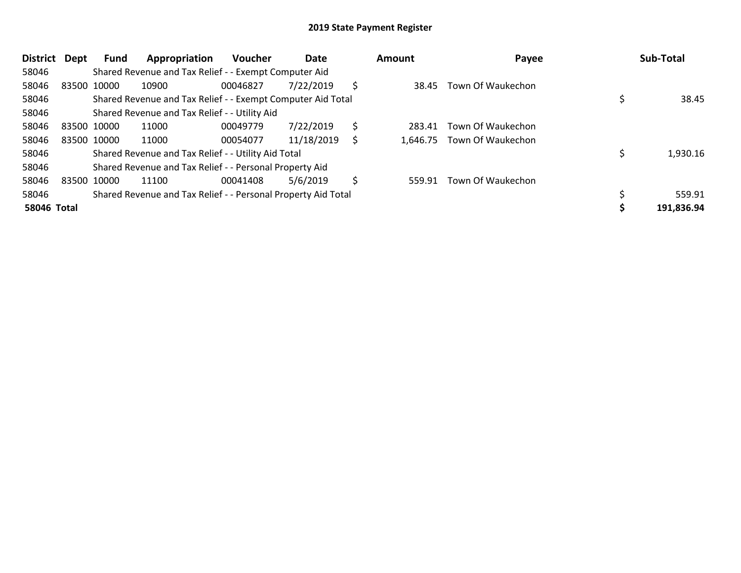| <b>District</b>    | Dept        | Fund        | Appropriation                                                 | <b>Voucher</b> | Date       |    | Amount   | Payee             | Sub-Total  |
|--------------------|-------------|-------------|---------------------------------------------------------------|----------------|------------|----|----------|-------------------|------------|
| 58046              |             |             | Shared Revenue and Tax Relief - - Exempt Computer Aid         |                |            |    |          |                   |            |
| 58046              |             | 83500 10000 | 10900                                                         | 00046827       | 7/22/2019  | Ŝ  | 38.45    | Town Of Waukechon |            |
| 58046              |             |             | Shared Revenue and Tax Relief - - Exempt Computer Aid Total   |                |            |    |          |                   | 38.45      |
| 58046              |             |             | Shared Revenue and Tax Relief - - Utility Aid                 |                |            |    |          |                   |            |
| 58046              | 83500 10000 |             | 11000                                                         | 00049779       | 7/22/2019  | \$ | 283.41   | Town Of Waukechon |            |
| 58046              |             | 83500 10000 | 11000                                                         | 00054077       | 11/18/2019 | S  | 1,646.75 | Town Of Waukechon |            |
| 58046              |             |             | Shared Revenue and Tax Relief - - Utility Aid Total           |                |            |    |          |                   | 1,930.16   |
| 58046              |             |             | Shared Revenue and Tax Relief - - Personal Property Aid       |                |            |    |          |                   |            |
| 58046              |             | 83500 10000 | 11100                                                         | 00041408       | 5/6/2019   | S  | 559.91   | Town Of Waukechon |            |
| 58046              |             |             | Shared Revenue and Tax Relief - - Personal Property Aid Total |                |            |    |          |                   | 559.91     |
| <b>58046 Total</b> |             |             |                                                               |                |            |    |          |                   | 191,836.94 |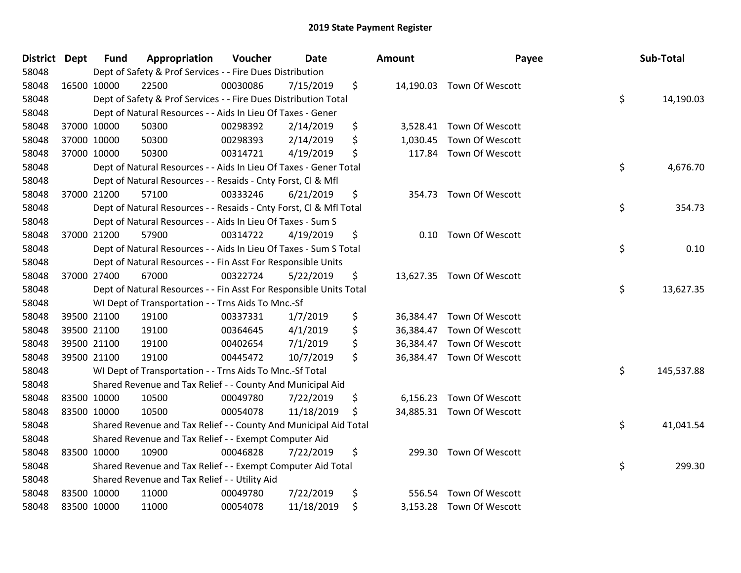| <b>District</b> | <b>Dept</b> | <b>Fund</b> | Appropriation                                                      | Voucher  | Date       | <b>Amount</b>   | Payee                     | Sub-Total        |
|-----------------|-------------|-------------|--------------------------------------------------------------------|----------|------------|-----------------|---------------------------|------------------|
| 58048           |             |             | Dept of Safety & Prof Services - - Fire Dues Distribution          |          |            |                 |                           |                  |
| 58048           |             | 16500 10000 | 22500                                                              | 00030086 | 7/15/2019  | \$              | 14,190.03 Town Of Wescott |                  |
| 58048           |             |             | Dept of Safety & Prof Services - - Fire Dues Distribution Total    |          |            |                 |                           | \$<br>14,190.03  |
| 58048           |             |             | Dept of Natural Resources - - Aids In Lieu Of Taxes - Gener        |          |            |                 |                           |                  |
| 58048           |             | 37000 10000 | 50300                                                              | 00298392 | 2/14/2019  | \$<br>3,528.41  | Town Of Wescott           |                  |
| 58048           |             | 37000 10000 | 50300                                                              | 00298393 | 2/14/2019  | \$<br>1,030.45  | Town Of Wescott           |                  |
| 58048           |             | 37000 10000 | 50300                                                              | 00314721 | 4/19/2019  | \$<br>117.84    | Town Of Wescott           |                  |
| 58048           |             |             | Dept of Natural Resources - - Aids In Lieu Of Taxes - Gener Total  |          |            |                 |                           | \$<br>4,676.70   |
| 58048           |             |             | Dept of Natural Resources - - Resaids - Cnty Forst, Cl & Mfl       |          |            |                 |                           |                  |
| 58048           |             | 37000 21200 | 57100                                                              | 00333246 | 6/21/2019  | \$              | 354.73 Town Of Wescott    |                  |
| 58048           |             |             | Dept of Natural Resources - - Resaids - Cnty Forst, CI & Mfl Total |          |            |                 |                           | \$<br>354.73     |
| 58048           |             |             | Dept of Natural Resources - - Aids In Lieu Of Taxes - Sum S        |          |            |                 |                           |                  |
| 58048           |             | 37000 21200 | 57900                                                              | 00314722 | 4/19/2019  | \$<br>0.10      | Town Of Wescott           |                  |
| 58048           |             |             | Dept of Natural Resources - - Aids In Lieu Of Taxes - Sum S Total  |          |            |                 |                           | \$<br>0.10       |
| 58048           |             |             | Dept of Natural Resources - - Fin Asst For Responsible Units       |          |            |                 |                           |                  |
| 58048           |             | 37000 27400 | 67000                                                              | 00322724 | 5/22/2019  | \$<br>13,627.35 | Town Of Wescott           |                  |
| 58048           |             |             | Dept of Natural Resources - - Fin Asst For Responsible Units Total |          |            |                 |                           | \$<br>13,627.35  |
| 58048           |             |             | WI Dept of Transportation - - Trns Aids To Mnc.-Sf                 |          |            |                 |                           |                  |
| 58048           |             | 39500 21100 | 19100                                                              | 00337331 | 1/7/2019   | \$              | 36,384.47 Town Of Wescott |                  |
| 58048           |             | 39500 21100 | 19100                                                              | 00364645 | 4/1/2019   | \$<br>36,384.47 | Town Of Wescott           |                  |
| 58048           |             | 39500 21100 | 19100                                                              | 00402654 | 7/1/2019   | \$<br>36,384.47 | Town Of Wescott           |                  |
| 58048           |             | 39500 21100 | 19100                                                              | 00445472 | 10/7/2019  | \$              | 36,384.47 Town Of Wescott |                  |
| 58048           |             |             | WI Dept of Transportation - - Trns Aids To Mnc.-Sf Total           |          |            |                 |                           | \$<br>145,537.88 |
| 58048           |             |             | Shared Revenue and Tax Relief - - County And Municipal Aid         |          |            |                 |                           |                  |
| 58048           |             | 83500 10000 | 10500                                                              | 00049780 | 7/22/2019  | \$<br>6,156.23  | Town Of Wescott           |                  |
| 58048           |             | 83500 10000 | 10500                                                              | 00054078 | 11/18/2019 | \$              | 34,885.31 Town Of Wescott |                  |
| 58048           |             |             | Shared Revenue and Tax Relief - - County And Municipal Aid Total   |          |            |                 |                           | \$<br>41,041.54  |
| 58048           |             |             | Shared Revenue and Tax Relief - - Exempt Computer Aid              |          |            |                 |                           |                  |
| 58048           | 83500 10000 |             | 10900                                                              | 00046828 | 7/22/2019  | \$<br>299.30    | Town Of Wescott           |                  |
| 58048           |             |             | Shared Revenue and Tax Relief - - Exempt Computer Aid Total        |          |            |                 |                           | \$<br>299.30     |
| 58048           |             |             | Shared Revenue and Tax Relief - - Utility Aid                      |          |            |                 |                           |                  |
| 58048           |             | 83500 10000 | 11000                                                              | 00049780 | 7/22/2019  | \$<br>556.54    | Town Of Wescott           |                  |
| 58048           |             | 83500 10000 | 11000                                                              | 00054078 | 11/18/2019 | \$              | 3,153.28 Town Of Wescott  |                  |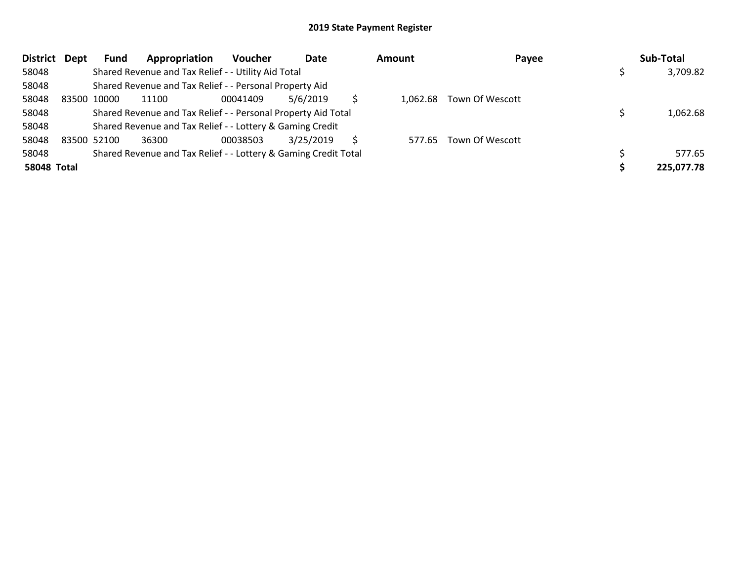|                    | District Dept | Fund        | Appropriation                                                   | <b>Voucher</b> | Date      |   | Amount   | Payee           | Sub-Total  |
|--------------------|---------------|-------------|-----------------------------------------------------------------|----------------|-----------|---|----------|-----------------|------------|
| 58048              |               |             | Shared Revenue and Tax Relief - - Utility Aid Total             |                |           |   |          |                 | 3,709.82   |
| 58048              |               |             | Shared Revenue and Tax Relief - - Personal Property Aid         |                |           |   |          |                 |            |
| 58048              |               | 83500 10000 | 11100                                                           | 00041409       | 5/6/2019  |   | 1.062.68 | Town Of Wescott |            |
| 58048              |               |             | Shared Revenue and Tax Relief - - Personal Property Aid Total   |                |           |   |          |                 | 1,062.68   |
| 58048              |               |             | Shared Revenue and Tax Relief - - Lottery & Gaming Credit       |                |           |   |          |                 |            |
| 58048              |               | 83500 52100 | 36300                                                           | 00038503       | 3/25/2019 | S | 577.65   | Town Of Wescott |            |
| 58048              |               |             | Shared Revenue and Tax Relief - - Lottery & Gaming Credit Total |                |           |   |          |                 | 577.65     |
| <b>58048 Total</b> |               |             |                                                                 |                |           |   |          |                 | 225,077.78 |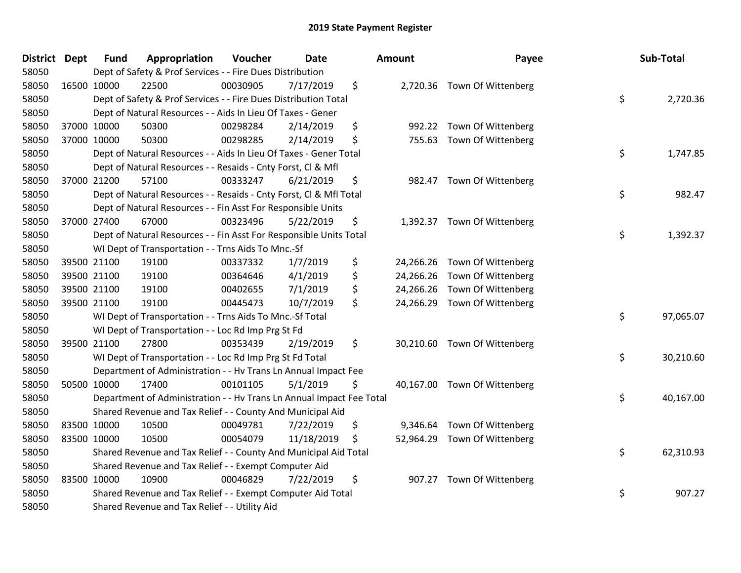| District Dept |             | <b>Fund</b> | Appropriation                                                        | Voucher  | <b>Date</b> | <b>Amount</b>  | Payee                        | Sub-Total       |
|---------------|-------------|-------------|----------------------------------------------------------------------|----------|-------------|----------------|------------------------------|-----------------|
| 58050         |             |             | Dept of Safety & Prof Services - - Fire Dues Distribution            |          |             |                |                              |                 |
| 58050         | 16500 10000 |             | 22500                                                                | 00030905 | 7/17/2019   | \$             | 2,720.36 Town Of Wittenberg  |                 |
| 58050         |             |             | Dept of Safety & Prof Services - - Fire Dues Distribution Total      |          |             |                |                              | \$<br>2,720.36  |
| 58050         |             |             | Dept of Natural Resources - - Aids In Lieu Of Taxes - Gener          |          |             |                |                              |                 |
| 58050         | 37000 10000 |             | 50300                                                                | 00298284 | 2/14/2019   | \$             | 992.22 Town Of Wittenberg    |                 |
| 58050         | 37000 10000 |             | 50300                                                                | 00298285 | 2/14/2019   | \$             | 755.63 Town Of Wittenberg    |                 |
| 58050         |             |             | Dept of Natural Resources - - Aids In Lieu Of Taxes - Gener Total    |          |             |                |                              | \$<br>1,747.85  |
| 58050         |             |             | Dept of Natural Resources - - Resaids - Cnty Forst, Cl & Mfl         |          |             |                |                              |                 |
| 58050         | 37000 21200 |             | 57100                                                                | 00333247 | 6/21/2019   | \$             | 982.47 Town Of Wittenberg    |                 |
| 58050         |             |             | Dept of Natural Resources - - Resaids - Cnty Forst, Cl & Mfl Total   |          |             |                |                              | \$<br>982.47    |
| 58050         |             |             | Dept of Natural Resources - - Fin Asst For Responsible Units         |          |             |                |                              |                 |
| 58050         | 37000 27400 |             | 67000                                                                | 00323496 | 5/22/2019   | \$             | 1,392.37 Town Of Wittenberg  |                 |
| 58050         |             |             | Dept of Natural Resources - - Fin Asst For Responsible Units Total   |          |             |                |                              | \$<br>1,392.37  |
| 58050         |             |             | WI Dept of Transportation - - Trns Aids To Mnc.-Sf                   |          |             |                |                              |                 |
| 58050         | 39500 21100 |             | 19100                                                                | 00337332 | 1/7/2019    | \$             | 24,266.26 Town Of Wittenberg |                 |
| 58050         | 39500 21100 |             | 19100                                                                | 00364646 | 4/1/2019    | \$             | 24,266.26 Town Of Wittenberg |                 |
| 58050         | 39500 21100 |             | 19100                                                                | 00402655 | 7/1/2019    | \$             | 24,266.26 Town Of Wittenberg |                 |
| 58050         | 39500 21100 |             | 19100                                                                | 00445473 | 10/7/2019   | \$             | 24,266.29 Town Of Wittenberg |                 |
| 58050         |             |             | WI Dept of Transportation - - Trns Aids To Mnc.-Sf Total             |          |             |                |                              | \$<br>97,065.07 |
| 58050         |             |             | WI Dept of Transportation - - Loc Rd Imp Prg St Fd                   |          |             |                |                              |                 |
| 58050         | 39500 21100 |             | 27800                                                                | 00353439 | 2/19/2019   | \$             | 30,210.60 Town Of Wittenberg |                 |
| 58050         |             |             | WI Dept of Transportation - - Loc Rd Imp Prg St Fd Total             |          |             |                |                              | \$<br>30,210.60 |
| 58050         |             |             | Department of Administration - - Hv Trans Ln Annual Impact Fee       |          |             |                |                              |                 |
| 58050         | 50500 10000 |             | 17400                                                                | 00101105 | 5/1/2019    | \$             | 40,167.00 Town Of Wittenberg |                 |
| 58050         |             |             | Department of Administration - - Hv Trans Ln Annual Impact Fee Total |          |             |                |                              | \$<br>40,167.00 |
| 58050         |             |             | Shared Revenue and Tax Relief - - County And Municipal Aid           |          |             |                |                              |                 |
| 58050         | 83500 10000 |             | 10500                                                                | 00049781 | 7/22/2019   | \$<br>9,346.64 | Town Of Wittenberg           |                 |
| 58050         | 83500 10000 |             | 10500                                                                | 00054079 | 11/18/2019  | \$             | 52,964.29 Town Of Wittenberg |                 |
| 58050         |             |             | Shared Revenue and Tax Relief - - County And Municipal Aid Total     |          |             |                |                              | \$<br>62,310.93 |
| 58050         |             |             | Shared Revenue and Tax Relief - - Exempt Computer Aid                |          |             |                |                              |                 |
| 58050         | 83500 10000 |             | 10900                                                                | 00046829 | 7/22/2019   | \$             | 907.27 Town Of Wittenberg    |                 |
| 58050         |             |             | Shared Revenue and Tax Relief - - Exempt Computer Aid Total          |          |             |                |                              | \$<br>907.27    |
| 58050         |             |             | Shared Revenue and Tax Relief - - Utility Aid                        |          |             |                |                              |                 |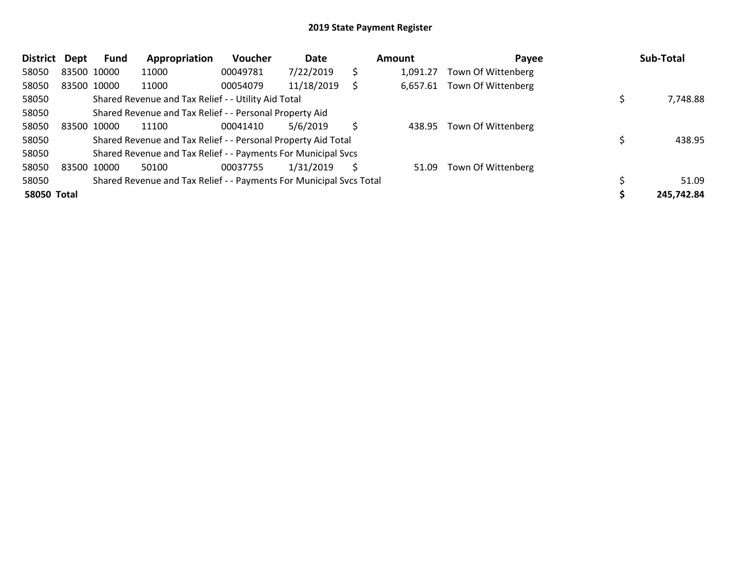| <b>District</b>    | <b>Dept</b> | Fund        | Appropriation                                                       | <b>Voucher</b> | Date       |    | Amount   | Payee              | Sub-Total  |
|--------------------|-------------|-------------|---------------------------------------------------------------------|----------------|------------|----|----------|--------------------|------------|
| 58050              |             | 83500 10000 | 11000                                                               | 00049781       | 7/22/2019  | \$ | 1,091.27 | Town Of Wittenberg |            |
| 58050              |             | 83500 10000 | 11000                                                               | 00054079       | 11/18/2019 |    | 6,657.61 | Town Of Wittenberg |            |
| 58050              |             |             | Shared Revenue and Tax Relief - - Utility Aid Total                 |                |            |    |          |                    | 7,748.88   |
| 58050              |             |             | Shared Revenue and Tax Relief - - Personal Property Aid             |                |            |    |          |                    |            |
| 58050              |             | 83500 10000 | 11100                                                               | 00041410       | 5/6/2019   | Ś. | 438.95   | Town Of Wittenberg |            |
| 58050              |             |             | Shared Revenue and Tax Relief - - Personal Property Aid Total       |                |            |    |          |                    | 438.95     |
| 58050              |             |             | Shared Revenue and Tax Relief - - Payments For Municipal Svcs       |                |            |    |          |                    |            |
| 58050              |             | 83500 10000 | 50100                                                               | 00037755       | 1/31/2019  | S  | 51.09    | Town Of Wittenberg |            |
| 58050              |             |             | Shared Revenue and Tax Relief - - Payments For Municipal Svcs Total |                |            |    |          |                    | 51.09      |
| <b>58050 Total</b> |             |             |                                                                     |                |            |    |          |                    | 245,742.84 |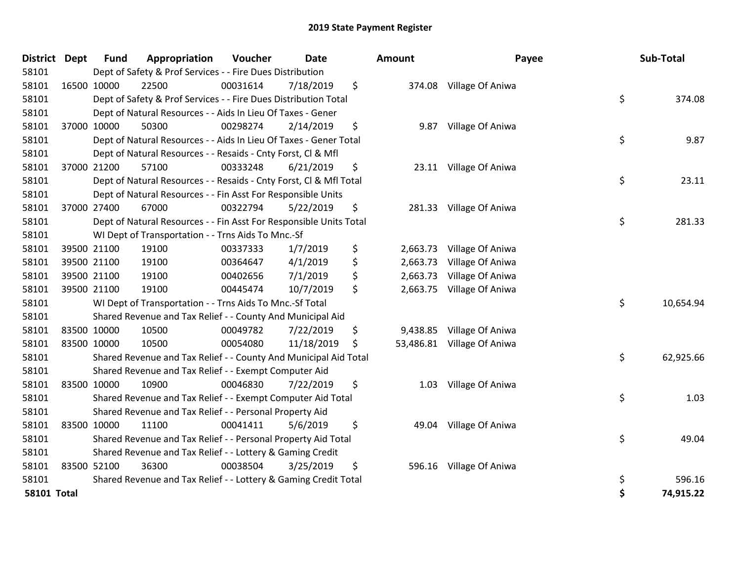| <b>District</b>    | <b>Dept</b> | <b>Fund</b> | Appropriation                                                      | Voucher  | <b>Date</b> | Amount         | Payee                      | Sub-Total       |
|--------------------|-------------|-------------|--------------------------------------------------------------------|----------|-------------|----------------|----------------------------|-----------------|
| 58101              |             |             | Dept of Safety & Prof Services - - Fire Dues Distribution          |          |             |                |                            |                 |
| 58101              |             | 16500 10000 | 22500                                                              | 00031614 | 7/18/2019   | \$             | 374.08 Village Of Aniwa    |                 |
| 58101              |             |             | Dept of Safety & Prof Services - - Fire Dues Distribution Total    |          |             |                |                            | \$<br>374.08    |
| 58101              |             |             | Dept of Natural Resources - - Aids In Lieu Of Taxes - Gener        |          |             |                |                            |                 |
| 58101              |             | 37000 10000 | 50300                                                              | 00298274 | 2/14/2019   | \$<br>9.87     | Village Of Aniwa           |                 |
| 58101              |             |             | Dept of Natural Resources - - Aids In Lieu Of Taxes - Gener Total  |          |             |                |                            | \$<br>9.87      |
| 58101              |             |             | Dept of Natural Resources - - Resaids - Cnty Forst, Cl & Mfl       |          |             |                |                            |                 |
| 58101              |             | 37000 21200 | 57100                                                              | 00333248 | 6/21/2019   | \$             | 23.11 Village Of Aniwa     |                 |
| 58101              |             |             | Dept of Natural Resources - - Resaids - Cnty Forst, Cl & Mfl Total |          |             |                |                            | \$<br>23.11     |
| 58101              |             |             | Dept of Natural Resources - - Fin Asst For Responsible Units       |          |             |                |                            |                 |
| 58101              |             | 37000 27400 | 67000                                                              | 00322794 | 5/22/2019   | \$             | 281.33 Village Of Aniwa    |                 |
| 58101              |             |             | Dept of Natural Resources - - Fin Asst For Responsible Units Total |          |             |                |                            | \$<br>281.33    |
| 58101              |             |             | WI Dept of Transportation - - Trns Aids To Mnc.-Sf                 |          |             |                |                            |                 |
| 58101              |             | 39500 21100 | 19100                                                              | 00337333 | 1/7/2019    | \$<br>2,663.73 | Village Of Aniwa           |                 |
| 58101              |             | 39500 21100 | 19100                                                              | 00364647 | 4/1/2019    | \$<br>2,663.73 | Village Of Aniwa           |                 |
| 58101              |             | 39500 21100 | 19100                                                              | 00402656 | 7/1/2019    | \$<br>2,663.73 | Village Of Aniwa           |                 |
| 58101              |             | 39500 21100 | 19100                                                              | 00445474 | 10/7/2019   | \$<br>2,663.75 | Village Of Aniwa           |                 |
| 58101              |             |             | WI Dept of Transportation - - Trns Aids To Mnc.-Sf Total           |          |             |                |                            | \$<br>10,654.94 |
| 58101              |             |             | Shared Revenue and Tax Relief - - County And Municipal Aid         |          |             |                |                            |                 |
| 58101              |             | 83500 10000 | 10500                                                              | 00049782 | 7/22/2019   | \$<br>9,438.85 | Village Of Aniwa           |                 |
| 58101              |             | 83500 10000 | 10500                                                              | 00054080 | 11/18/2019  | \$             | 53,486.81 Village Of Aniwa |                 |
| 58101              |             |             | Shared Revenue and Tax Relief - - County And Municipal Aid Total   |          |             |                |                            | \$<br>62,925.66 |
| 58101              |             |             | Shared Revenue and Tax Relief - - Exempt Computer Aid              |          |             |                |                            |                 |
| 58101              |             | 83500 10000 | 10900                                                              | 00046830 | 7/22/2019   | \$<br>1.03     | Village Of Aniwa           |                 |
| 58101              |             |             | Shared Revenue and Tax Relief - - Exempt Computer Aid Total        |          |             |                |                            | \$<br>1.03      |
| 58101              |             |             | Shared Revenue and Tax Relief - - Personal Property Aid            |          |             |                |                            |                 |
| 58101              |             | 83500 10000 | 11100                                                              | 00041411 | 5/6/2019    | \$<br>49.04    | Village Of Aniwa           |                 |
| 58101              |             |             | Shared Revenue and Tax Relief - - Personal Property Aid Total      |          |             |                |                            | \$<br>49.04     |
| 58101              |             |             | Shared Revenue and Tax Relief - - Lottery & Gaming Credit          |          |             |                |                            |                 |
| 58101              |             | 83500 52100 | 36300                                                              | 00038504 | 3/25/2019   | \$             | 596.16 Village Of Aniwa    |                 |
| 58101              |             |             | Shared Revenue and Tax Relief - - Lottery & Gaming Credit Total    |          |             |                |                            | \$<br>596.16    |
| <b>58101 Total</b> |             |             |                                                                    |          |             |                |                            | \$<br>74,915.22 |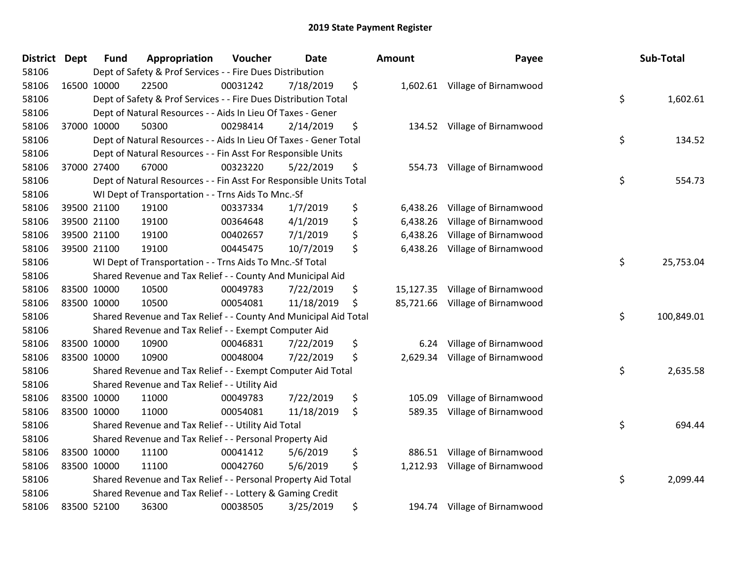| District Dept | <b>Fund</b> | Appropriation                                                      | Voucher  | <b>Date</b> | <b>Amount</b>   | Payee                          | Sub-Total        |
|---------------|-------------|--------------------------------------------------------------------|----------|-------------|-----------------|--------------------------------|------------------|
| 58106         |             | Dept of Safety & Prof Services - - Fire Dues Distribution          |          |             |                 |                                |                  |
| 58106         | 16500 10000 | 22500                                                              | 00031242 | 7/18/2019   | \$              | 1,602.61 Village of Birnamwood |                  |
| 58106         |             | Dept of Safety & Prof Services - - Fire Dues Distribution Total    |          |             |                 |                                | \$<br>1,602.61   |
| 58106         |             | Dept of Natural Resources - - Aids In Lieu Of Taxes - Gener        |          |             |                 |                                |                  |
| 58106         | 37000 10000 | 50300                                                              | 00298414 | 2/14/2019   | \$              | 134.52 Village of Birnamwood   |                  |
| 58106         |             | Dept of Natural Resources - - Aids In Lieu Of Taxes - Gener Total  |          |             |                 |                                | \$<br>134.52     |
| 58106         |             | Dept of Natural Resources - - Fin Asst For Responsible Units       |          |             |                 |                                |                  |
| 58106         | 37000 27400 | 67000                                                              | 00323220 | 5/22/2019   | \$<br>554.73    | Village of Birnamwood          |                  |
| 58106         |             | Dept of Natural Resources - - Fin Asst For Responsible Units Total |          |             |                 |                                | \$<br>554.73     |
| 58106         |             | WI Dept of Transportation - - Trns Aids To Mnc.-Sf                 |          |             |                 |                                |                  |
| 58106         | 39500 21100 | 19100                                                              | 00337334 | 1/7/2019    | \$<br>6,438.26  | Village of Birnamwood          |                  |
| 58106         | 39500 21100 | 19100                                                              | 00364648 | 4/1/2019    | \$<br>6,438.26  | Village of Birnamwood          |                  |
| 58106         | 39500 21100 | 19100                                                              | 00402657 | 7/1/2019    | \$<br>6,438.26  | Village of Birnamwood          |                  |
| 58106         | 39500 21100 | 19100                                                              | 00445475 | 10/7/2019   | \$<br>6,438.26  | Village of Birnamwood          |                  |
| 58106         |             | WI Dept of Transportation - - Trns Aids To Mnc.-Sf Total           |          |             |                 |                                | \$<br>25,753.04  |
| 58106         |             | Shared Revenue and Tax Relief - - County And Municipal Aid         |          |             |                 |                                |                  |
| 58106         | 83500 10000 | 10500                                                              | 00049783 | 7/22/2019   | \$<br>15,127.35 | Village of Birnamwood          |                  |
| 58106         | 83500 10000 | 10500                                                              | 00054081 | 11/18/2019  | \$<br>85,721.66 | Village of Birnamwood          |                  |
| 58106         |             | Shared Revenue and Tax Relief - - County And Municipal Aid Total   |          |             |                 |                                | \$<br>100,849.01 |
| 58106         |             | Shared Revenue and Tax Relief - - Exempt Computer Aid              |          |             |                 |                                |                  |
| 58106         | 83500 10000 | 10900                                                              | 00046831 | 7/22/2019   | \$<br>6.24      | Village of Birnamwood          |                  |
| 58106         | 83500 10000 | 10900                                                              | 00048004 | 7/22/2019   | \$<br>2,629.34  | Village of Birnamwood          |                  |
| 58106         |             | Shared Revenue and Tax Relief - - Exempt Computer Aid Total        |          |             |                 |                                | \$<br>2,635.58   |
| 58106         |             | Shared Revenue and Tax Relief - - Utility Aid                      |          |             |                 |                                |                  |
| 58106         | 83500 10000 | 11000                                                              | 00049783 | 7/22/2019   | \$<br>105.09    | Village of Birnamwood          |                  |
| 58106         | 83500 10000 | 11000                                                              | 00054081 | 11/18/2019  | \$<br>589.35    | Village of Birnamwood          |                  |
| 58106         |             | Shared Revenue and Tax Relief - - Utility Aid Total                |          |             |                 |                                | \$<br>694.44     |
| 58106         |             | Shared Revenue and Tax Relief - - Personal Property Aid            |          |             |                 |                                |                  |
| 58106         | 83500 10000 | 11100                                                              | 00041412 | 5/6/2019    | \$<br>886.51    | Village of Birnamwood          |                  |
| 58106         | 83500 10000 | 11100                                                              | 00042760 | 5/6/2019    | \$<br>1,212.93  | Village of Birnamwood          |                  |
| 58106         |             | Shared Revenue and Tax Relief - - Personal Property Aid Total      |          |             |                 |                                | \$<br>2,099.44   |
| 58106         |             | Shared Revenue and Tax Relief - - Lottery & Gaming Credit          |          |             |                 |                                |                  |
| 58106         | 83500 52100 | 36300                                                              | 00038505 | 3/25/2019   | \$<br>194.74    | Village of Birnamwood          |                  |

| Sub-Total  | Payee                       | ount      |
|------------|-----------------------------|-----------|
| 1,602.61   | \$<br>Village of Birnamwood | 1,602.61  |
| 134.52     | \$<br>Village of Birnamwood | 134.52    |
|            |                             |           |
| 554.73     | \$<br>Village of Birnamwood | 554.73    |
|            | Village of Birnamwood       | 6,438.26  |
|            | Village of Birnamwood       | 6,438.26  |
|            | Village of Birnamwood       | 6,438.26  |
|            | Village of Birnamwood       | 6,438.26  |
| 25,753.04  | \$                          |           |
|            | Village of Birnamwood       | 15,127.35 |
|            | Village of Birnamwood       | 85,721.66 |
| 100,849.01 | \$                          |           |
|            | Village of Birnamwood       | 6.24      |
|            | Village of Birnamwood       | 2,629.34  |
| 2,635.58   | \$                          |           |
|            | Village of Birnamwood       | 105.09    |
|            | Village of Birnamwood       | 589.35    |
| 694.44     | \$                          |           |
|            | Village of Birnamwood       | 886.51    |
|            | Village of Birnamwood       | 1,212.93  |
| 2,099.44   | \$                          |           |
|            | Village of Birnamwood       | 194.74    |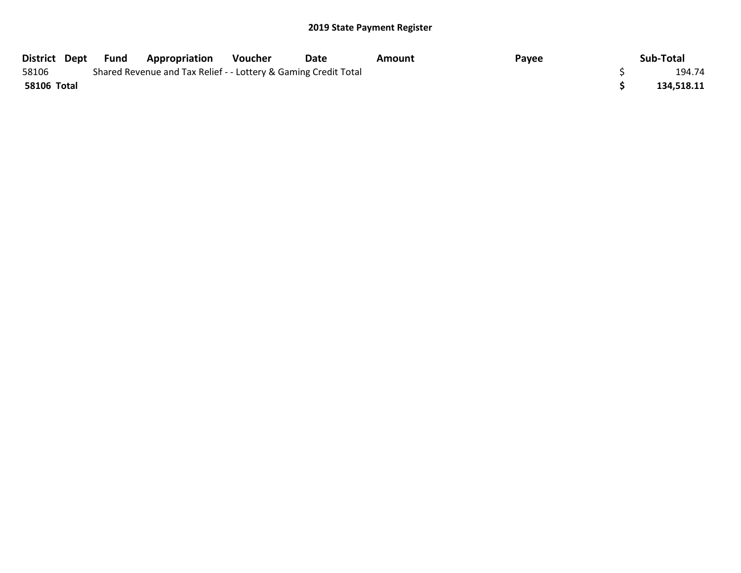|             | District Dept Fund | <b>Appropriation</b>                                            | Voucher | Date | Amount | Payee | Sub-Total  |
|-------------|--------------------|-----------------------------------------------------------------|---------|------|--------|-------|------------|
| 58106       |                    | Shared Revenue and Tax Relief - - Lottery & Gaming Credit Total |         |      |        |       | 194.74     |
| 58106 Total |                    |                                                                 |         |      |        |       | 134.518.11 |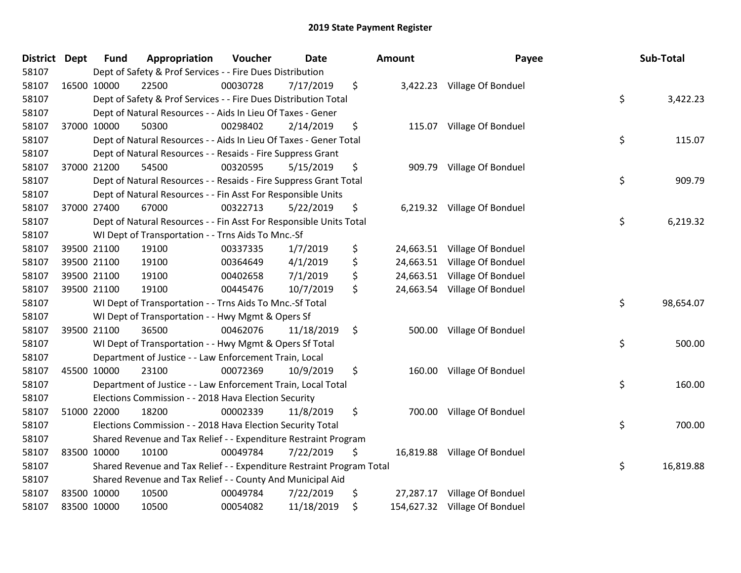| District Dept | Fund        | Appropriation                                                         | Voucher  | <b>Date</b> | Amount          | Payee                         | Sub-Total       |
|---------------|-------------|-----------------------------------------------------------------------|----------|-------------|-----------------|-------------------------------|-----------------|
| 58107         |             | Dept of Safety & Prof Services - - Fire Dues Distribution             |          |             |                 |                               |                 |
| 58107         | 16500 10000 | 22500                                                                 | 00030728 | 7/17/2019   | \$              | 3,422.23 Village Of Bonduel   |                 |
| 58107         |             | Dept of Safety & Prof Services - - Fire Dues Distribution Total       |          |             |                 |                               | \$<br>3,422.23  |
| 58107         |             | Dept of Natural Resources - - Aids In Lieu Of Taxes - Gener           |          |             |                 |                               |                 |
| 58107         | 37000 10000 | 50300                                                                 | 00298402 | 2/14/2019   | \$              | 115.07 Village Of Bonduel     |                 |
| 58107         |             | Dept of Natural Resources - - Aids In Lieu Of Taxes - Gener Total     |          |             |                 |                               | \$<br>115.07    |
| 58107         |             | Dept of Natural Resources - - Resaids - Fire Suppress Grant           |          |             |                 |                               |                 |
| 58107         | 37000 21200 | 54500                                                                 | 00320595 | 5/15/2019   | \$              | 909.79 Village Of Bonduel     |                 |
| 58107         |             | Dept of Natural Resources - - Resaids - Fire Suppress Grant Total     |          |             |                 |                               | \$<br>909.79    |
| 58107         |             | Dept of Natural Resources - - Fin Asst For Responsible Units          |          |             |                 |                               |                 |
| 58107         | 37000 27400 | 67000                                                                 | 00322713 | 5/22/2019   | \$              | 6,219.32 Village Of Bonduel   |                 |
| 58107         |             | Dept of Natural Resources - - Fin Asst For Responsible Units Total    |          |             |                 |                               | \$<br>6,219.32  |
| 58107         |             | WI Dept of Transportation - - Trns Aids To Mnc.-Sf                    |          |             |                 |                               |                 |
| 58107         | 39500 21100 | 19100                                                                 | 00337335 | 1/7/2019    | \$              | 24,663.51 Village Of Bonduel  |                 |
| 58107         | 39500 21100 | 19100                                                                 | 00364649 | 4/1/2019    | \$<br>24,663.51 | Village Of Bonduel            |                 |
| 58107         | 39500 21100 | 19100                                                                 | 00402658 | 7/1/2019    | \$<br>24,663.51 | Village Of Bonduel            |                 |
| 58107         | 39500 21100 | 19100                                                                 | 00445476 | 10/7/2019   | \$              | 24,663.54 Village Of Bonduel  |                 |
| 58107         |             | WI Dept of Transportation - - Trns Aids To Mnc.-Sf Total              |          |             |                 |                               | \$<br>98,654.07 |
| 58107         |             | WI Dept of Transportation - - Hwy Mgmt & Opers Sf                     |          |             |                 |                               |                 |
| 58107         | 39500 21100 | 36500                                                                 | 00462076 | 11/18/2019  | \$<br>500.00    | Village Of Bonduel            |                 |
| 58107         |             | WI Dept of Transportation - - Hwy Mgmt & Opers Sf Total               |          |             |                 |                               | \$<br>500.00    |
| 58107         |             | Department of Justice - - Law Enforcement Train, Local                |          |             |                 |                               |                 |
| 58107         | 45500 10000 | 23100                                                                 | 00072369 | 10/9/2019   | \$              | 160.00 Village Of Bonduel     |                 |
| 58107         |             | Department of Justice - - Law Enforcement Train, Local Total          |          |             |                 |                               | \$<br>160.00    |
| 58107         |             | Elections Commission - - 2018 Hava Election Security                  |          |             |                 |                               |                 |
| 58107         | 51000 22000 | 18200                                                                 | 00002339 | 11/8/2019   | \$<br>700.00    | Village Of Bonduel            |                 |
| 58107         |             | Elections Commission - - 2018 Hava Election Security Total            |          |             |                 |                               | \$<br>700.00    |
| 58107         |             | Shared Revenue and Tax Relief - - Expenditure Restraint Program       |          |             |                 |                               |                 |
| 58107         | 83500 10000 | 10100                                                                 | 00049784 | 7/22/2019   | \$              | 16,819.88 Village Of Bonduel  |                 |
| 58107         |             | Shared Revenue and Tax Relief - - Expenditure Restraint Program Total |          |             |                 |                               | \$<br>16,819.88 |
| 58107         |             | Shared Revenue and Tax Relief - - County And Municipal Aid            |          |             |                 |                               |                 |
| 58107         | 83500 10000 | 10500                                                                 | 00049784 | 7/22/2019   | \$<br>27,287.17 | Village Of Bonduel            |                 |
| 58107         | 83500 10000 | 10500                                                                 | 00054082 | 11/18/2019  | \$              | 154,627.32 Village Of Bonduel |                 |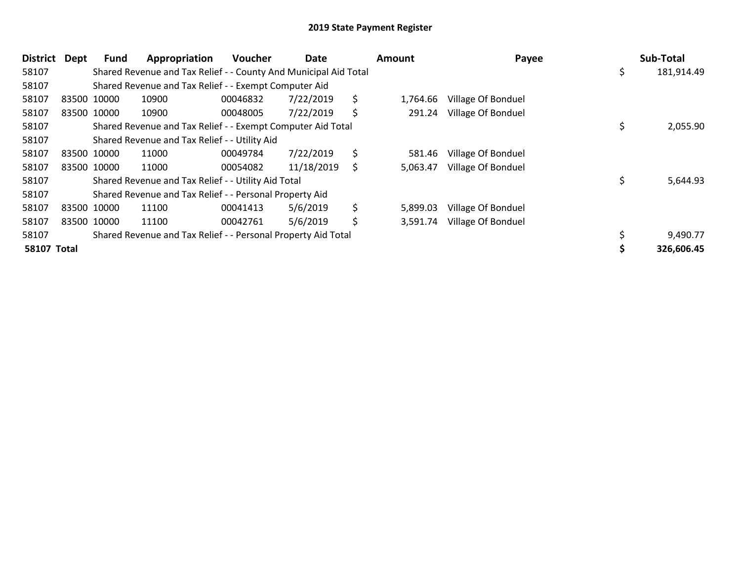| <b>District</b>    | <b>Dept</b> | <b>Fund</b> | Appropriation                                                    | Voucher  | Date       | Amount         | Payee              | Sub-Total  |
|--------------------|-------------|-------------|------------------------------------------------------------------|----------|------------|----------------|--------------------|------------|
| 58107              |             |             | Shared Revenue and Tax Relief - - County And Municipal Aid Total |          |            |                |                    | 181,914.49 |
| 58107              |             |             | Shared Revenue and Tax Relief - - Exempt Computer Aid            |          |            |                |                    |            |
| 58107              |             | 83500 10000 | 10900                                                            | 00046832 | 7/22/2019  | \$<br>1,764.66 | Village Of Bonduel |            |
| 58107              |             | 83500 10000 | 10900                                                            | 00048005 | 7/22/2019  | \$<br>291.24   | Village Of Bonduel |            |
| 58107              |             |             | Shared Revenue and Tax Relief - - Exempt Computer Aid Total      |          |            |                |                    | 2,055.90   |
| 58107              |             |             | Shared Revenue and Tax Relief - - Utility Aid                    |          |            |                |                    |            |
| 58107              |             | 83500 10000 | 11000                                                            | 00049784 | 7/22/2019  | \$<br>581.46   | Village Of Bonduel |            |
| 58107              |             | 83500 10000 | 11000                                                            | 00054082 | 11/18/2019 | \$<br>5,063.47 | Village Of Bonduel |            |
| 58107              |             |             | Shared Revenue and Tax Relief - - Utility Aid Total              |          |            |                |                    | 5,644.93   |
| 58107              |             |             | Shared Revenue and Tax Relief - - Personal Property Aid          |          |            |                |                    |            |
| 58107              |             | 83500 10000 | 11100                                                            | 00041413 | 5/6/2019   | \$<br>5,899.03 | Village Of Bonduel |            |
| 58107              |             | 83500 10000 | 11100                                                            | 00042761 | 5/6/2019   | \$<br>3,591.74 | Village Of Bonduel |            |
| 58107              |             |             | Shared Revenue and Tax Relief - - Personal Property Aid Total    |          |            |                |                    | 9,490.77   |
| <b>58107 Total</b> |             |             |                                                                  |          |            |                |                    | 326,606.45 |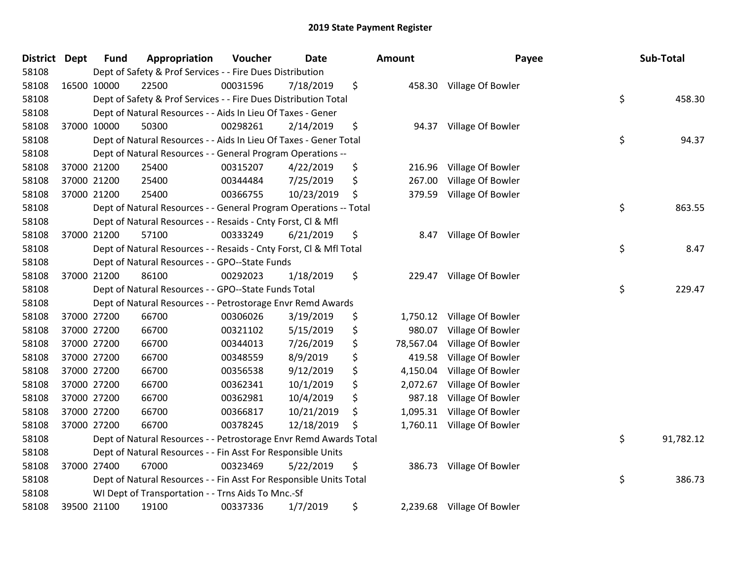| <b>District</b> | <b>Dept</b> | <b>Fund</b> | Appropriation                                                      | Voucher  | Date       | <b>Amount</b>   | Payee                      | Sub-Total       |
|-----------------|-------------|-------------|--------------------------------------------------------------------|----------|------------|-----------------|----------------------------|-----------------|
| 58108           |             |             | Dept of Safety & Prof Services - - Fire Dues Distribution          |          |            |                 |                            |                 |
| 58108           |             | 16500 10000 | 22500                                                              | 00031596 | 7/18/2019  | \$              | 458.30 Village Of Bowler   |                 |
| 58108           |             |             | Dept of Safety & Prof Services - - Fire Dues Distribution Total    |          |            |                 |                            | \$<br>458.30    |
| 58108           |             |             | Dept of Natural Resources - - Aids In Lieu Of Taxes - Gener        |          |            |                 |                            |                 |
| 58108           |             | 37000 10000 | 50300                                                              | 00298261 | 2/14/2019  | \$<br>94.37     | Village Of Bowler          |                 |
| 58108           |             |             | Dept of Natural Resources - - Aids In Lieu Of Taxes - Gener Total  |          |            |                 |                            | \$<br>94.37     |
| 58108           |             |             | Dept of Natural Resources - - General Program Operations --        |          |            |                 |                            |                 |
| 58108           |             | 37000 21200 | 25400                                                              | 00315207 | 4/22/2019  | \$<br>216.96    | Village Of Bowler          |                 |
| 58108           |             | 37000 21200 | 25400                                                              | 00344484 | 7/25/2019  | \$<br>267.00    | Village Of Bowler          |                 |
| 58108           |             | 37000 21200 | 25400                                                              | 00366755 | 10/23/2019 | \$<br>379.59    | Village Of Bowler          |                 |
| 58108           |             |             | Dept of Natural Resources - - General Program Operations -- Total  |          |            |                 |                            | \$<br>863.55    |
| 58108           |             |             | Dept of Natural Resources - - Resaids - Cnty Forst, Cl & Mfl       |          |            |                 |                            |                 |
| 58108           |             | 37000 21200 | 57100                                                              | 00333249 | 6/21/2019  | \$<br>8.47      | Village Of Bowler          |                 |
| 58108           |             |             | Dept of Natural Resources - - Resaids - Cnty Forst, CI & Mfl Total |          |            |                 |                            | \$<br>8.47      |
| 58108           |             |             | Dept of Natural Resources - - GPO--State Funds                     |          |            |                 |                            |                 |
| 58108           |             | 37000 21200 | 86100                                                              | 00292023 | 1/18/2019  | \$<br>229.47    | Village Of Bowler          |                 |
| 58108           |             |             | Dept of Natural Resources - - GPO--State Funds Total               |          |            |                 |                            | \$<br>229.47    |
| 58108           |             |             | Dept of Natural Resources - - Petrostorage Envr Remd Awards        |          |            |                 |                            |                 |
| 58108           |             | 37000 27200 | 66700                                                              | 00306026 | 3/19/2019  | \$<br>1,750.12  | Village Of Bowler          |                 |
| 58108           |             | 37000 27200 | 66700                                                              | 00321102 | 5/15/2019  | \$<br>980.07    | Village Of Bowler          |                 |
| 58108           |             | 37000 27200 | 66700                                                              | 00344013 | 7/26/2019  | \$<br>78,567.04 | Village Of Bowler          |                 |
| 58108           |             | 37000 27200 | 66700                                                              | 00348559 | 8/9/2019   | \$<br>419.58    | Village Of Bowler          |                 |
| 58108           |             | 37000 27200 | 66700                                                              | 00356538 | 9/12/2019  | \$<br>4,150.04  | Village Of Bowler          |                 |
| 58108           |             | 37000 27200 | 66700                                                              | 00362341 | 10/1/2019  | \$<br>2,072.67  | Village Of Bowler          |                 |
| 58108           |             | 37000 27200 | 66700                                                              | 00362981 | 10/4/2019  | \$<br>987.18    | Village Of Bowler          |                 |
| 58108           |             | 37000 27200 | 66700                                                              | 00366817 | 10/21/2019 | \$<br>1,095.31  | Village Of Bowler          |                 |
| 58108           |             | 37000 27200 | 66700                                                              | 00378245 | 12/18/2019 | \$<br>1,760.11  | Village Of Bowler          |                 |
| 58108           |             |             | Dept of Natural Resources - - Petrostorage Envr Remd Awards Total  |          |            |                 |                            | \$<br>91,782.12 |
| 58108           |             |             | Dept of Natural Resources - - Fin Asst For Responsible Units       |          |            |                 |                            |                 |
| 58108           |             | 37000 27400 | 67000                                                              | 00323469 | 5/22/2019  | \$<br>386.73    | Village Of Bowler          |                 |
| 58108           |             |             | Dept of Natural Resources - - Fin Asst For Responsible Units Total |          |            |                 |                            | \$<br>386.73    |
| 58108           |             |             | WI Dept of Transportation - - Trns Aids To Mnc.-Sf                 |          |            |                 |                            |                 |
| 58108           |             | 39500 21100 | 19100                                                              | 00337336 | 1/7/2019   | \$              | 2,239.68 Village Of Bowler |                 |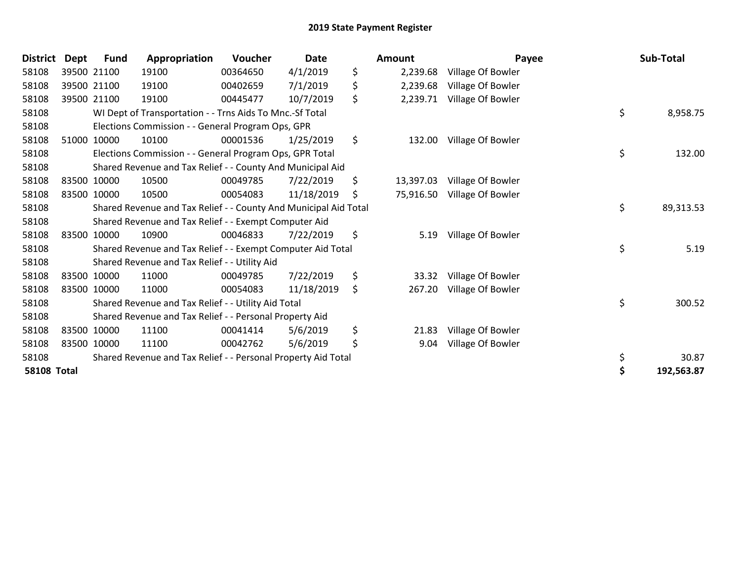| <b>District</b>    | <b>Dept</b> | <b>Fund</b> | Appropriation                                                    | Voucher  | <b>Date</b> | <b>Amount</b>   | Payee             | Sub-Total        |
|--------------------|-------------|-------------|------------------------------------------------------------------|----------|-------------|-----------------|-------------------|------------------|
| 58108              |             | 39500 21100 | 19100                                                            | 00364650 | 4/1/2019    | \$<br>2,239.68  | Village Of Bowler |                  |
| 58108              |             | 39500 21100 | 19100                                                            | 00402659 | 7/1/2019    | \$<br>2,239.68  | Village Of Bowler |                  |
| 58108              |             | 39500 21100 | 19100                                                            | 00445477 | 10/7/2019   | \$<br>2,239.71  | Village Of Bowler |                  |
| 58108              |             |             | WI Dept of Transportation - - Trns Aids To Mnc.-Sf Total         |          |             |                 |                   | \$<br>8,958.75   |
| 58108              |             |             | Elections Commission - - General Program Ops, GPR                |          |             |                 |                   |                  |
| 58108              |             | 51000 10000 | 10100                                                            | 00001536 | 1/25/2019   | \$<br>132.00    | Village Of Bowler |                  |
| 58108              |             |             | Elections Commission - - General Program Ops, GPR Total          |          |             |                 |                   | \$<br>132.00     |
| 58108              |             |             | Shared Revenue and Tax Relief - - County And Municipal Aid       |          |             |                 |                   |                  |
| 58108              |             | 83500 10000 | 10500                                                            | 00049785 | 7/22/2019   | \$<br>13,397.03 | Village Of Bowler |                  |
| 58108              | 83500 10000 |             | 10500                                                            | 00054083 | 11/18/2019  | \$<br>75,916.50 | Village Of Bowler |                  |
| 58108              |             |             | Shared Revenue and Tax Relief - - County And Municipal Aid Total |          |             |                 |                   | \$<br>89,313.53  |
| 58108              |             |             | Shared Revenue and Tax Relief - - Exempt Computer Aid            |          |             |                 |                   |                  |
| 58108              |             | 83500 10000 | 10900                                                            | 00046833 | 7/22/2019   | \$<br>5.19      | Village Of Bowler |                  |
| 58108              |             |             | Shared Revenue and Tax Relief - - Exempt Computer Aid Total      |          |             |                 |                   | \$<br>5.19       |
| 58108              |             |             | Shared Revenue and Tax Relief - - Utility Aid                    |          |             |                 |                   |                  |
| 58108              |             | 83500 10000 | 11000                                                            | 00049785 | 7/22/2019   | \$<br>33.32     | Village Of Bowler |                  |
| 58108              |             | 83500 10000 | 11000                                                            | 00054083 | 11/18/2019  | \$<br>267.20    | Village Of Bowler |                  |
| 58108              |             |             | Shared Revenue and Tax Relief - - Utility Aid Total              |          |             |                 |                   | \$<br>300.52     |
| 58108              |             |             | Shared Revenue and Tax Relief - - Personal Property Aid          |          |             |                 |                   |                  |
| 58108              |             | 83500 10000 | 11100                                                            | 00041414 | 5/6/2019    | \$<br>21.83     | Village Of Bowler |                  |
| 58108              |             | 83500 10000 | 11100                                                            | 00042762 | 5/6/2019    | \$<br>9.04      | Village Of Bowler |                  |
| 58108              |             |             | Shared Revenue and Tax Relief - - Personal Property Aid Total    |          |             |                 |                   | \$<br>30.87      |
| <b>58108 Total</b> |             |             |                                                                  |          |             |                 |                   | \$<br>192,563.87 |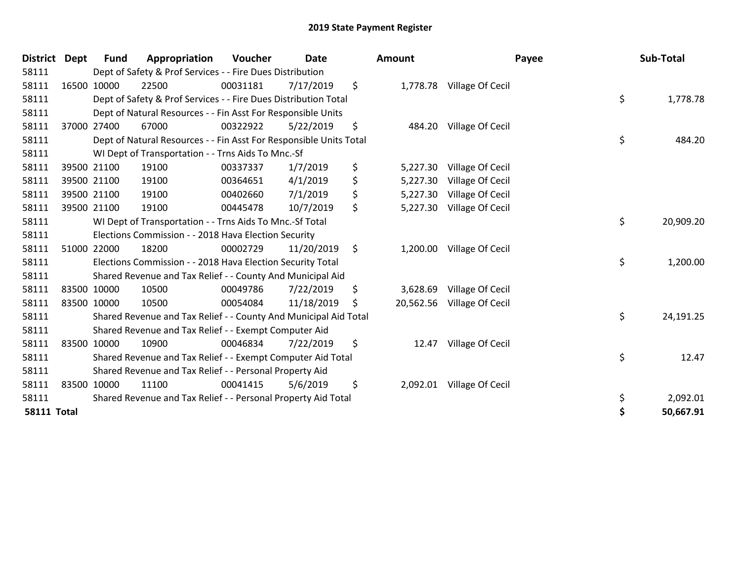| <b>District Dept</b> |             | <b>Fund</b> | Appropriation                                                      | Voucher  | <b>Date</b> |     | Amount    |                           | Payee | Sub-Total |
|----------------------|-------------|-------------|--------------------------------------------------------------------|----------|-------------|-----|-----------|---------------------------|-------|-----------|
| 58111                |             |             | Dept of Safety & Prof Services - - Fire Dues Distribution          |          |             |     |           |                           |       |           |
| 58111                |             | 16500 10000 | 22500                                                              | 00031181 | 7/17/2019   | \$  |           | 1,778.78 Village Of Cecil |       |           |
| 58111                |             |             | Dept of Safety & Prof Services - - Fire Dues Distribution Total    |          |             |     |           |                           | \$    | 1,778.78  |
| 58111                |             |             | Dept of Natural Resources - - Fin Asst For Responsible Units       |          |             |     |           |                           |       |           |
| 58111                |             | 37000 27400 | 67000                                                              | 00322922 | 5/22/2019   | \$  | 484.20    | Village Of Cecil          |       |           |
| 58111                |             |             | Dept of Natural Resources - - Fin Asst For Responsible Units Total |          |             |     |           |                           | \$    | 484.20    |
| 58111                |             |             | WI Dept of Transportation - - Trns Aids To Mnc.-Sf                 |          |             |     |           |                           |       |           |
| 58111                |             | 39500 21100 | 19100                                                              | 00337337 | 1/7/2019    | \$  | 5,227.30  | Village Of Cecil          |       |           |
| 58111                |             | 39500 21100 | 19100                                                              | 00364651 | 4/1/2019    | \$  | 5,227.30  | Village Of Cecil          |       |           |
| 58111                |             | 39500 21100 | 19100                                                              | 00402660 | 7/1/2019    | \$  | 5,227.30  | Village Of Cecil          |       |           |
| 58111                |             | 39500 21100 | 19100                                                              | 00445478 | 10/7/2019   | \$  | 5,227.30  | Village Of Cecil          |       |           |
| 58111                |             |             | WI Dept of Transportation - - Trns Aids To Mnc.-Sf Total           |          |             |     |           |                           | \$    | 20,909.20 |
| 58111                |             |             | Elections Commission - - 2018 Hava Election Security               |          |             |     |           |                           |       |           |
| 58111                |             | 51000 22000 | 18200                                                              | 00002729 | 11/20/2019  | \$  | 1,200.00  | Village Of Cecil          |       |           |
| 58111                |             |             | Elections Commission - - 2018 Hava Election Security Total         |          |             |     |           |                           | \$    | 1,200.00  |
| 58111                |             |             | Shared Revenue and Tax Relief - - County And Municipal Aid         |          |             |     |           |                           |       |           |
| 58111                |             | 83500 10000 | 10500                                                              | 00049786 | 7/22/2019   | \$  | 3,628.69  | Village Of Cecil          |       |           |
| 58111                |             | 83500 10000 | 10500                                                              | 00054084 | 11/18/2019  | \$. | 20,562.56 | Village Of Cecil          |       |           |
| 58111                |             |             | Shared Revenue and Tax Relief - - County And Municipal Aid Total   |          |             |     |           |                           | \$    | 24,191.25 |
| 58111                |             |             | Shared Revenue and Tax Relief - - Exempt Computer Aid              |          |             |     |           |                           |       |           |
| 58111                |             | 83500 10000 | 10900                                                              | 00046834 | 7/22/2019   | \$  | 12.47     | Village Of Cecil          |       |           |
| 58111                |             |             | Shared Revenue and Tax Relief - - Exempt Computer Aid Total        |          |             |     |           |                           | \$    | 12.47     |
| 58111                |             |             | Shared Revenue and Tax Relief - - Personal Property Aid            |          |             |     |           |                           |       |           |
| 58111                | 83500 10000 |             | 11100                                                              | 00041415 | 5/6/2019    | \$  | 2,092.01  | Village Of Cecil          |       |           |
| 58111                |             |             | Shared Revenue and Tax Relief - - Personal Property Aid Total      |          |             |     |           |                           | \$    | 2,092.01  |
| <b>58111 Total</b>   |             |             |                                                                    |          |             |     |           |                           | \$    | 50,667.91 |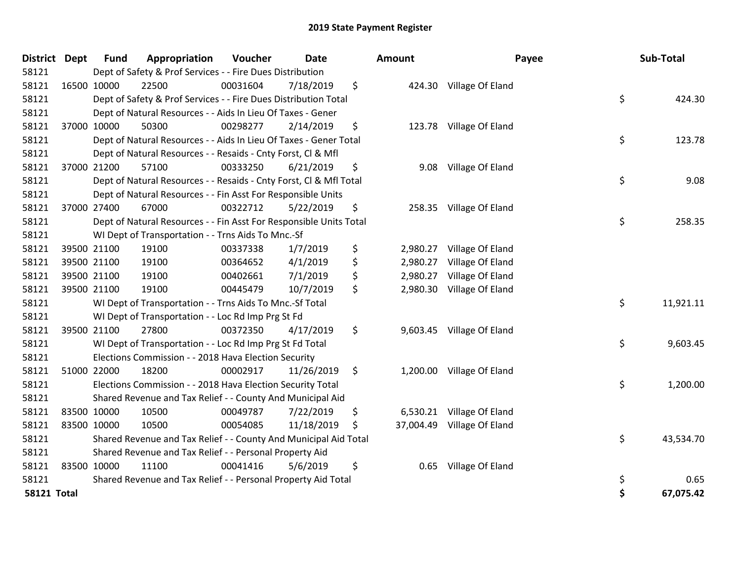| District Dept      |             | <b>Fund</b> | Appropriation                                                      | Voucher  | <b>Date</b> | Amount          | Payee                     |    | Sub-Total |
|--------------------|-------------|-------------|--------------------------------------------------------------------|----------|-------------|-----------------|---------------------------|----|-----------|
| 58121              |             |             | Dept of Safety & Prof Services - - Fire Dues Distribution          |          |             |                 |                           |    |           |
| 58121              | 16500 10000 |             | 22500                                                              | 00031604 | 7/18/2019   | \$              | 424.30 Village Of Eland   |    |           |
| 58121              |             |             | Dept of Safety & Prof Services - - Fire Dues Distribution Total    |          |             |                 |                           | \$ | 424.30    |
| 58121              |             |             | Dept of Natural Resources - - Aids In Lieu Of Taxes - Gener        |          |             |                 |                           |    |           |
| 58121              |             | 37000 10000 | 50300                                                              | 00298277 | 2/14/2019   | \$              | 123.78 Village Of Eland   |    |           |
| 58121              |             |             | Dept of Natural Resources - - Aids In Lieu Of Taxes - Gener Total  |          |             |                 |                           | \$ | 123.78    |
| 58121              |             |             | Dept of Natural Resources - - Resaids - Cnty Forst, CI & Mfl       |          |             |                 |                           |    |           |
| 58121              |             | 37000 21200 | 57100                                                              | 00333250 | 6/21/2019   | \$<br>9.08      | Village Of Eland          |    |           |
| 58121              |             |             | Dept of Natural Resources - - Resaids - Cnty Forst, CI & Mfl Total |          |             |                 |                           | \$ | 9.08      |
| 58121              |             |             | Dept of Natural Resources - - Fin Asst For Responsible Units       |          |             |                 |                           |    |           |
| 58121              |             | 37000 27400 | 67000                                                              | 00322712 | 5/22/2019   | \$<br>258.35    | Village Of Eland          |    |           |
| 58121              |             |             | Dept of Natural Resources - - Fin Asst For Responsible Units Total |          |             |                 |                           | \$ | 258.35    |
| 58121              |             |             | WI Dept of Transportation - - Trns Aids To Mnc.-Sf                 |          |             |                 |                           |    |           |
| 58121              |             | 39500 21100 | 19100                                                              | 00337338 | 1/7/2019    | \$<br>2,980.27  | Village Of Eland          |    |           |
| 58121              |             | 39500 21100 | 19100                                                              | 00364652 | 4/1/2019    | \$<br>2,980.27  | Village Of Eland          |    |           |
| 58121              |             | 39500 21100 | 19100                                                              | 00402661 | 7/1/2019    | \$<br>2,980.27  | Village Of Eland          |    |           |
| 58121              |             | 39500 21100 | 19100                                                              | 00445479 | 10/7/2019   | \$<br>2,980.30  | Village Of Eland          |    |           |
| 58121              |             |             | WI Dept of Transportation - - Trns Aids To Mnc.-Sf Total           |          |             |                 |                           | \$ | 11,921.11 |
| 58121              |             |             | WI Dept of Transportation - - Loc Rd Imp Prg St Fd                 |          |             |                 |                           |    |           |
| 58121              |             | 39500 21100 | 27800                                                              | 00372350 | 4/17/2019   | \$              | 9,603.45 Village Of Eland |    |           |
| 58121              |             |             | WI Dept of Transportation - - Loc Rd Imp Prg St Fd Total           |          |             |                 |                           | \$ | 9,603.45  |
| 58121              |             |             | Elections Commission - - 2018 Hava Election Security               |          |             |                 |                           |    |           |
| 58121              |             | 51000 22000 | 18200                                                              | 00002917 | 11/26/2019  | \$              | 1,200.00 Village Of Eland |    |           |
| 58121              |             |             | Elections Commission - - 2018 Hava Election Security Total         |          |             |                 |                           | \$ | 1,200.00  |
| 58121              |             |             | Shared Revenue and Tax Relief - - County And Municipal Aid         |          |             |                 |                           |    |           |
| 58121              |             | 83500 10000 | 10500                                                              | 00049787 | 7/22/2019   | \$<br>6,530.21  | Village Of Eland          |    |           |
| 58121              |             | 83500 10000 | 10500                                                              | 00054085 | 11/18/2019  | \$<br>37,004.49 | Village Of Eland          |    |           |
| 58121              |             |             | Shared Revenue and Tax Relief - - County And Municipal Aid Total   |          |             |                 |                           | \$ | 43,534.70 |
| 58121              |             |             | Shared Revenue and Tax Relief - - Personal Property Aid            |          |             |                 |                           |    |           |
| 58121              |             | 83500 10000 | 11100                                                              | 00041416 | 5/6/2019    | \$<br>0.65      | Village Of Eland          |    |           |
| 58121              |             |             | Shared Revenue and Tax Relief - - Personal Property Aid Total      |          |             |                 |                           | \$ | 0.65      |
| <b>58121 Total</b> |             |             |                                                                    |          |             |                 |                           | Ś  | 67,075.42 |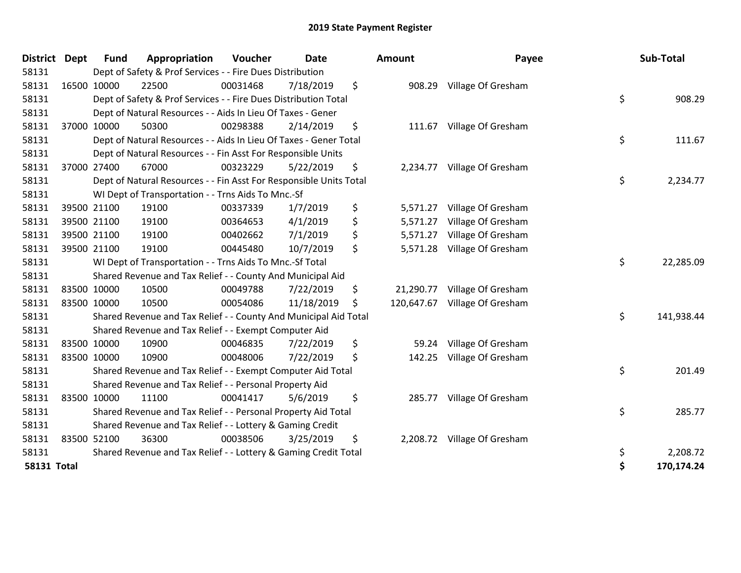| <b>District</b>    | <b>Dept</b> | <b>Fund</b> | Appropriation                                                      | Voucher  | <b>Date</b> | <b>Amount</b>    | Payee                     | Sub-Total        |
|--------------------|-------------|-------------|--------------------------------------------------------------------|----------|-------------|------------------|---------------------------|------------------|
| 58131              |             |             | Dept of Safety & Prof Services - - Fire Dues Distribution          |          |             |                  |                           |                  |
| 58131              |             | 16500 10000 | 22500                                                              | 00031468 | 7/18/2019   | \$               | 908.29 Village Of Gresham |                  |
| 58131              |             |             | Dept of Safety & Prof Services - - Fire Dues Distribution Total    |          |             |                  |                           | \$<br>908.29     |
| 58131              |             |             | Dept of Natural Resources - - Aids In Lieu Of Taxes - Gener        |          |             |                  |                           |                  |
| 58131              |             | 37000 10000 | 50300                                                              | 00298388 | 2/14/2019   | \$<br>111.67     | Village Of Gresham        |                  |
| 58131              |             |             | Dept of Natural Resources - - Aids In Lieu Of Taxes - Gener Total  |          |             |                  |                           | \$<br>111.67     |
| 58131              |             |             | Dept of Natural Resources - - Fin Asst For Responsible Units       |          |             |                  |                           |                  |
| 58131              |             | 37000 27400 | 67000                                                              | 00323229 | 5/22/2019   | \$<br>2,234.77   | Village Of Gresham        |                  |
| 58131              |             |             | Dept of Natural Resources - - Fin Asst For Responsible Units Total |          |             |                  |                           | \$<br>2,234.77   |
| 58131              |             |             | WI Dept of Transportation - - Trns Aids To Mnc.-Sf                 |          |             |                  |                           |                  |
| 58131              |             | 39500 21100 | 19100                                                              | 00337339 | 1/7/2019    | \$<br>5,571.27   | Village Of Gresham        |                  |
| 58131              |             | 39500 21100 | 19100                                                              | 00364653 | 4/1/2019    | \$<br>5,571.27   | Village Of Gresham        |                  |
| 58131              |             | 39500 21100 | 19100                                                              | 00402662 | 7/1/2019    | \$<br>5,571.27   | Village Of Gresham        |                  |
| 58131              |             | 39500 21100 | 19100                                                              | 00445480 | 10/7/2019   | \$<br>5,571.28   | Village Of Gresham        |                  |
| 58131              |             |             | WI Dept of Transportation - - Trns Aids To Mnc.-Sf Total           |          |             |                  |                           | \$<br>22,285.09  |
| 58131              |             |             | Shared Revenue and Tax Relief - - County And Municipal Aid         |          |             |                  |                           |                  |
| 58131              |             | 83500 10000 | 10500                                                              | 00049788 | 7/22/2019   | \$<br>21,290.77  | Village Of Gresham        |                  |
| 58131              |             | 83500 10000 | 10500                                                              | 00054086 | 11/18/2019  | \$<br>120,647.67 | Village Of Gresham        |                  |
| 58131              |             |             | Shared Revenue and Tax Relief - - County And Municipal Aid Total   |          |             |                  |                           | \$<br>141,938.44 |
| 58131              |             |             | Shared Revenue and Tax Relief - - Exempt Computer Aid              |          |             |                  |                           |                  |
| 58131              |             | 83500 10000 | 10900                                                              | 00046835 | 7/22/2019   | \$<br>59.24      | Village Of Gresham        |                  |
| 58131              |             | 83500 10000 | 10900                                                              | 00048006 | 7/22/2019   | \$<br>142.25     | Village Of Gresham        |                  |
| 58131              |             |             | Shared Revenue and Tax Relief - - Exempt Computer Aid Total        |          |             |                  |                           | \$<br>201.49     |
| 58131              |             |             | Shared Revenue and Tax Relief - - Personal Property Aid            |          |             |                  |                           |                  |
| 58131              |             | 83500 10000 | 11100                                                              | 00041417 | 5/6/2019    | \$<br>285.77     | Village Of Gresham        |                  |
| 58131              |             |             | Shared Revenue and Tax Relief - - Personal Property Aid Total      |          |             |                  |                           | \$<br>285.77     |
| 58131              |             |             | Shared Revenue and Tax Relief - - Lottery & Gaming Credit          |          |             |                  |                           |                  |
| 58131              |             | 83500 52100 | 36300                                                              | 00038506 | 3/25/2019   | \$<br>2,208.72   | Village Of Gresham        |                  |
| 58131              |             |             | Shared Revenue and Tax Relief - - Lottery & Gaming Credit Total    |          |             |                  |                           | \$<br>2,208.72   |
| <b>58131 Total</b> |             |             |                                                                    |          |             |                  |                           | \$<br>170,174.24 |

| ount      | Payee                       | Sub-Total |            |  |  |
|-----------|-----------------------------|-----------|------------|--|--|
| 908.29    | Village Of Gresham          |           |            |  |  |
|           |                             | \$        | 908.29     |  |  |
| 111.67    | Village Of Gresham          |           |            |  |  |
|           |                             | \$        | 111.67     |  |  |
| 2,234.77  | Village Of Gresham          |           |            |  |  |
|           |                             | \$        | 2,234.77   |  |  |
|           | 5,571.27 Village Of Gresham |           |            |  |  |
|           | 5,571.27 Village Of Gresham |           |            |  |  |
|           | 5,571.27 Village Of Gresham |           |            |  |  |
| 5,571.28  | Village Of Gresham          |           |            |  |  |
|           |                             | \$        | 22,285.09  |  |  |
| 21,290.77 | Village Of Gresham          |           |            |  |  |
| 20,647.67 | Village Of Gresham          |           |            |  |  |
|           |                             | \$        | 141,938.44 |  |  |
| 59.24     | Village Of Gresham          |           |            |  |  |
| 142.25    | Village Of Gresham          |           |            |  |  |
|           |                             | \$        | 201.49     |  |  |
| 285.77    | Village Of Gresham          |           |            |  |  |
|           |                             | \$        | 285.77     |  |  |
| 2,208.72  | Village Of Gresham          |           |            |  |  |
|           |                             | \$        | 2,208.72   |  |  |
|           |                             | \$        | 170,174.24 |  |  |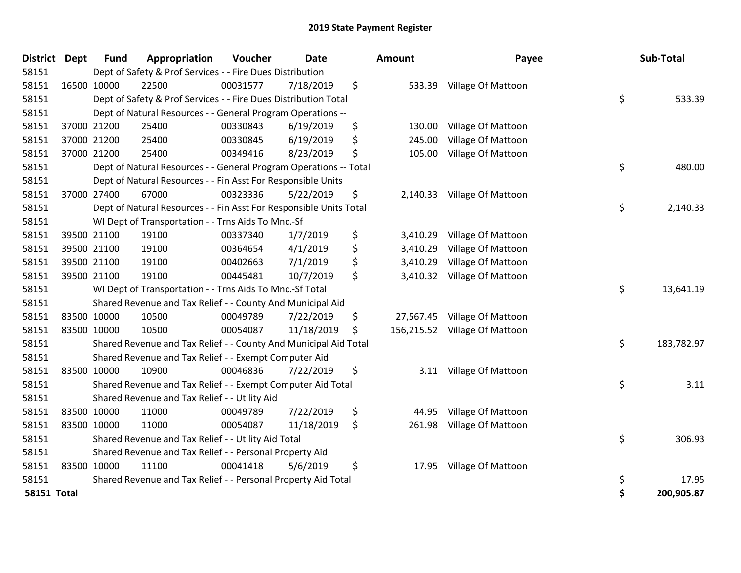| <b>District</b>    | <b>Dept</b> | <b>Fund</b> | Appropriation                                                      | Voucher  | <b>Date</b> | <b>Amount</b>    | Payee                       | Sub-Total        |
|--------------------|-------------|-------------|--------------------------------------------------------------------|----------|-------------|------------------|-----------------------------|------------------|
| 58151              |             |             | Dept of Safety & Prof Services - - Fire Dues Distribution          |          |             |                  |                             |                  |
| 58151              |             | 16500 10000 | 22500                                                              | 00031577 | 7/18/2019   | \$<br>533.39     | Village Of Mattoon          |                  |
| 58151              |             |             | Dept of Safety & Prof Services - - Fire Dues Distribution Total    |          |             |                  |                             | \$<br>533.39     |
| 58151              |             |             | Dept of Natural Resources - - General Program Operations --        |          |             |                  |                             |                  |
| 58151              |             | 37000 21200 | 25400                                                              | 00330843 | 6/19/2019   | \$<br>130.00     | Village Of Mattoon          |                  |
| 58151              |             | 37000 21200 | 25400                                                              | 00330845 | 6/19/2019   | \$<br>245.00     | Village Of Mattoon          |                  |
| 58151              |             | 37000 21200 | 25400                                                              | 00349416 | 8/23/2019   | \$<br>105.00     | Village Of Mattoon          |                  |
| 58151              |             |             | Dept of Natural Resources - - General Program Operations -- Total  |          |             |                  |                             | \$<br>480.00     |
| 58151              |             |             | Dept of Natural Resources - - Fin Asst For Responsible Units       |          |             |                  |                             |                  |
| 58151              |             | 37000 27400 | 67000                                                              | 00323336 | 5/22/2019   | \$               | 2,140.33 Village Of Mattoon |                  |
| 58151              |             |             | Dept of Natural Resources - - Fin Asst For Responsible Units Total |          |             |                  |                             | \$<br>2,140.33   |
| 58151              |             |             | WI Dept of Transportation - - Trns Aids To Mnc.-Sf                 |          |             |                  |                             |                  |
| 58151              |             | 39500 21100 | 19100                                                              | 00337340 | 1/7/2019    | \$<br>3,410.29   | Village Of Mattoon          |                  |
| 58151              |             | 39500 21100 | 19100                                                              | 00364654 | 4/1/2019    | \$<br>3,410.29   | Village Of Mattoon          |                  |
| 58151              |             | 39500 21100 | 19100                                                              | 00402663 | 7/1/2019    | \$<br>3,410.29   | Village Of Mattoon          |                  |
| 58151              |             | 39500 21100 | 19100                                                              | 00445481 | 10/7/2019   | \$<br>3,410.32   | <b>Village Of Mattoon</b>   |                  |
| 58151              |             |             | WI Dept of Transportation - - Trns Aids To Mnc.-Sf Total           |          |             |                  |                             | \$<br>13,641.19  |
| 58151              |             |             | Shared Revenue and Tax Relief - - County And Municipal Aid         |          |             |                  |                             |                  |
| 58151              |             | 83500 10000 | 10500                                                              | 00049789 | 7/22/2019   | \$<br>27,567.45  | Village Of Mattoon          |                  |
| 58151              |             | 83500 10000 | 10500                                                              | 00054087 | 11/18/2019  | \$<br>156,215.52 | <b>Village Of Mattoon</b>   |                  |
| 58151              |             |             | Shared Revenue and Tax Relief - - County And Municipal Aid Total   |          |             |                  |                             | \$<br>183,782.97 |
| 58151              |             |             | Shared Revenue and Tax Relief - - Exempt Computer Aid              |          |             |                  |                             |                  |
| 58151              |             | 83500 10000 | 10900                                                              | 00046836 | 7/22/2019   | \$<br>3.11       | Village Of Mattoon          |                  |
| 58151              |             |             | Shared Revenue and Tax Relief - - Exempt Computer Aid Total        |          |             |                  |                             | \$<br>3.11       |
| 58151              |             |             | Shared Revenue and Tax Relief - - Utility Aid                      |          |             |                  |                             |                  |
| 58151              |             | 83500 10000 | 11000                                                              | 00049789 | 7/22/2019   | \$<br>44.95      | Village Of Mattoon          |                  |
| 58151              |             | 83500 10000 | 11000                                                              | 00054087 | 11/18/2019  | \$<br>261.98     | Village Of Mattoon          |                  |
| 58151              |             |             | Shared Revenue and Tax Relief - - Utility Aid Total                |          |             |                  |                             | \$<br>306.93     |
| 58151              |             |             | Shared Revenue and Tax Relief - - Personal Property Aid            |          |             |                  |                             |                  |
| 58151              |             | 83500 10000 | 11100                                                              | 00041418 | 5/6/2019    | \$<br>17.95      | <b>Village Of Mattoon</b>   |                  |
| 58151              |             |             | Shared Revenue and Tax Relief - - Personal Property Aid Total      |          |             |                  |                             | \$<br>17.95      |
| <b>58151 Total</b> |             |             |                                                                    |          |             |                  |                             | \$<br>200,905.87 |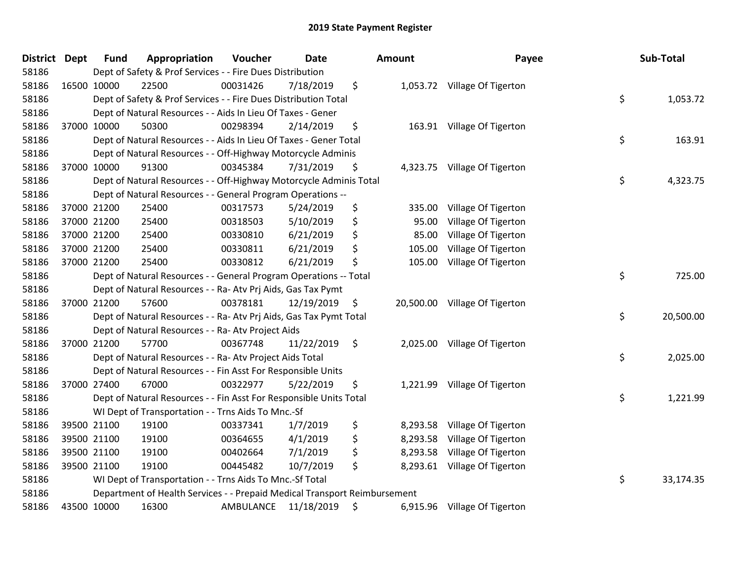| <b>District</b> | <b>Dept</b> | <b>Fund</b> | Appropriation                                                             | Voucher   | <b>Date</b> | <b>Amount</b>      | Payee                         | Sub-Total       |
|-----------------|-------------|-------------|---------------------------------------------------------------------------|-----------|-------------|--------------------|-------------------------------|-----------------|
| 58186           |             |             | Dept of Safety & Prof Services - - Fire Dues Distribution                 |           |             |                    |                               |                 |
| 58186           |             | 16500 10000 | 22500                                                                     | 00031426  | 7/18/2019   | \$                 | 1,053.72 Village Of Tigerton  |                 |
| 58186           |             |             | Dept of Safety & Prof Services - - Fire Dues Distribution Total           |           |             |                    |                               | \$<br>1,053.72  |
| 58186           |             |             | Dept of Natural Resources - - Aids In Lieu Of Taxes - Gener               |           |             |                    |                               |                 |
| 58186           |             | 37000 10000 | 50300                                                                     | 00298394  | 2/14/2019   | \$                 | 163.91 Village Of Tigerton    |                 |
| 58186           |             |             | Dept of Natural Resources - - Aids In Lieu Of Taxes - Gener Total         |           |             |                    |                               | \$<br>163.91    |
| 58186           |             |             | Dept of Natural Resources - - Off-Highway Motorcycle Adminis              |           |             |                    |                               |                 |
| 58186           |             | 37000 10000 | 91300                                                                     | 00345384  | 7/31/2019   | \$                 | 4,323.75 Village Of Tigerton  |                 |
| 58186           |             |             | Dept of Natural Resources - - Off-Highway Motorcycle Adminis Total        |           |             |                    |                               | \$<br>4,323.75  |
| 58186           |             |             | Dept of Natural Resources - - General Program Operations --               |           |             |                    |                               |                 |
| 58186           |             | 37000 21200 | 25400                                                                     | 00317573  | 5/24/2019   | \$<br>335.00       | Village Of Tigerton           |                 |
| 58186           |             | 37000 21200 | 25400                                                                     | 00318503  | 5/10/2019   | \$<br>95.00        | Village Of Tigerton           |                 |
| 58186           |             | 37000 21200 | 25400                                                                     | 00330810  | 6/21/2019   | \$<br>85.00        | Village Of Tigerton           |                 |
| 58186           |             | 37000 21200 | 25400                                                                     | 00330811  | 6/21/2019   | \$<br>105.00       | Village Of Tigerton           |                 |
| 58186           |             | 37000 21200 | 25400                                                                     | 00330812  | 6/21/2019   | \$<br>105.00       | Village Of Tigerton           |                 |
| 58186           |             |             | Dept of Natural Resources - - General Program Operations -- Total         |           |             |                    |                               | \$<br>725.00    |
| 58186           |             |             | Dept of Natural Resources - - Ra- Atv Prj Aids, Gas Tax Pymt              |           |             |                    |                               |                 |
| 58186           |             | 37000 21200 | 57600                                                                     | 00378181  | 12/19/2019  | $\ddot{\varsigma}$ | 20,500.00 Village Of Tigerton |                 |
| 58186           |             |             | Dept of Natural Resources - - Ra- Atv Prj Aids, Gas Tax Pymt Total        |           |             |                    |                               | \$<br>20,500.00 |
| 58186           |             |             | Dept of Natural Resources - - Ra- Atv Project Aids                        |           |             |                    |                               |                 |
| 58186           |             | 37000 21200 | 57700                                                                     | 00367748  | 11/22/2019  | \$                 | 2,025.00 Village Of Tigerton  |                 |
| 58186           |             |             | Dept of Natural Resources - - Ra- Atv Project Aids Total                  |           |             |                    |                               | \$<br>2,025.00  |
| 58186           |             |             | Dept of Natural Resources - - Fin Asst For Responsible Units              |           |             |                    |                               |                 |
| 58186           |             | 37000 27400 | 67000                                                                     | 00322977  | 5/22/2019   | \$<br>1,221.99     | Village Of Tigerton           |                 |
| 58186           |             |             | Dept of Natural Resources - - Fin Asst For Responsible Units Total        |           |             |                    |                               | \$<br>1,221.99  |
| 58186           |             |             | WI Dept of Transportation - - Trns Aids To Mnc.-Sf                        |           |             |                    |                               |                 |
| 58186           |             | 39500 21100 | 19100                                                                     | 00337341  | 1/7/2019    | \$                 | 8,293.58 Village Of Tigerton  |                 |
| 58186           |             | 39500 21100 | 19100                                                                     | 00364655  | 4/1/2019    | \$                 | 8,293.58 Village Of Tigerton  |                 |
| 58186           |             | 39500 21100 | 19100                                                                     | 00402664  | 7/1/2019    | \$<br>8,293.58     | Village Of Tigerton           |                 |
| 58186           |             | 39500 21100 | 19100                                                                     | 00445482  | 10/7/2019   | \$                 | 8,293.61 Village Of Tigerton  |                 |
| 58186           |             |             | WI Dept of Transportation - - Trns Aids To Mnc.-Sf Total                  |           |             |                    |                               | \$<br>33,174.35 |
| 58186           |             |             | Department of Health Services - - Prepaid Medical Transport Reimbursement |           |             |                    |                               |                 |
| 58186           | 43500 10000 |             | 16300                                                                     | AMBULANCE | 11/18/2019  | \$                 | 6,915.96 Village Of Tigerton  |                 |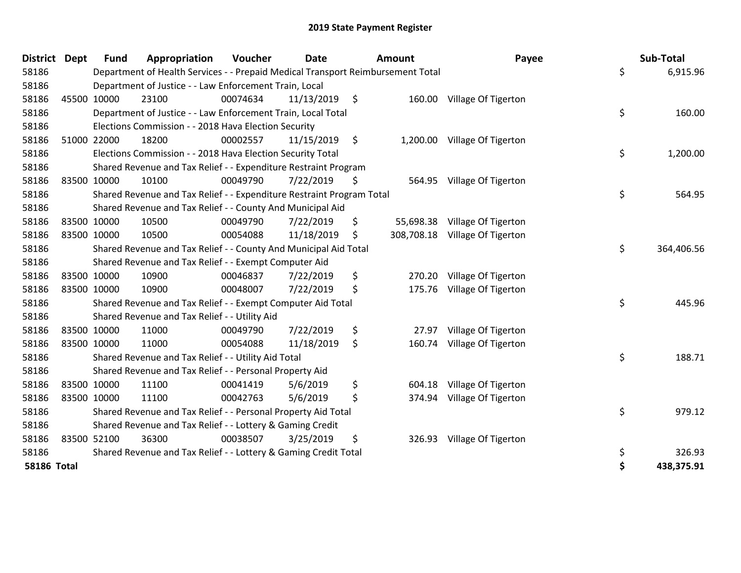| District           | <b>Dept</b> | <b>Fund</b> | Appropriation                                                                   | Voucher  | <b>Date</b> |      | <b>Amount</b> | Payee                        | Sub-Total        |
|--------------------|-------------|-------------|---------------------------------------------------------------------------------|----------|-------------|------|---------------|------------------------------|------------------|
| 58186              |             |             | Department of Health Services - - Prepaid Medical Transport Reimbursement Total |          |             |      |               |                              | \$<br>6,915.96   |
| 58186              |             |             | Department of Justice - - Law Enforcement Train, Local                          |          |             |      |               |                              |                  |
| 58186              |             | 45500 10000 | 23100                                                                           | 00074634 | 11/13/2019  | - \$ | 160.00        | Village Of Tigerton          |                  |
| 58186              |             |             | Department of Justice - - Law Enforcement Train, Local Total                    |          |             |      |               |                              | \$<br>160.00     |
| 58186              |             |             | Elections Commission - - 2018 Hava Election Security                            |          |             |      |               |                              |                  |
| 58186              |             | 51000 22000 | 18200                                                                           | 00002557 | 11/15/2019  | \$   |               | 1,200.00 Village Of Tigerton |                  |
| 58186              |             |             | Elections Commission - - 2018 Hava Election Security Total                      |          |             |      |               |                              | \$<br>1,200.00   |
| 58186              |             |             | Shared Revenue and Tax Relief - - Expenditure Restraint Program                 |          |             |      |               |                              |                  |
| 58186              |             | 83500 10000 | 10100                                                                           | 00049790 | 7/22/2019   | \$   | 564.95        | Village Of Tigerton          |                  |
| 58186              |             |             | Shared Revenue and Tax Relief - - Expenditure Restraint Program Total           |          |             |      |               |                              | \$<br>564.95     |
| 58186              |             |             | Shared Revenue and Tax Relief - - County And Municipal Aid                      |          |             |      |               |                              |                  |
| 58186              |             | 83500 10000 | 10500                                                                           | 00049790 | 7/22/2019   | \$   | 55,698.38     | Village Of Tigerton          |                  |
| 58186              |             | 83500 10000 | 10500                                                                           | 00054088 | 11/18/2019  | \$   | 308,708.18    | Village Of Tigerton          |                  |
| 58186              |             |             | Shared Revenue and Tax Relief - - County And Municipal Aid Total                |          |             |      |               |                              | \$<br>364,406.56 |
| 58186              |             |             | Shared Revenue and Tax Relief - - Exempt Computer Aid                           |          |             |      |               |                              |                  |
| 58186              |             | 83500 10000 | 10900                                                                           | 00046837 | 7/22/2019   | \$   | 270.20        | Village Of Tigerton          |                  |
| 58186              |             | 83500 10000 | 10900                                                                           | 00048007 | 7/22/2019   | \$   | 175.76        | Village Of Tigerton          |                  |
| 58186              |             |             | Shared Revenue and Tax Relief - - Exempt Computer Aid Total                     |          |             |      |               |                              | \$<br>445.96     |
| 58186              |             |             | Shared Revenue and Tax Relief - - Utility Aid                                   |          |             |      |               |                              |                  |
| 58186              |             | 83500 10000 | 11000                                                                           | 00049790 | 7/22/2019   | \$   | 27.97         | Village Of Tigerton          |                  |
| 58186              |             | 83500 10000 | 11000                                                                           | 00054088 | 11/18/2019  | \$   | 160.74        | Village Of Tigerton          |                  |
| 58186              |             |             | Shared Revenue and Tax Relief - - Utility Aid Total                             |          |             |      |               |                              | \$<br>188.71     |
| 58186              |             |             | Shared Revenue and Tax Relief - - Personal Property Aid                         |          |             |      |               |                              |                  |
| 58186              |             | 83500 10000 | 11100                                                                           | 00041419 | 5/6/2019    | \$   | 604.18        | Village Of Tigerton          |                  |
| 58186              |             | 83500 10000 | 11100                                                                           | 00042763 | 5/6/2019    | \$   | 374.94        | Village Of Tigerton          |                  |
| 58186              |             |             | Shared Revenue and Tax Relief - - Personal Property Aid Total                   |          |             |      |               |                              | \$<br>979.12     |
| 58186              |             |             | Shared Revenue and Tax Relief - - Lottery & Gaming Credit                       |          |             |      |               |                              |                  |
| 58186              |             | 83500 52100 | 36300                                                                           | 00038507 | 3/25/2019   | \$   | 326.93        | Village Of Tigerton          |                  |
| 58186              |             |             | Shared Revenue and Tax Relief - - Lottery & Gaming Credit Total                 |          |             |      |               |                              | \$<br>326.93     |
| <b>58186 Total</b> |             |             |                                                                                 |          |             |      |               |                              | \$<br>438,375.91 |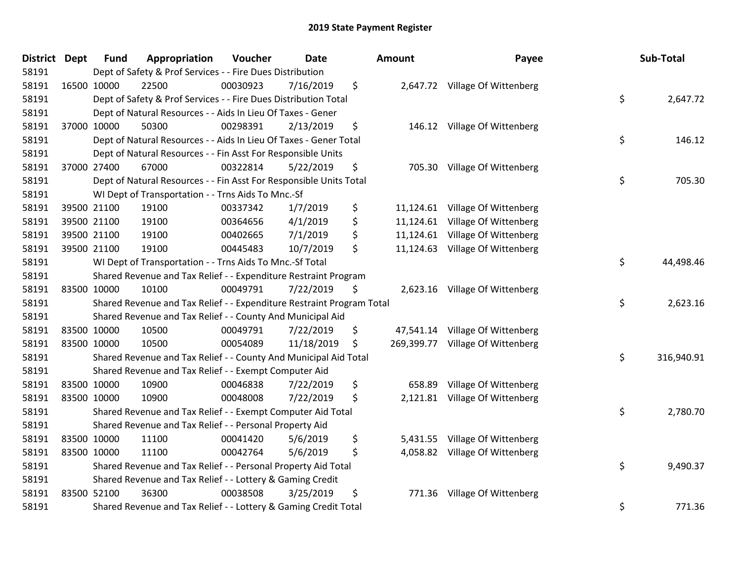| District Dept | <b>Fund</b> | Appropriation                                                         | Voucher  | <b>Date</b> | <b>Amount</b>    | Payee                           | Sub-Total        |
|---------------|-------------|-----------------------------------------------------------------------|----------|-------------|------------------|---------------------------------|------------------|
| 58191         |             | Dept of Safety & Prof Services - - Fire Dues Distribution             |          |             |                  |                                 |                  |
| 58191         | 16500 10000 | 22500                                                                 | 00030923 | 7/16/2019   | \$               | 2,647.72 Village Of Wittenberg  |                  |
| 58191         |             | Dept of Safety & Prof Services - - Fire Dues Distribution Total       |          |             |                  |                                 | \$<br>2,647.72   |
| 58191         |             | Dept of Natural Resources - - Aids In Lieu Of Taxes - Gener           |          |             |                  |                                 |                  |
| 58191         | 37000 10000 | 50300                                                                 | 00298391 | 2/13/2019   | \$<br>146.12     | Village Of Wittenberg           |                  |
| 58191         |             | Dept of Natural Resources - - Aids In Lieu Of Taxes - Gener Total     |          |             |                  |                                 | \$<br>146.12     |
| 58191         |             | Dept of Natural Resources - - Fin Asst For Responsible Units          |          |             |                  |                                 |                  |
| 58191         | 37000 27400 | 67000                                                                 | 00322814 | 5/22/2019   | \$<br>705.30     | Village Of Wittenberg           |                  |
| 58191         |             | Dept of Natural Resources - - Fin Asst For Responsible Units Total    |          |             |                  |                                 | \$<br>705.30     |
| 58191         |             | WI Dept of Transportation - - Trns Aids To Mnc.-Sf                    |          |             |                  |                                 |                  |
| 58191         | 39500 21100 | 19100                                                                 | 00337342 | 1/7/2019    | \$               | 11,124.61 Village Of Wittenberg |                  |
| 58191         | 39500 21100 | 19100                                                                 | 00364656 | 4/1/2019    | \$<br>11,124.61  | Village Of Wittenberg           |                  |
| 58191         | 39500 21100 | 19100                                                                 | 00402665 | 7/1/2019    | \$               | 11,124.61 Village Of Wittenberg |                  |
| 58191         | 39500 21100 | 19100                                                                 | 00445483 | 10/7/2019   | \$               | 11,124.63 Village Of Wittenberg |                  |
| 58191         |             | WI Dept of Transportation - - Trns Aids To Mnc.-Sf Total              |          |             |                  |                                 | \$<br>44,498.46  |
| 58191         |             | Shared Revenue and Tax Relief - - Expenditure Restraint Program       |          |             |                  |                                 |                  |
| 58191         | 83500 10000 | 10100                                                                 | 00049791 | 7/22/2019   | \$<br>2,623.16   | Village Of Wittenberg           |                  |
| 58191         |             | Shared Revenue and Tax Relief - - Expenditure Restraint Program Total |          |             |                  |                                 | \$<br>2,623.16   |
| 58191         |             | Shared Revenue and Tax Relief - - County And Municipal Aid            |          |             |                  |                                 |                  |
| 58191         | 83500 10000 | 10500                                                                 | 00049791 | 7/22/2019   | \$<br>47,541.14  | Village Of Wittenberg           |                  |
| 58191         | 83500 10000 | 10500                                                                 | 00054089 | 11/18/2019  | \$<br>269,399.77 | Village Of Wittenberg           |                  |
| 58191         |             | Shared Revenue and Tax Relief - - County And Municipal Aid Total      |          |             |                  |                                 | \$<br>316,940.91 |
| 58191         |             | Shared Revenue and Tax Relief - - Exempt Computer Aid                 |          |             |                  |                                 |                  |
| 58191         | 83500 10000 | 10900                                                                 | 00046838 | 7/22/2019   | \$<br>658.89     | Village Of Wittenberg           |                  |
| 58191         | 83500 10000 | 10900                                                                 | 00048008 | 7/22/2019   | \$<br>2,121.81   | Village Of Wittenberg           |                  |
| 58191         |             | Shared Revenue and Tax Relief - - Exempt Computer Aid Total           |          |             |                  |                                 | \$<br>2,780.70   |
| 58191         |             | Shared Revenue and Tax Relief - - Personal Property Aid               |          |             |                  |                                 |                  |
| 58191         | 83500 10000 | 11100                                                                 | 00041420 | 5/6/2019    | \$               | 5,431.55 Village Of Wittenberg  |                  |
| 58191         | 83500 10000 | 11100                                                                 | 00042764 | 5/6/2019    | \$<br>4,058.82   | Village Of Wittenberg           |                  |
| 58191         |             | Shared Revenue and Tax Relief - - Personal Property Aid Total         |          |             |                  |                                 | \$<br>9,490.37   |
| 58191         |             | Shared Revenue and Tax Relief - - Lottery & Gaming Credit             |          |             |                  |                                 |                  |
| 58191         | 83500 52100 | 36300                                                                 | 00038508 | 3/25/2019   | \$<br>771.36     | Village Of Wittenberg           |                  |
| 58191         |             | Shared Revenue and Tax Relief - - Lottery & Gaming Credit Total       |          |             |                  |                                 | \$<br>771.36     |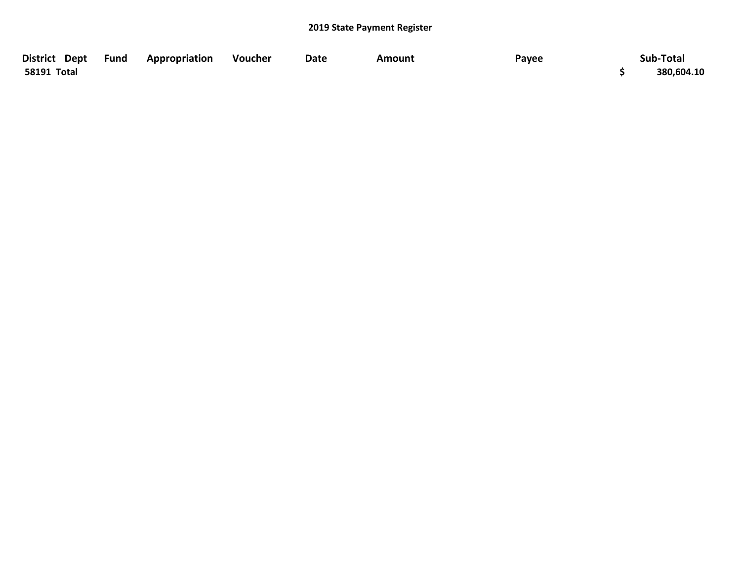| District Dept Fund | Appropriation | Voucher | Date | Amount | Payee | Sub-Total  |
|--------------------|---------------|---------|------|--------|-------|------------|
| 58191 Total        |               |         |      |        |       | 380,604.10 |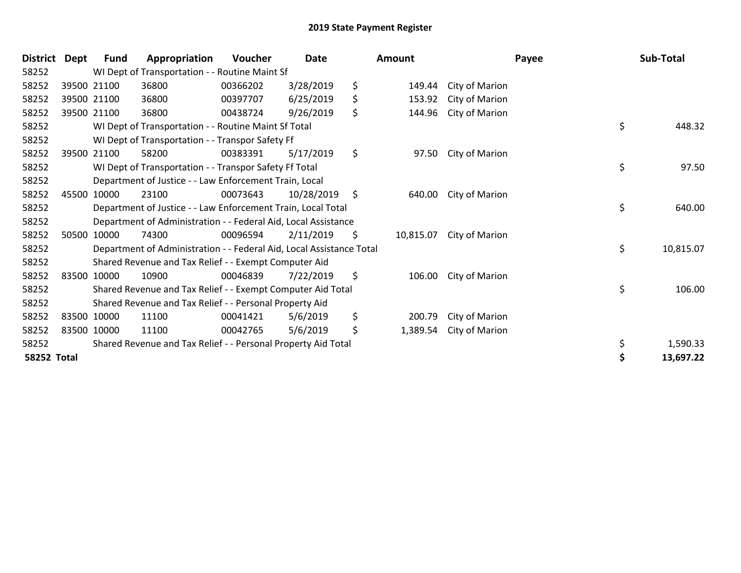| <b>District</b>    | Dept | <b>Fund</b>                                                          | Appropriation                                                 | Voucher  | <b>Date</b> |         | <b>Amount</b> |                | Payee | Sub-Total |  |
|--------------------|------|----------------------------------------------------------------------|---------------------------------------------------------------|----------|-------------|---------|---------------|----------------|-------|-----------|--|
| 58252              |      | WI Dept of Transportation - - Routine Maint Sf                       |                                                               |          |             |         |               |                |       |           |  |
| 58252              |      | 39500 21100                                                          | 36800                                                         | 00366202 | 3/28/2019   | \$      | 149.44        | City of Marion |       |           |  |
| 58252              |      | 39500 21100                                                          | 36800                                                         | 00397707 | 6/25/2019   | \$      | 153.92        | City of Marion |       |           |  |
| 58252              |      | 39500 21100                                                          | 36800                                                         | 00438724 | 9/26/2019   | \$      | 144.96        | City of Marion |       |           |  |
| 58252              |      | WI Dept of Transportation - - Routine Maint Sf Total                 |                                                               |          |             |         |               |                |       | 448.32    |  |
| 58252              |      | WI Dept of Transportation - - Transpor Safety Ff                     |                                                               |          |             |         |               |                |       |           |  |
| 58252              |      | 39500 21100                                                          | 58200                                                         | 00383391 | 5/17/2019   | \$      | 97.50         | City of Marion |       |           |  |
| 58252              |      | WI Dept of Transportation - - Transpor Safety Ff Total               |                                                               |          |             |         |               |                | \$    | 97.50     |  |
| 58252              |      | Department of Justice - - Law Enforcement Train, Local               |                                                               |          |             |         |               |                |       |           |  |
| 58252              |      | 45500 10000                                                          | 23100                                                         | 00073643 | 10/28/2019  | $\zeta$ | 640.00        | City of Marion |       |           |  |
| 58252              |      | Department of Justice - - Law Enforcement Train, Local Total         |                                                               |          |             |         |               |                |       | 640.00    |  |
| 58252              |      | Department of Administration - - Federal Aid, Local Assistance       |                                                               |          |             |         |               |                |       |           |  |
| 58252              |      | 50500 10000                                                          | 74300                                                         | 00096594 | 2/11/2019   | \$      | 10,815.07     | City of Marion |       |           |  |
| 58252              |      | Department of Administration - - Federal Aid, Local Assistance Total |                                                               |          |             |         |               |                | \$    | 10,815.07 |  |
| 58252              |      | Shared Revenue and Tax Relief - - Exempt Computer Aid                |                                                               |          |             |         |               |                |       |           |  |
| 58252              |      | 83500 10000                                                          | 10900                                                         | 00046839 | 7/22/2019   | \$      | 106.00        | City of Marion |       |           |  |
| 58252              |      | Shared Revenue and Tax Relief - - Exempt Computer Aid Total          |                                                               |          |             |         |               |                |       | 106.00    |  |
| 58252              |      | Shared Revenue and Tax Relief - - Personal Property Aid              |                                                               |          |             |         |               |                |       |           |  |
| 58252              |      | 83500 10000                                                          | 11100                                                         | 00041421 | 5/6/2019    | \$      | 200.79        | City of Marion |       |           |  |
| 58252              |      | 83500 10000                                                          | 11100                                                         | 00042765 | 5/6/2019    | \$      | 1,389.54      | City of Marion |       |           |  |
| 58252              |      |                                                                      | Shared Revenue and Tax Relief - - Personal Property Aid Total |          |             |         |               |                | \$    | 1,590.33  |  |
| <b>58252 Total</b> |      |                                                                      |                                                               |          |             |         |               |                | \$    | 13,697.22 |  |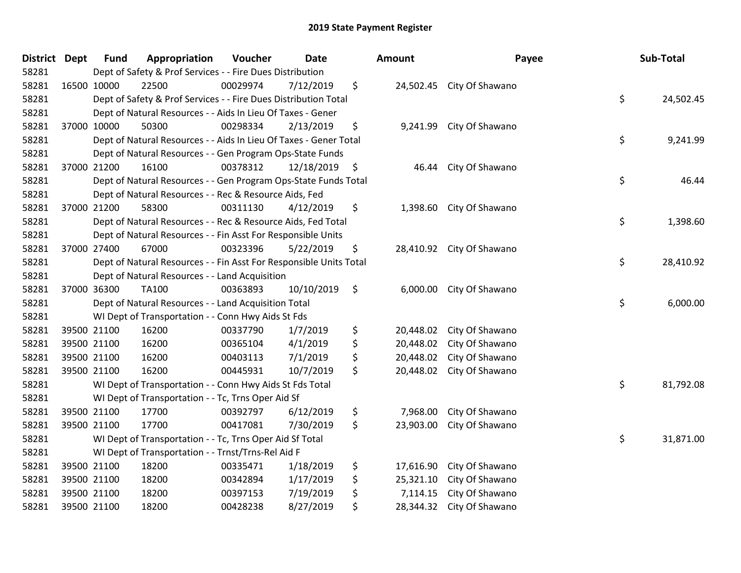| District Dept |             | <b>Fund</b>                                                                           | Appropriation                                                | Voucher   | <b>Date</b> | <b>Amount</b>        |           | Payee                     |  | Sub-Total |  |  |
|---------------|-------------|---------------------------------------------------------------------------------------|--------------------------------------------------------------|-----------|-------------|----------------------|-----------|---------------------------|--|-----------|--|--|
| 58281         |             | Dept of Safety & Prof Services - - Fire Dues Distribution                             |                                                              |           |             |                      |           |                           |  |           |  |  |
| 58281         | 16500 10000 |                                                                                       | 22500                                                        | 00029974  | 7/12/2019   | \$                   |           | 24,502.45 City Of Shawano |  |           |  |  |
| 58281         |             | \$<br>Dept of Safety & Prof Services - - Fire Dues Distribution Total                 |                                                              |           |             |                      |           |                           |  |           |  |  |
| 58281         |             | Dept of Natural Resources - - Aids In Lieu Of Taxes - Gener                           |                                                              |           |             |                      |           |                           |  |           |  |  |
| 58281         | 37000 10000 |                                                                                       | 50300                                                        | 00298334  | 2/13/2019   | \$                   | 9,241.99  | City Of Shawano           |  |           |  |  |
| 58281         |             | \$<br>Dept of Natural Resources - - Aids In Lieu Of Taxes - Gener Total               |                                                              |           |             |                      |           |                           |  |           |  |  |
| 58281         |             | Dept of Natural Resources - - Gen Program Ops-State Funds                             |                                                              |           |             |                      |           |                           |  |           |  |  |
| 58281         | 37000 21200 |                                                                                       | 16100                                                        | 00378312  | 12/18/2019  | $\ddot{\phantom{1}}$ | 46.44     | City Of Shawano           |  |           |  |  |
| 58281         |             | \$<br>Dept of Natural Resources - - Gen Program Ops-State Funds Total<br>46.44        |                                                              |           |             |                      |           |                           |  |           |  |  |
| 58281         |             | Dept of Natural Resources - - Rec & Resource Aids, Fed                                |                                                              |           |             |                      |           |                           |  |           |  |  |
| 58281         |             | 37000 21200                                                                           | 58300                                                        | 00311130  | 4/12/2019   | \$                   |           | 1,398.60 City Of Shawano  |  |           |  |  |
| 58281         |             | \$<br>Dept of Natural Resources - - Rec & Resource Aids, Fed Total<br>1,398.60        |                                                              |           |             |                      |           |                           |  |           |  |  |
| 58281         |             |                                                                                       | Dept of Natural Resources - - Fin Asst For Responsible Units |           |             |                      |           |                           |  |           |  |  |
| 58281         | 37000 27400 |                                                                                       | 67000                                                        | 00323396  | 5/22/2019   | \$                   |           | 28,410.92 City Of Shawano |  |           |  |  |
| 58281         |             | \$<br>28,410.92<br>Dept of Natural Resources - - Fin Asst For Responsible Units Total |                                                              |           |             |                      |           |                           |  |           |  |  |
| 58281         |             |                                                                                       | Dept of Natural Resources - - Land Acquisition               |           |             |                      |           |                           |  |           |  |  |
| 58281         | 37000 36300 |                                                                                       | <b>TA100</b>                                                 | 00363893  | 10/10/2019  | \$                   | 6,000.00  | City Of Shawano           |  |           |  |  |
| 58281         |             | \$<br>Dept of Natural Resources - - Land Acquisition Total                            |                                                              |           |             |                      |           |                           |  |           |  |  |
| 58281         |             |                                                                                       | WI Dept of Transportation - - Conn Hwy Aids St Fds           |           |             |                      |           |                           |  |           |  |  |
| 58281         | 39500 21100 |                                                                                       | 16200                                                        | 00337790  | 1/7/2019    | \$                   | 20,448.02 | City Of Shawano           |  |           |  |  |
| 58281         |             | 39500 21100                                                                           | 16200                                                        | 00365104  | 4/1/2019    | \$                   | 20,448.02 | City Of Shawano           |  |           |  |  |
| 58281         |             | 39500 21100                                                                           | 16200                                                        | 00403113  | 7/1/2019    | \$                   | 20,448.02 | City Of Shawano           |  |           |  |  |
| 58281         | 39500 21100 |                                                                                       | 16200                                                        | 00445931  | 10/7/2019   | \$                   | 20,448.02 | City Of Shawano           |  |           |  |  |
| 58281         |             | WI Dept of Transportation - - Conn Hwy Aids St Fds Total                              | \$                                                           | 81,792.08 |             |                      |           |                           |  |           |  |  |
| 58281         |             | WI Dept of Transportation - - Tc, Trns Oper Aid Sf                                    |                                                              |           |             |                      |           |                           |  |           |  |  |
| 58281         | 39500 21100 |                                                                                       | 17700                                                        | 00392797  | 6/12/2019   | \$                   | 7,968.00  | City Of Shawano           |  |           |  |  |
| 58281         |             | 39500 21100                                                                           | 17700                                                        | 00417081  | 7/30/2019   | \$                   | 23,903.00 | City Of Shawano           |  |           |  |  |
| 58281         |             | WI Dept of Transportation - - Tc, Trns Oper Aid Sf Total                              |                                                              |           |             |                      |           |                           |  |           |  |  |
| 58281         |             | WI Dept of Transportation - - Trnst/Trns-Rel Aid F                                    |                                                              |           |             |                      |           |                           |  |           |  |  |
| 58281         | 39500 21100 |                                                                                       | 18200                                                        | 00335471  | 1/18/2019   | \$                   | 17,616.90 | City Of Shawano           |  |           |  |  |
| 58281         | 39500 21100 |                                                                                       | 18200                                                        | 00342894  | 1/17/2019   | \$                   | 25,321.10 | City Of Shawano           |  |           |  |  |
| 58281         |             | 39500 21100                                                                           | 18200                                                        | 00397153  | 7/19/2019   | \$                   | 7,114.15  | City Of Shawano           |  |           |  |  |
| 58281         | 39500 21100 |                                                                                       | 18200                                                        | 00428238  | 8/27/2019   | \$                   | 28,344.32 | City Of Shawano           |  |           |  |  |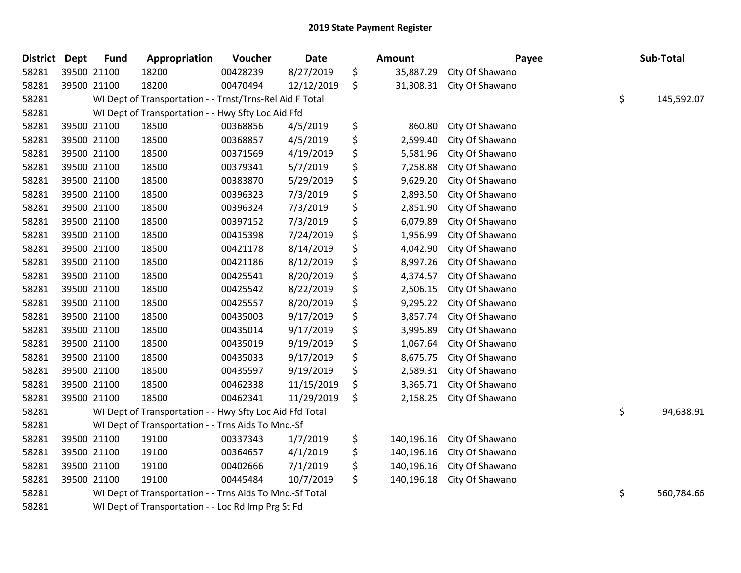| <b>District</b> | <b>Dept</b> | <b>Fund</b>                                              | Appropriation                                            | Voucher  | Date       |    | Amount     | Payee           |    | Sub-Total  |
|-----------------|-------------|----------------------------------------------------------|----------------------------------------------------------|----------|------------|----|------------|-----------------|----|------------|
| 58281           |             | 39500 21100                                              | 18200                                                    | 00428239 | 8/27/2019  | \$ | 35,887.29  | City Of Shawano |    |            |
| 58281           |             | 39500 21100                                              | 18200                                                    | 00470494 | 12/12/2019 | \$ | 31,308.31  | City Of Shawano |    |            |
| 58281           |             |                                                          | WI Dept of Transportation - - Trnst/Trns-Rel Aid F Total |          |            |    |            |                 | \$ | 145,592.07 |
| 58281           |             | WI Dept of Transportation - - Hwy Sfty Loc Aid Ffd       |                                                          |          |            |    |            |                 |    |            |
| 58281           |             | 39500 21100                                              | 18500                                                    | 00368856 | 4/5/2019   | \$ | 860.80     | City Of Shawano |    |            |
| 58281           |             | 39500 21100                                              | 18500                                                    | 00368857 | 4/5/2019   | \$ | 2,599.40   | City Of Shawano |    |            |
| 58281           |             | 39500 21100                                              | 18500                                                    | 00371569 | 4/19/2019  | \$ | 5,581.96   | City Of Shawano |    |            |
| 58281           |             | 39500 21100                                              | 18500                                                    | 00379341 | 5/7/2019   | \$ | 7,258.88   | City Of Shawano |    |            |
| 58281           |             | 39500 21100                                              | 18500                                                    | 00383870 | 5/29/2019  | \$ | 9,629.20   | City Of Shawano |    |            |
| 58281           |             | 39500 21100                                              | 18500                                                    | 00396323 | 7/3/2019   | \$ | 2,893.50   | City Of Shawano |    |            |
| 58281           |             | 39500 21100                                              | 18500                                                    | 00396324 | 7/3/2019   | \$ | 2,851.90   | City Of Shawano |    |            |
| 58281           |             | 39500 21100                                              | 18500                                                    | 00397152 | 7/3/2019   | \$ | 6,079.89   | City Of Shawano |    |            |
| 58281           |             | 39500 21100                                              | 18500                                                    | 00415398 | 7/24/2019  | \$ | 1,956.99   | City Of Shawano |    |            |
| 58281           |             | 39500 21100                                              | 18500                                                    | 00421178 | 8/14/2019  | \$ | 4,042.90   | City Of Shawano |    |            |
| 58281           |             | 39500 21100                                              | 18500                                                    | 00421186 | 8/12/2019  | \$ | 8,997.26   | City Of Shawano |    |            |
| 58281           |             | 39500 21100                                              | 18500                                                    | 00425541 | 8/20/2019  | \$ | 4,374.57   | City Of Shawano |    |            |
| 58281           |             | 39500 21100                                              | 18500                                                    | 00425542 | 8/22/2019  | \$ | 2,506.15   | City Of Shawano |    |            |
| 58281           |             | 39500 21100                                              | 18500                                                    | 00425557 | 8/20/2019  | \$ | 9,295.22   | City Of Shawano |    |            |
| 58281           |             | 39500 21100                                              | 18500                                                    | 00435003 | 9/17/2019  | \$ | 3,857.74   | City Of Shawano |    |            |
| 58281           |             | 39500 21100                                              | 18500                                                    | 00435014 | 9/17/2019  | \$ | 3,995.89   | City Of Shawano |    |            |
| 58281           |             | 39500 21100                                              | 18500                                                    | 00435019 | 9/19/2019  | \$ | 1,067.64   | City Of Shawano |    |            |
| 58281           |             | 39500 21100                                              | 18500                                                    | 00435033 | 9/17/2019  | \$ | 8,675.75   | City Of Shawano |    |            |
| 58281           |             | 39500 21100                                              | 18500                                                    | 00435597 | 9/19/2019  | \$ | 2,589.31   | City Of Shawano |    |            |
| 58281           |             | 39500 21100                                              | 18500                                                    | 00462338 | 11/15/2019 | \$ | 3,365.71   | City Of Shawano |    |            |
| 58281           |             | 39500 21100                                              | 18500                                                    | 00462341 | 11/29/2019 | \$ | 2,158.25   | City Of Shawano |    |            |
| 58281           |             | WI Dept of Transportation - - Hwy Sfty Loc Aid Ffd Total |                                                          |          |            |    |            |                 | \$ | 94,638.91  |
| 58281           |             | WI Dept of Transportation - - Trns Aids To Mnc.-Sf       |                                                          |          |            |    |            |                 |    |            |
| 58281           |             | 39500 21100                                              | 19100                                                    | 00337343 | 1/7/2019   | \$ | 140,196.16 | City Of Shawano |    |            |
| 58281           |             | 39500 21100                                              | 19100                                                    | 00364657 | 4/1/2019   | \$ | 140,196.16 | City Of Shawano |    |            |
| 58281           |             | 39500 21100                                              | 19100                                                    | 00402666 | 7/1/2019   | \$ | 140,196.16 | City Of Shawano |    |            |
| 58281           |             | 39500 21100                                              | 19100                                                    | 00445484 | 10/7/2019  | \$ | 140,196.18 | City Of Shawano |    |            |
| 58281           |             | WI Dept of Transportation - - Trns Aids To Mnc.-Sf Total |                                                          |          |            |    |            |                 | \$ | 560,784.66 |
| 58281           |             | WI Dept of Transportation - - Loc Rd Imp Prg St Fd       |                                                          |          |            |    |            |                 |    |            |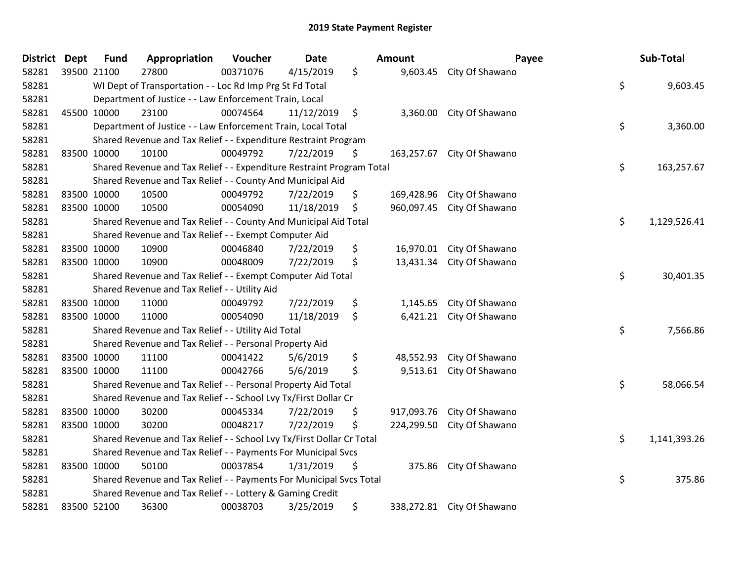## 2019 State Payment Register

| <b>District</b> | <b>Dept</b> | <b>Fund</b>                                                         | Appropriation                                                         | Voucher  | <b>Date</b> |               | Amount     | Payee                      |    | Sub-Total    |
|-----------------|-------------|---------------------------------------------------------------------|-----------------------------------------------------------------------|----------|-------------|---------------|------------|----------------------------|----|--------------|
| 58281           |             | 39500 21100                                                         | 27800                                                                 | 00371076 | 4/15/2019   | \$            | 9,603.45   | City Of Shawano            |    |              |
| 58281           |             |                                                                     | WI Dept of Transportation - - Loc Rd Imp Prg St Fd Total              |          |             |               |            |                            | \$ | 9,603.45     |
| 58281           |             | Department of Justice - - Law Enforcement Train, Local              |                                                                       |          |             |               |            |                            |    |              |
| 58281           |             | 45500 10000                                                         | 23100                                                                 | 00074564 | 11/12/2019  | $\ddot{\phi}$ | 3,360.00   | City Of Shawano            |    |              |
| 58281           |             |                                                                     | Department of Justice - - Law Enforcement Train, Local Total          |          |             |               |            |                            | \$ | 3,360.00     |
| 58281           |             |                                                                     | Shared Revenue and Tax Relief - - Expenditure Restraint Program       |          |             |               |            |                            |    |              |
| 58281           |             | 83500 10000                                                         | 10100                                                                 | 00049792 | 7/22/2019   | \$            | 163,257.67 | City Of Shawano            |    |              |
| 58281           |             |                                                                     | Shared Revenue and Tax Relief - - Expenditure Restraint Program Total |          |             |               |            |                            | \$ | 163,257.67   |
| 58281           |             |                                                                     | Shared Revenue and Tax Relief - - County And Municipal Aid            |          |             |               |            |                            |    |              |
| 58281           |             | 83500 10000                                                         | 10500                                                                 | 00049792 | 7/22/2019   | \$            | 169,428.96 | City Of Shawano            |    |              |
| 58281           |             | 83500 10000                                                         | 10500                                                                 | 00054090 | 11/18/2019  | \$            | 960,097.45 | City Of Shawano            |    |              |
| 58281           |             |                                                                     | Shared Revenue and Tax Relief - - County And Municipal Aid Total      |          |             |               |            |                            | \$ | 1,129,526.41 |
| 58281           |             |                                                                     | Shared Revenue and Tax Relief - - Exempt Computer Aid                 |          |             |               |            |                            |    |              |
| 58281           | 83500 10000 |                                                                     | 10900                                                                 | 00046840 | 7/22/2019   | \$            | 16,970.01  | City Of Shawano            |    |              |
| 58281           |             | 83500 10000                                                         | 10900                                                                 | 00048009 | 7/22/2019   | \$            | 13,431.34  | City Of Shawano            |    |              |
| 58281           |             |                                                                     | Shared Revenue and Tax Relief - - Exempt Computer Aid Total           |          |             |               |            |                            | \$ | 30,401.35    |
| 58281           |             |                                                                     | Shared Revenue and Tax Relief - - Utility Aid                         |          |             |               |            |                            |    |              |
| 58281           |             | 83500 10000                                                         | 11000                                                                 | 00049792 | 7/22/2019   | \$            | 1,145.65   | City Of Shawano            |    |              |
| 58281           |             | 83500 10000                                                         | 11000                                                                 | 00054090 | 11/18/2019  | \$            |            | 6,421.21 City Of Shawano   |    |              |
| 58281           |             | Shared Revenue and Tax Relief - - Utility Aid Total                 |                                                                       |          |             |               |            |                            |    | 7,566.86     |
| 58281           |             | Shared Revenue and Tax Relief - - Personal Property Aid             |                                                                       |          |             |               |            |                            |    |              |
| 58281           |             | 83500 10000                                                         | 11100                                                                 | 00041422 | 5/6/2019    | \$            | 48,552.93  | City Of Shawano            |    |              |
| 58281           |             | 83500 10000                                                         | 11100                                                                 | 00042766 | 5/6/2019    | \$            |            | 9,513.61 City Of Shawano   |    |              |
| 58281           |             | Shared Revenue and Tax Relief - - Personal Property Aid Total       |                                                                       |          |             |               |            |                            | \$ | 58,066.54    |
| 58281           |             | Shared Revenue and Tax Relief - - School Lvy Tx/First Dollar Cr     |                                                                       |          |             |               |            |                            |    |              |
| 58281           |             | 83500 10000                                                         | 30200                                                                 | 00045334 | 7/22/2019   | \$            | 917,093.76 | City Of Shawano            |    |              |
| 58281           |             | 83500 10000                                                         | 30200                                                                 | 00048217 | 7/22/2019   | \$            | 224,299.50 | City Of Shawano            |    |              |
| 58281           |             |                                                                     | Shared Revenue and Tax Relief - - School Lvy Tx/First Dollar Cr Total |          |             |               |            |                            | \$ | 1,141,393.26 |
| 58281           |             | Shared Revenue and Tax Relief - - Payments For Municipal Svcs       |                                                                       |          |             |               |            |                            |    |              |
| 58281           |             | 83500 10000                                                         | 50100                                                                 | 00037854 | 1/31/2019   | \$            | 375.86     | City Of Shawano            |    |              |
| 58281           |             | Shared Revenue and Tax Relief - - Payments For Municipal Svcs Total |                                                                       |          |             |               |            |                            | \$ | 375.86       |
| 58281           |             | Shared Revenue and Tax Relief - - Lottery & Gaming Credit           |                                                                       |          |             |               |            |                            |    |              |
| 58281           |             | 83500 52100                                                         | 36300                                                                 | 00038703 | 3/25/2019   | \$            |            | 338,272.81 City Of Shawano |    |              |